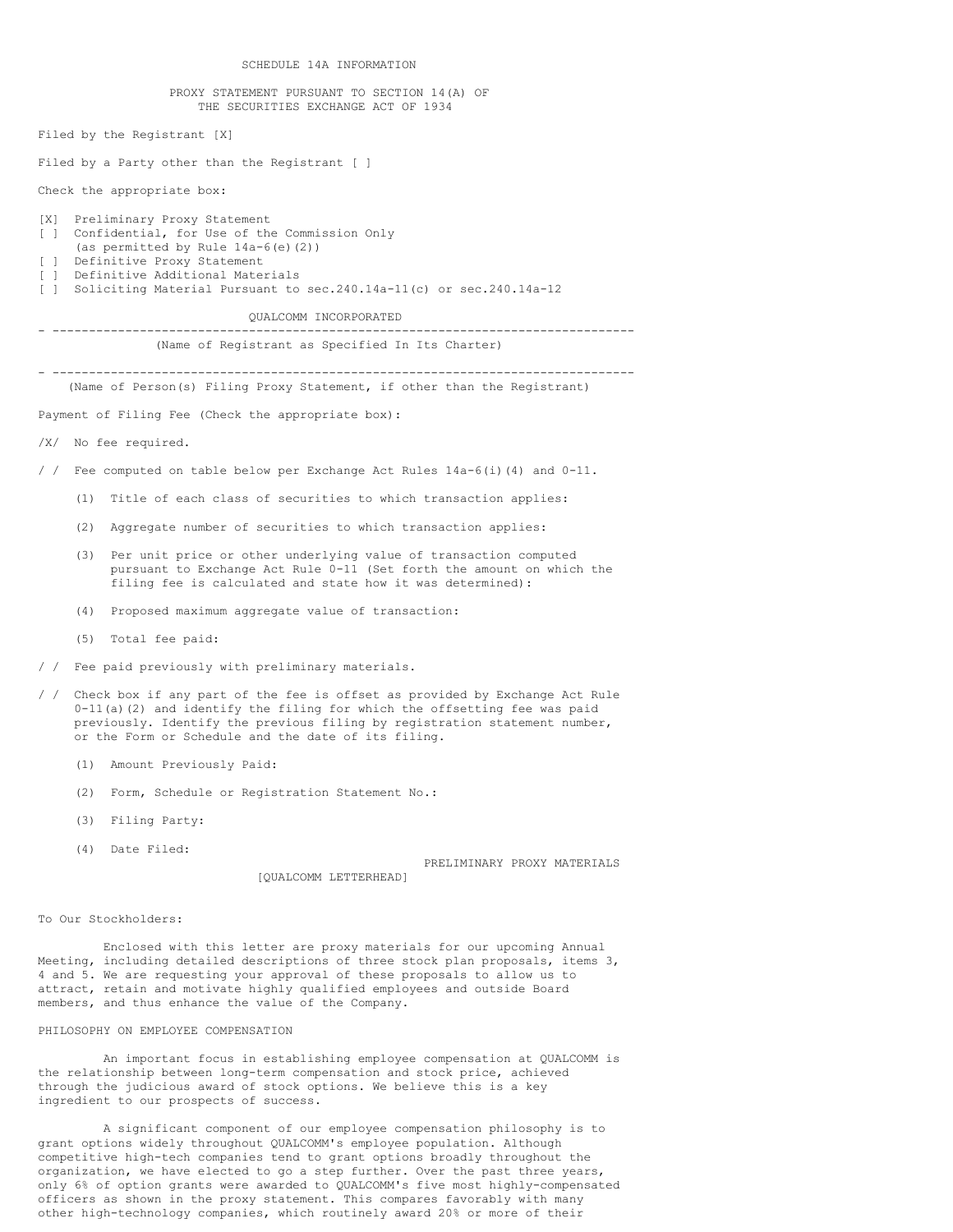SCHEDULE 14A INFORMATION

#### PROXY STATEMENT PURSUANT TO SECTION 14(A) OF THE SECURITIES EXCHANGE ACT OF 1934

Filed by the Registrant [X]

Filed by a Party other than the Registrant [ ]

Check the appropriate box:

# [X] Preliminary Proxy Statement [ ] Confidential, for Use of the Commission Only (as permitted by Rule 14a-6(e)(2)) [ ] Definitive Proxy Statement [ ] Definitive Additional Materials [ ] Soliciting Material Pursuant to sec.240.14a-11(c) or sec.240.14a-12

# QUALCOMM INCORPORATED

- --------------------------------------------------------------------------------

(Name of Registrant as Specified In Its Charter)

- -------------------------------------------------------------------------------- (Name of Person(s) Filing Proxy Statement, if other than the Registrant)

Payment of Filing Fee (Check the appropriate box):

/X/ No fee required.

/ / Fee computed on table below per Exchange Act Rules 14a-6(i)(4) and 0-11.

- (1) Title of each class of securities to which transaction applies:
- (2) Aggregate number of securities to which transaction applies:
- (3) Per unit price or other underlying value of transaction computed pursuant to Exchange Act Rule 0-11 (Set forth the amount on which the filing fee is calculated and state how it was determined):
- (4) Proposed maximum aggregate value of transaction:
- (5) Total fee paid:
- / / Fee paid previously with preliminary materials.
- / / Check box if any part of the fee is offset as provided by Exchange Act Rule 0-11(a)(2) and identify the filing for which the offsetting fee was paid previously. Identify the previous filing by registration statement number, or the Form or Schedule and the date of its filing.
	- (1) Amount Previously Paid:
	- (2) Form, Schedule or Registration Statement No.:
	- (3) Filing Party:
	- (4) Date Filed:

PRELIMINARY PROXY MATERIALS

To Our Stockholders:

Enclosed with this letter are proxy materials for our upcoming Annual Meeting, including detailed descriptions of three stock plan proposals, items 3, 4 and 5. We are requesting your approval of these proposals to allow us to attract, retain and motivate highly qualified employees and outside Board members, and thus enhance the value of the Company.

[QUALCOMM LETTERHEAD]

# PHILOSOPHY ON EMPLOYEE COMPENSATION

An important focus in establishing employee compensation at QUALCOMM is the relationship between long-term compensation and stock price, achieved through the judicious award of stock options. We believe this is a key ingredient to our prospects of success.

A significant component of our employee compensation philosophy is to grant options widely throughout QUALCOMM's employee population. Although competitive high-tech companies tend to grant options broadly throughout the organization, we have elected to go a step further. Over the past three years, only 6% of option grants were awarded to QUALCOMM's five most highly-compensated officers as shown in the proxy statement. This compares favorably with many other high-technology companies, which routinely award 20% or more of their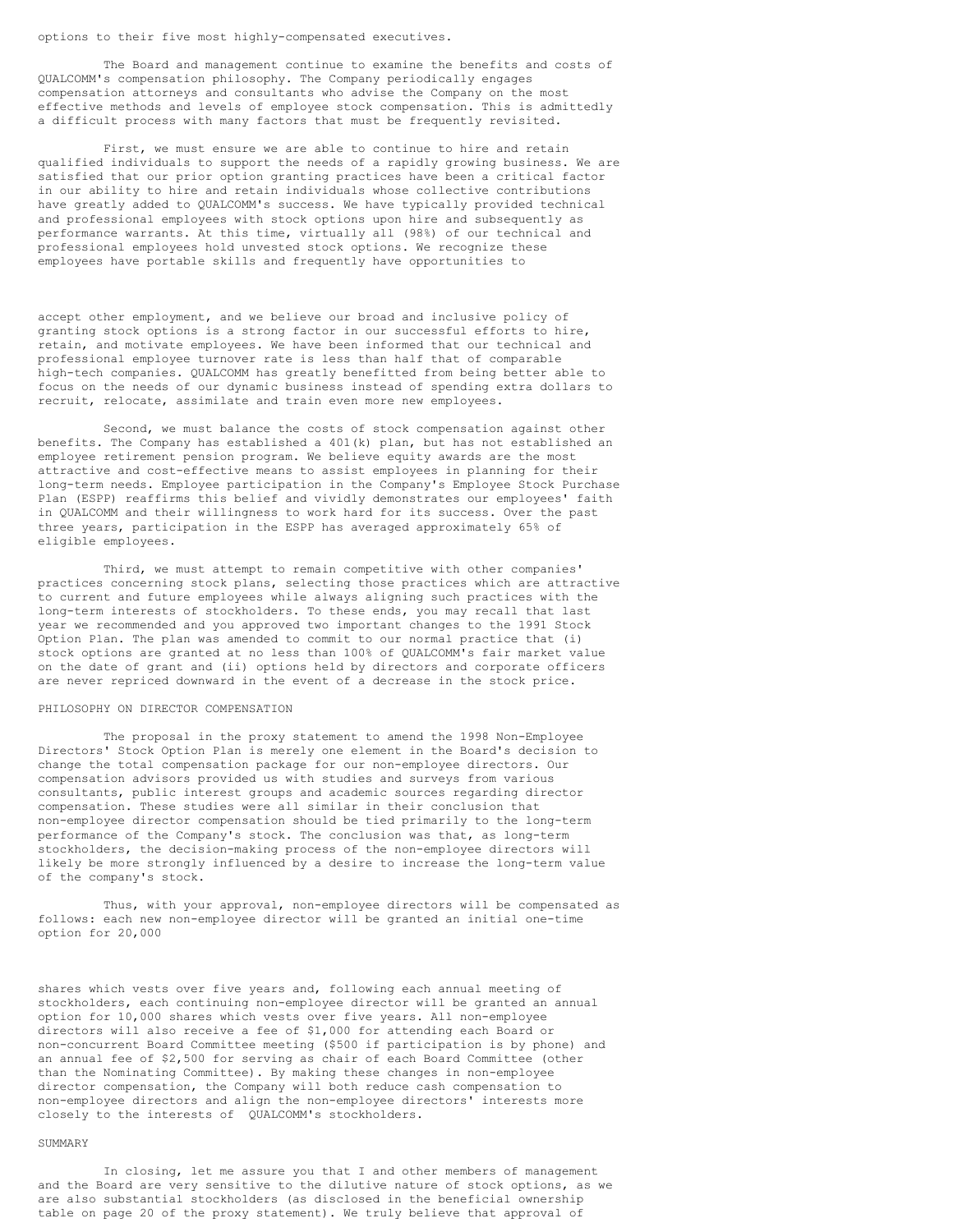options to their five most highly-compensated executives.

The Board and management continue to examine the benefits and costs of QUALCOMM's compensation philosophy. The Company periodically engages compensation attorneys and consultants who advise the Company on the most effective methods and levels of employee stock compensation. This is admittedly a difficult process with many factors that must be frequently revisited.

First, we must ensure we are able to continue to hire and retain qualified individuals to support the needs of a rapidly growing business. We are satisfied that our prior option granting practices have been a critical factor in our ability to hire and retain individuals whose collective contributions have greatly added to QUALCOMM's success. We have typically provided technical and professional employees with stock options upon hire and subsequently as performance warrants. At this time, virtually all (98%) of our technical and professional employees hold unvested stock options. We recognize these employees have portable skills and frequently have opportunities to

accept other employment, and we believe our broad and inclusive policy of granting stock options is a strong factor in our successful efforts to hire, retain, and motivate employees. We have been informed that our technical and professional employee turnover rate is less than half that of comparable high-tech companies. QUALCOMM has greatly benefitted from being better able to focus on the needs of our dynamic business instead of spending extra dollars to recruit, relocate, assimilate and train even more new employees.

Second, we must balance the costs of stock compensation against other benefits. The Company has established a 401(k) plan, but has not established an employee retirement pension program. We believe equity awards are the most attractive and cost-effective means to assist employees in planning for their long-term needs. Employee participation in the Company's Employee Stock Purchase Plan (ESPP) reaffirms this belief and vividly demonstrates our employees' faith in QUALCOMM and their willingness to work hard for its success. Over the past three years, participation in the ESPP has averaged approximately 65% of eligible employees.

Third, we must attempt to remain competitive with other companies' practices concerning stock plans, selecting those practices which are attractive to current and future employees while always aligning such practices with the long-term interests of stockholders. To these ends, you may recall that last year we recommended and you approved two important changes to the 1991 Stock Option Plan. The plan was amended to commit to our normal practice that (i) stock options are granted at no less than 100% of QUALCOMM's fair market value on the date of grant and (ii) options held by directors and corporate officers are never repriced downward in the event of a decrease in the stock price.

### PHILOSOPHY ON DIRECTOR COMPENSATION

The proposal in the proxy statement to amend the 1998 Non-Employee Directors' Stock Option Plan is merely one element in the Board's decision to change the total compensation package for our non-employee directors. Our compensation advisors provided us with studies and surveys from various consultants, public interest groups and academic sources regarding director compensation. These studies were all similar in their conclusion that non-employee director compensation should be tied primarily to the long-term performance of the Company's stock. The conclusion was that, as long-term stockholders, the decision-making process of the non-employee directors will likely be more strongly influenced by a desire to increase the long-term value of the company's stock.

Thus, with your approval, non-employee directors will be compensated as follows: each new non-employee director will be granted an initial one-time option for 20,000

shares which vests over five years and, following each annual meeting of stockholders, each continuing non-employee director will be granted an annual option for 10,000 shares which vests over five years. All non-employee directors will also receive a fee of \$1,000 for attending each Board or non-concurrent Board Committee meeting (\$500 if participation is by phone) and an annual fee of \$2,500 for serving as chair of each Board Committee (other than the Nominating Committee). By making these changes in non-employee director compensation, the Company will both reduce cash compensation to non-employee directors and align the non-employee directors' interests more closely to the interests of QUALCOMM's stockholders.

# SUMMARY

In closing, let me assure you that I and other members of management and the Board are very sensitive to the dilutive nature of stock options, as we are also substantial stockholders (as disclosed in the beneficial ownership table on page 20 of the proxy statement). We truly believe that approval of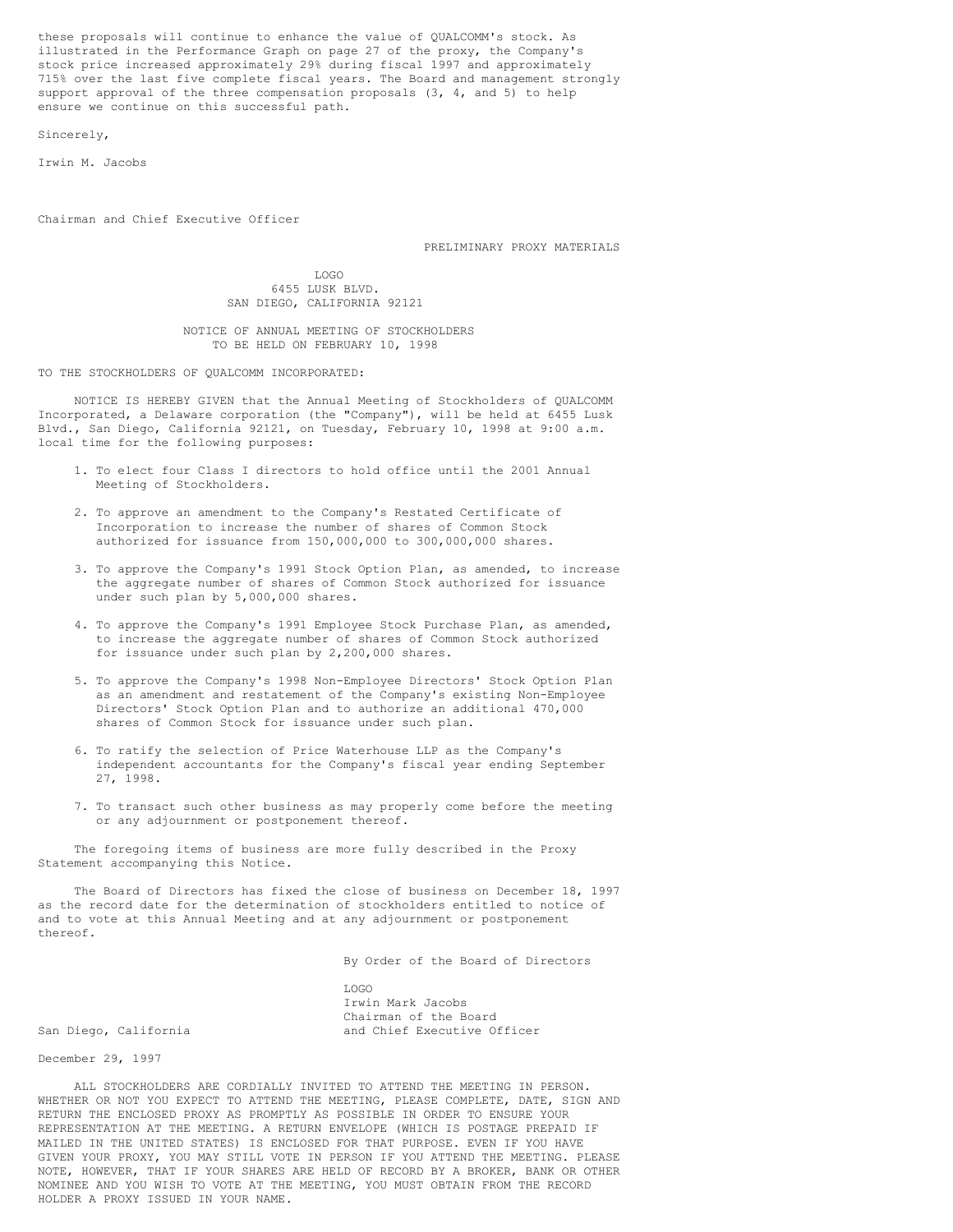these proposals will continue to enhance the value of QUALCOMM's stock. As illustrated in the Performance Graph on page 27 of the proxy, the Company's stock price increased approximately 29% during fiscal 1997 and approximately 715% over the last five complete fiscal years. The Board and management strongly support approval of the three compensation proposals (3, 4, and 5) to help ensure we continue on this successful path.

Sincerely,

Irwin M. Jacobs

Chairman and Chief Executive Officer

PRELIMINARY PROXY MATERIALS

LOGO 6455 LUSK BLVD. SAN DIEGO, CALIFORNIA 92121

NOTICE OF ANNUAL MEETING OF STOCKHOLDERS TO BE HELD ON FEBRUARY 10, 1998

TO THE STOCKHOLDERS OF QUALCOMM INCORPORATED:

NOTICE IS HEREBY GIVEN that the Annual Meeting of Stockholders of QUALCOMM Incorporated, a Delaware corporation (the "Company"), will be held at 6455 Lusk Blvd., San Diego, California 92121, on Tuesday, February 10, 1998 at 9:00 a.m. local time for the following purposes:

- 1. To elect four Class I directors to hold office until the 2001 Annual Meeting of Stockholders.
- 2. To approve an amendment to the Company's Restated Certificate of Incorporation to increase the number of shares of Common Stock authorized for issuance from 150,000,000 to 300,000,000 shares.
- 3. To approve the Company's 1991 Stock Option Plan, as amended, to increase the aggregate number of shares of Common Stock authorized for issuance under such plan by 5,000,000 shares.
- 4. To approve the Company's 1991 Employee Stock Purchase Plan, as amended, to increase the aggregate number of shares of Common Stock authorized for issuance under such plan by 2,200,000 shares.
- 5. To approve the Company's 1998 Non-Employee Directors' Stock Option Plan as an amendment and restatement of the Company's existing Non-Employee Directors' Stock Option Plan and to authorize an additional 470,000 shares of Common Stock for issuance under such plan.
- 6. To ratify the selection of Price Waterhouse LLP as the Company's independent accountants for the Company's fiscal year ending September 27, 1998.
- 7. To transact such other business as may properly come before the meeting or any adjournment or postponement thereof.

The foregoing items of business are more fully described in the Proxy Statement accompanying this Notice.

The Board of Directors has fixed the close of business on December 18, 1997 as the record date for the determination of stockholders entitled to notice of and to vote at this Annual Meeting and at any adjournment or postponement thereof.

By Order of the Board of Directors

LOGO Irwin Mark Jacobs Chairman of the Board San Diego, California and Chief Executive Officer

December 29, 1997

ALL STOCKHOLDERS ARE CORDIALLY INVITED TO ATTEND THE MEETING IN PERSON. WHETHER OR NOT YOU EXPECT TO ATTEND THE MEETING, PLEASE COMPLETE, DATE, SIGN AND RETURN THE ENCLOSED PROXY AS PROMPTLY AS POSSIBLE IN ORDER TO ENSURE YOUR REPRESENTATION AT THE MEETING. A RETURN ENVELOPE (WHICH IS POSTAGE PREPAID IF MAILED IN THE UNITED STATES) IS ENCLOSED FOR THAT PURPOSE. EVEN IF YOU HAVE GIVEN YOUR PROXY, YOU MAY STILL VOTE IN PERSON IF YOU ATTEND THE MEETING. PLEASE NOTE, HOWEVER, THAT IF YOUR SHARES ARE HELD OF RECORD BY A BROKER, BANK OR OTHER NOMINEE AND YOU WISH TO VOTE AT THE MEETING, YOU MUST OBTAIN FROM THE RECORD HOLDER A PROXY ISSUED IN YOUR NAME.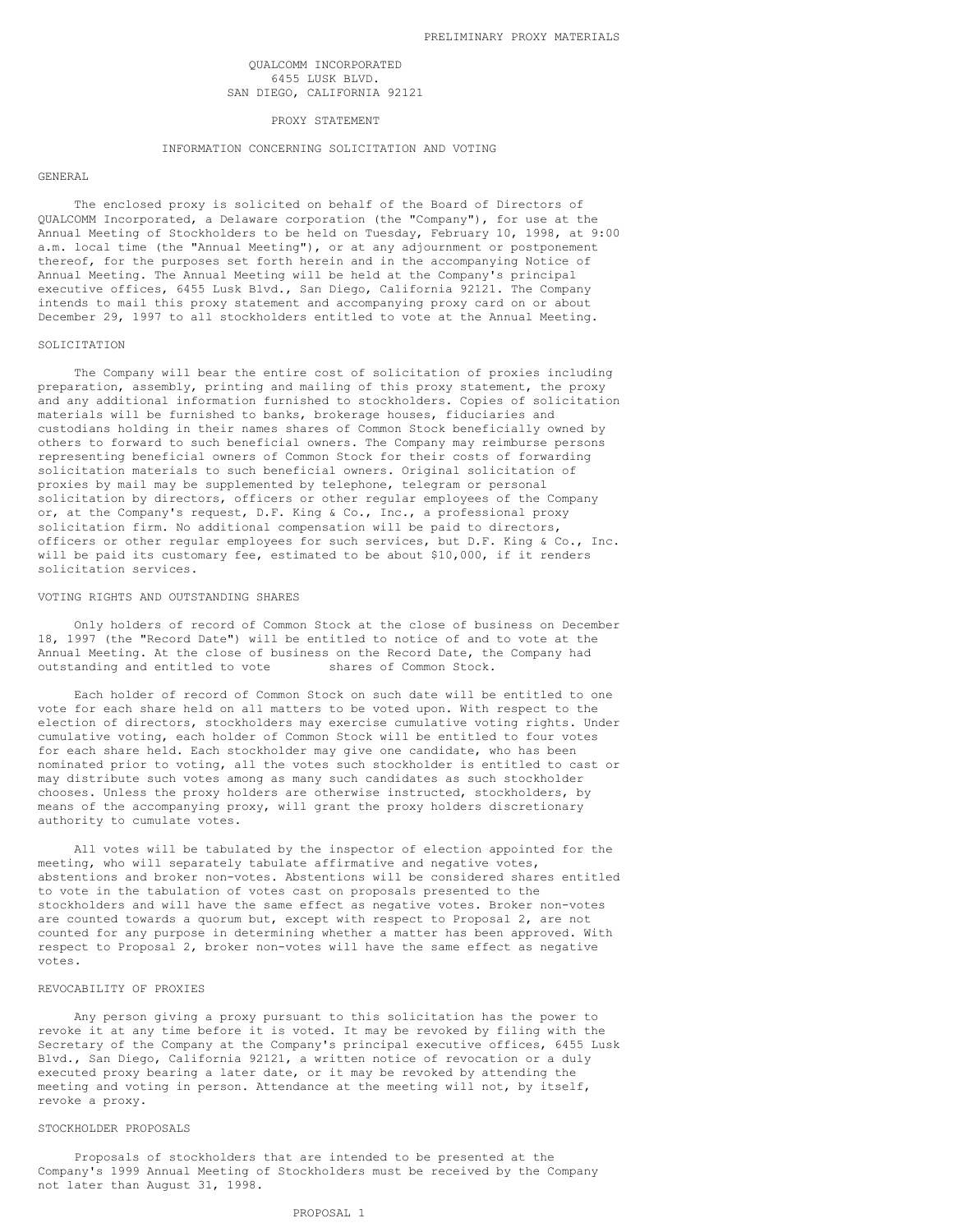## QUALCOMM INCORPORATED 6455 LUSK BLVD. SAN DIEGO, CALIFORNIA 92121

#### PROXY STATEMENT

# INFORMATION CONCERNING SOLICITATION AND VOTING

#### GENERAL

The enclosed proxy is solicited on behalf of the Board of Directors of QUALCOMM Incorporated, a Delaware corporation (the "Company"), for use at the Annual Meeting of Stockholders to be held on Tuesday, February 10, 1998, at 9:00 a.m. local time (the "Annual Meeting"), or at any adjournment or postponement thereof, for the purposes set forth herein and in the accompanying Notice of Annual Meeting. The Annual Meeting will be held at the Company's principal executive offices, 6455 Lusk Blvd., San Diego, California 92121. The Company intends to mail this proxy statement and accompanying proxy card on or about December 29, 1997 to all stockholders entitled to vote at the Annual Meeting.

#### SOLICITATION

The Company will bear the entire cost of solicitation of proxies including preparation, assembly, printing and mailing of this proxy statement, the proxy and any additional information furnished to stockholders. Copies of solicitation materials will be furnished to banks, brokerage houses, fiduciaries and custodians holding in their names shares of Common Stock beneficially owned by others to forward to such beneficial owners. The Company may reimburse persons representing beneficial owners of Common Stock for their costs of forwarding solicitation materials to such beneficial owners. Original solicitation of proxies by mail may be supplemented by telephone, telegram or personal solicitation by directors, officers or other regular employees of the Company or, at the Company's request, D.F. King & Co., Inc., a professional proxy solicitation firm. No additional compensation will be paid to directors, officers or other regular employees for such services, but D.F. King & Co., Inc. will be paid its customary fee, estimated to be about \$10,000, if it renders solicitation services.

### VOTING RIGHTS AND OUTSTANDING SHARES

Only holders of record of Common Stock at the close of business on December 18, 1997 (the "Record Date") will be entitled to notice of and to vote at the Annual Meeting. At the close of business on the Record Date, the Company had outstanding and entitled to vote shares of Common Stock.

Each holder of record of Common Stock on such date will be entitled to one vote for each share held on all matters to be voted upon. With respect to the election of directors, stockholders may exercise cumulative voting rights. Under cumulative voting, each holder of Common Stock will be entitled to four votes for each share held. Each stockholder may give one candidate, who has been nominated prior to voting, all the votes such stockholder is entitled to cast or may distribute such votes among as many such candidates as such stockholder chooses. Unless the proxy holders are otherwise instructed, stockholders, by means of the accompanying proxy, will grant the proxy holders discretionary authority to cumulate votes.

All votes will be tabulated by the inspector of election appointed for the meeting, who will separately tabulate affirmative and negative votes, abstentions and broker non-votes. Abstentions will be considered shares entitled to vote in the tabulation of votes cast on proposals presented to the stockholders and will have the same effect as negative votes. Broker non-votes are counted towards a quorum but, except with respect to Proposal 2, are not counted for any purpose in determining whether a matter has been approved. With respect to Proposal 2, broker non-votes will have the same effect as negative votes.

#### REVOCABILITY OF PROXIES

Any person giving a proxy pursuant to this solicitation has the power to revoke it at any time before it is voted. It may be revoked by filing with the Secretary of the Company at the Company's principal executive offices, 6455 Lusk Blvd., San Diego, California 92121, a written notice of revocation or a duly executed proxy bearing a later date, or it may be revoked by attending the meeting and voting in person. Attendance at the meeting will not, by itself, revoke a proxy.

# STOCKHOLDER PROPOSALS

Proposals of stockholders that are intended to be presented at the Company's 1999 Annual Meeting of Stockholders must be received by the Company not later than August 31, 1998.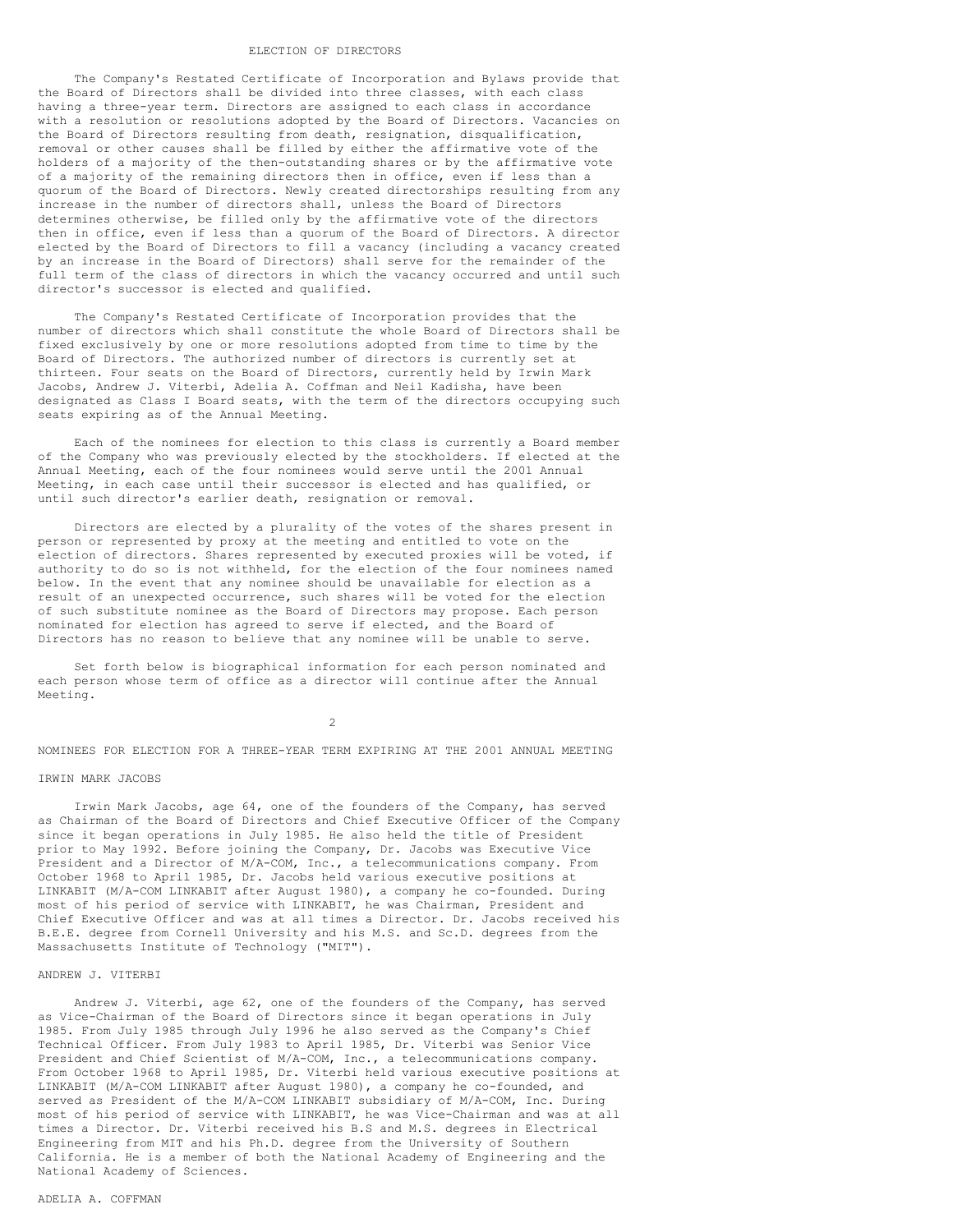#### ELECTION OF DIRECTORS

The Company's Restated Certificate of Incorporation and Bylaws provide that the Board of Directors shall be divided into three classes, with each class having a three-year term. Directors are assigned to each class in accordance with a resolution or resolutions adopted by the Board of Directors. Vacancies on the Board of Directors resulting from death, resignation, disqualification, removal or other causes shall be filled by either the affirmative vote of the holders of a majority of the then-outstanding shares or by the affirmative vote of a majority of the remaining directors then in office, even if less than a quorum of the Board of Directors. Newly created directorships resulting from any increase in the number of directors shall, unless the Board of Directors determines otherwise, be filled only by the affirmative vote of the directors then in office, even if less than a quorum of the Board of Directors. A director elected by the Board of Directors to fill a vacancy (including a vacancy created by an increase in the Board of Directors) shall serve for the remainder of the full term of the class of directors in which the vacancy occurred and until such director's successor is elected and qualified.

The Company's Restated Certificate of Incorporation provides that the number of directors which shall constitute the whole Board of Directors shall be fixed exclusively by one or more resolutions adopted from time to time by the Board of Directors. The authorized number of directors is currently set at thirteen. Four seats on the Board of Directors, currently held by Irwin Mark Jacobs, Andrew J. Viterbi, Adelia A. Coffman and Neil Kadisha, have been designated as Class I Board seats, with the term of the directors occupying such seats expiring as of the Annual Meeting.

Each of the nominees for election to this class is currently a Board member of the Company who was previously elected by the stockholders. If elected at the Annual Meeting, each of the four nominees would serve until the 2001 Annual Meeting, in each case until their successor is elected and has qualified, or until such director's earlier death, resignation or removal.

Directors are elected by a plurality of the votes of the shares present in person or represented by proxy at the meeting and entitled to vote on the election of directors. Shares represented by executed proxies will be voted, if authority to do so is not withheld, for the election of the four nominees named below. In the event that any nominee should be unavailable for election as a result of an unexpected occurrence, such shares will be voted for the election of such substitute nominee as the Board of Directors may propose. Each person nominated for election has agreed to serve if elected, and the Board of Directors has no reason to believe that any nominee will be unable to serve.

Set forth below is biographical information for each person nominated and each person whose term of office as a director will continue after the Annual Meeting.

2

NOMINEES FOR ELECTION FOR A THREE-YEAR TERM EXPIRING AT THE 2001 ANNUAL MEETING

# IRWIN MARK JACOBS

Irwin Mark Jacobs, age 64, one of the founders of the Company, has served as Chairman of the Board of Directors and Chief Executive Officer of the Company since it began operations in July 1985. He also held the title of President prior to May 1992. Before joining the Company, Dr. Jacobs was Executive Vice President and a Director of M/A-COM, Inc., a telecommunications company. From October 1968 to April 1985, Dr. Jacobs held various executive positions at LINKABIT (M/A-COM LINKABIT after August 1980), a company he co-founded. During most of his period of service with LINKABIT, he was Chairman, President and Chief Executive Officer and was at all times a Director. Dr. Jacobs received his B.E.E. degree from Cornell University and his M.S. and Sc.D. degrees from the Massachusetts Institute of Technology ("MIT").

# ANDREW J. VITERBI

Andrew J. Viterbi, age 62, one of the founders of the Company, has served as Vice-Chairman of the Board of Directors since it began operations in July 1985. From July 1985 through July 1996 he also served as the Company's Chief Technical Officer. From July 1983 to April 1985, Dr. Viterbi was Senior Vice President and Chief Scientist of M/A-COM, Inc., a telecommunications company. From October 1968 to April 1985, Dr. Viterbi held various executive positions at LINKABIT (M/A-COM LINKABIT after August 1980), a company he co-founded, and served as President of the M/A-COM LINKABIT subsidiary of M/A-COM, Inc. During most of his period of service with LINKABIT, he was Vice-Chairman and was at all times a Director. Dr. Viterbi received his B.S and M.S. degrees in Electrical Engineering from MIT and his Ph.D. degree from the University of Southern California. He is a member of both the National Academy of Engineering and the National Academy of Sciences.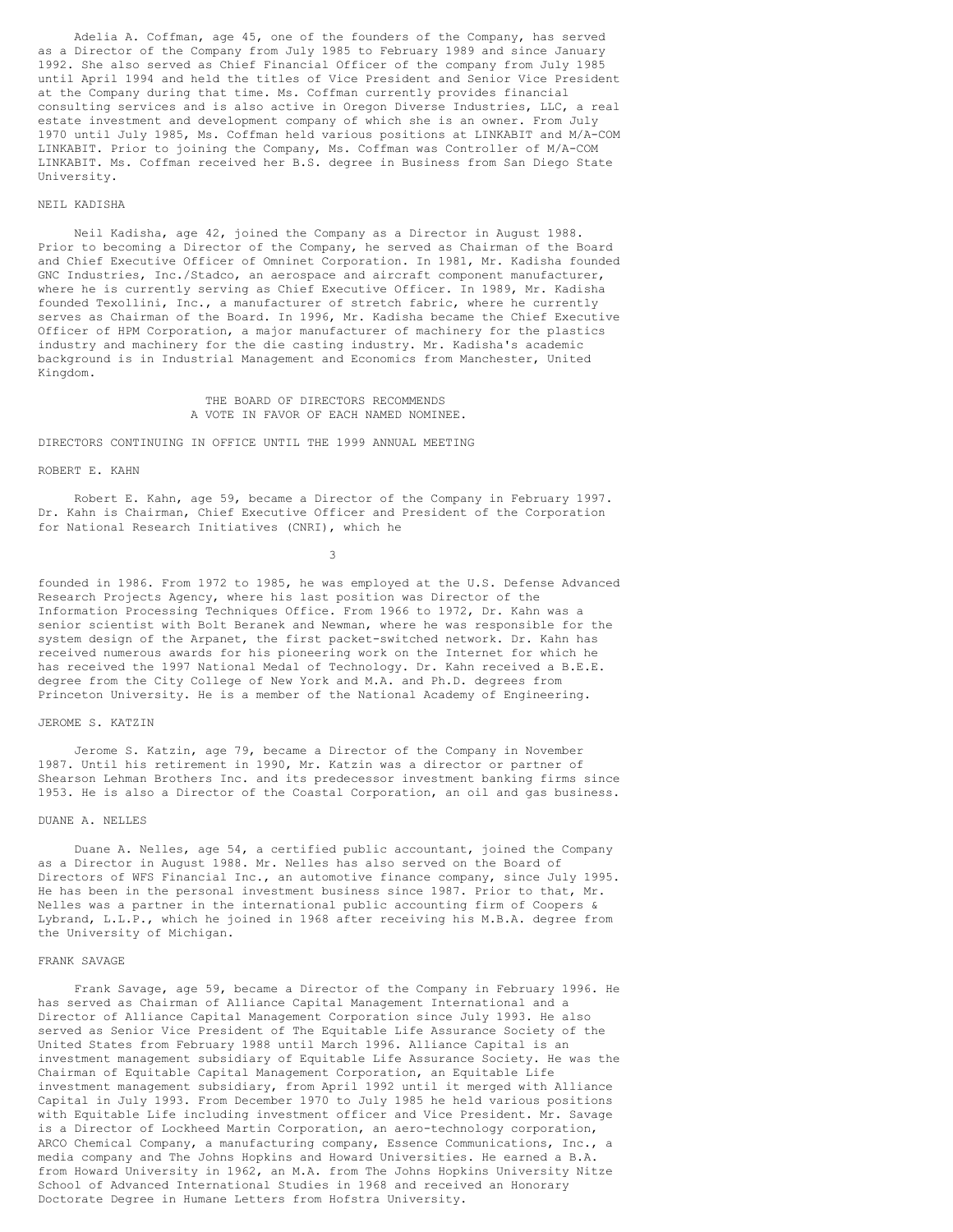Adelia A. Coffman, age 45, one of the founders of the Company, has served as a Director of the Company from July 1985 to February 1989 and since January 1992. She also served as Chief Financial Officer of the company from July 1985 until April 1994 and held the titles of Vice President and Senior Vice President at the Company during that time. Ms. Coffman currently provides financial consulting services and is also active in Oregon Diverse Industries, LLC, a real estate investment and development company of which she is an owner. From July 1970 until July 1985, Ms. Coffman held various positions at LINKABIT and M/A-COM LINKABIT. Prior to joining the Company, Ms. Coffman was Controller of M/A-COM LINKABIT. Ms. Coffman received her B.S. degree in Business from San Diego State University.

# NEIL KADISHA

Neil Kadisha, age 42, joined the Company as a Director in August 1988. Prior to becoming a Director of the Company, he served as Chairman of the Board and Chief Executive Officer of Omninet Corporation. In 1981, Mr. Kadisha founded GNC Industries, Inc./Stadco, an aerospace and aircraft component manufacturer, where he is currently serving as Chief Executive Officer. In 1989, Mr. Kadisha founded Texollini, Inc., a manufacturer of stretch fabric, where he currently serves as Chairman of the Board. In 1996, Mr. Kadisha became the Chief Executive Officer of HPM Corporation, a major manufacturer of machinery for the plastics industry and machinery for the die casting industry. Mr. Kadisha's academic background is in Industrial Management and Economics from Manchester, United Kingdom.

> THE BOARD OF DIRECTORS RECOMMENDS A VOTE IN FAVOR OF EACH NAMED NOMINEE.

# DIRECTORS CONTINUING IN OFFICE UNTIL THE 1999 ANNUAL MEETING

#### ROBERT E. KAHN

Robert E. Kahn, age 59, became a Director of the Company in February 1997. Dr. Kahn is Chairman, Chief Executive Officer and President of the Corporation for National Research Initiatives (CNRI), which he

3

founded in 1986. From 1972 to 1985, he was employed at the U.S. Defense Advanced Research Projects Agency, where his last position was Director of the Information Processing Techniques Office. From 1966 to 1972, Dr. Kahn was a senior scientist with Bolt Beranek and Newman, where he was responsible for the system design of the Arpanet, the first packet-switched network. Dr. Kahn has received numerous awards for his pioneering work on the Internet for which he has received the 1997 National Medal of Technology. Dr. Kahn received a B.E.E. degree from the City College of New York and M.A. and Ph.D. degrees from Princeton University. He is a member of the National Academy of Engineering.

#### JEROME S. KATZIN

Jerome S. Katzin, age 79, became a Director of the Company in November 1987. Until his retirement in 1990, Mr. Katzin was a director or partner of Shearson Lehman Brothers Inc. and its predecessor investment banking firms since 1953. He is also a Director of the Coastal Corporation, an oil and gas business.

#### DUANE A. NELLES

Duane A. Nelles, age 54, a certified public accountant, joined the Company as a Director in August 1988. Mr. Nelles has also served on the Board of Directors of WFS Financial Inc., an automotive finance company, since July 1995. He has been in the personal investment business since 1987. Prior to that, Mr. Nelles was a partner in the international public accounting firm of Coopers & Lybrand, L.L.P., which he joined in 1968 after receiving his M.B.A. degree from the University of Michigan.

## FRANK SAVAGE

Frank Savage, age 59, became a Director of the Company in February 1996. He has served as Chairman of Alliance Capital Management International and a Director of Alliance Capital Management Corporation since July 1993. He also served as Senior Vice President of The Equitable Life Assurance Society of the United States from February 1988 until March 1996. Alliance Capital is an investment management subsidiary of Equitable Life Assurance Society. He was the Chairman of Equitable Capital Management Corporation, an Equitable Life investment management subsidiary, from April 1992 until it merged with Alliance Capital in July 1993. From December 1970 to July 1985 he held various positions with Equitable Life including investment officer and Vice President. Mr. Savage is a Director of Lockheed Martin Corporation, an aero-technology corporation, ARCO Chemical Company, a manufacturing company, Essence Communications, Inc., a media company and The Johns Hopkins and Howard Universities. He earned a B.A. from Howard University in 1962, an M.A. from The Johns Hopkins University Nitze School of Advanced International Studies in 1968 and received an Honorary Doctorate Degree in Humane Letters from Hofstra University.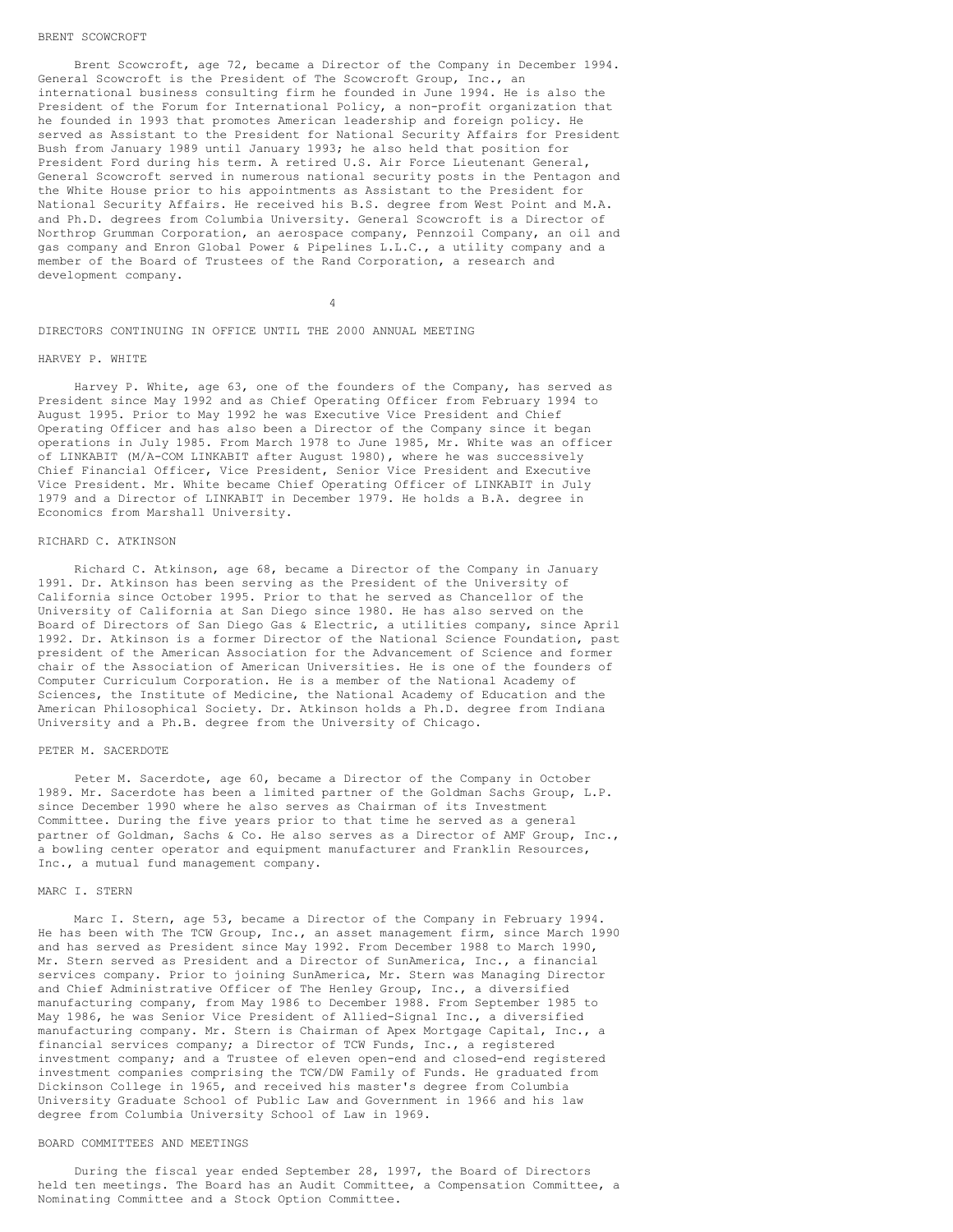#### BRENT SCOWCROFT

Brent Scowcroft, age 72, became a Director of the Company in December 1994. General Scowcroft is the President of The Scowcroft Group, Inc., an international business consulting firm he founded in June 1994. He is also the President of the Forum for International Policy, a non-profit organization that he founded in 1993 that promotes American leadership and foreign policy. He served as Assistant to the President for National Security Affairs for President Bush from January 1989 until January 1993; he also held that position for President Ford during his term. A retired U.S. Air Force Lieutenant General, General Scowcroft served in numerous national security posts in the Pentagon and the White House prior to his appointments as Assistant to the President for National Security Affairs. He received his B.S. degree from West Point and M.A. and Ph.D. degrees from Columbia University. General Scowcroft is a Director of Northrop Grumman Corporation, an aerospace company, Pennzoil Company, an oil and gas company and Enron Global Power & Pipelines L.L.C., a utility company and a member of the Board of Trustees of the Rand Corporation, a research and development company.

4

DIRECTORS CONTINUING IN OFFICE UNTIL THE 2000 ANNUAL MEETING

#### HARVEY P. WHITE

Harvey P. White, age 63, one of the founders of the Company, has served as President since May 1992 and as Chief Operating Officer from February 1994 to August 1995. Prior to May 1992 he was Executive Vice President and Chief Operating Officer and has also been a Director of the Company since it began operations in July 1985. From March 1978 to June 1985, Mr. White was an officer of LINKABIT (M/A-COM LINKABIT after August 1980), where he was successively Chief Financial Officer, Vice President, Senior Vice President and Executive Vice President. Mr. White became Chief Operating Officer of LINKABIT in July 1979 and a Director of LINKABIT in December 1979. He holds a B.A. degree in Economics from Marshall University.

#### RICHARD C. ATKINSON

Richard C. Atkinson, age 68, became a Director of the Company in January 1991. Dr. Atkinson has been serving as the President of the University of California since October 1995. Prior to that he served as Chancellor of the University of California at San Diego since 1980. He has also served on the Board of Directors of San Diego Gas & Electric, a utilities company, since April 1992. Dr. Atkinson is a former Director of the National Science Foundation, past president of the American Association for the Advancement of Science and former chair of the Association of American Universities. He is one of the founders of Computer Curriculum Corporation. He is a member of the National Academy of Sciences, the Institute of Medicine, the National Academy of Education and the American Philosophical Society. Dr. Atkinson holds a Ph.D. degree from Indiana University and a Ph.B. degree from the University of Chicago.

## PETER M. SACERDOTE

Peter M. Sacerdote, age 60, became a Director of the Company in October 1989. Mr. Sacerdote has been a limited partner of the Goldman Sachs Group, L.P. since December 1990 where he also serves as Chairman of its Investment Committee. During the five years prior to that time he served as a general partner of Goldman, Sachs & Co. He also serves as a Director of AMF Group, Inc., a bowling center operator and equipment manufacturer and Franklin Resources, Inc., a mutual fund management company.

# MARC I. STERN

Marc I. Stern, age 53, became a Director of the Company in February 1994. He has been with The TCW Group, Inc., an asset management firm, since March 1990 and has served as President since May 1992. From December 1988 to March 1990, Mr. Stern served as President and a Director of SunAmerica, Inc., a financial services company. Prior to joining SunAmerica, Mr. Stern was Managing Director and Chief Administrative Officer of The Henley Group, Inc., a diversified manufacturing company, from May 1986 to December 1988. From September 1985 to May 1986, he was Senior Vice President of Allied-Signal Inc., a diversified manufacturing company. Mr. Stern is Chairman of Apex Mortgage Capital, Inc., a financial services company; a Director of TCW Funds, Inc., a registered investment company; and a Trustee of eleven open-end and closed-end registered investment companies comprising the TCW/DW Family of Funds. He graduated from Dickinson College in 1965, and received his master's degree from Columbia University Graduate School of Public Law and Government in 1966 and his law degree from Columbia University School of Law in 1969.

# BOARD COMMITTEES AND MEETINGS

During the fiscal year ended September 28, 1997, the Board of Directors held ten meetings. The Board has an Audit Committee, a Compensation Committee, a Nominating Committee and a Stock Option Committee.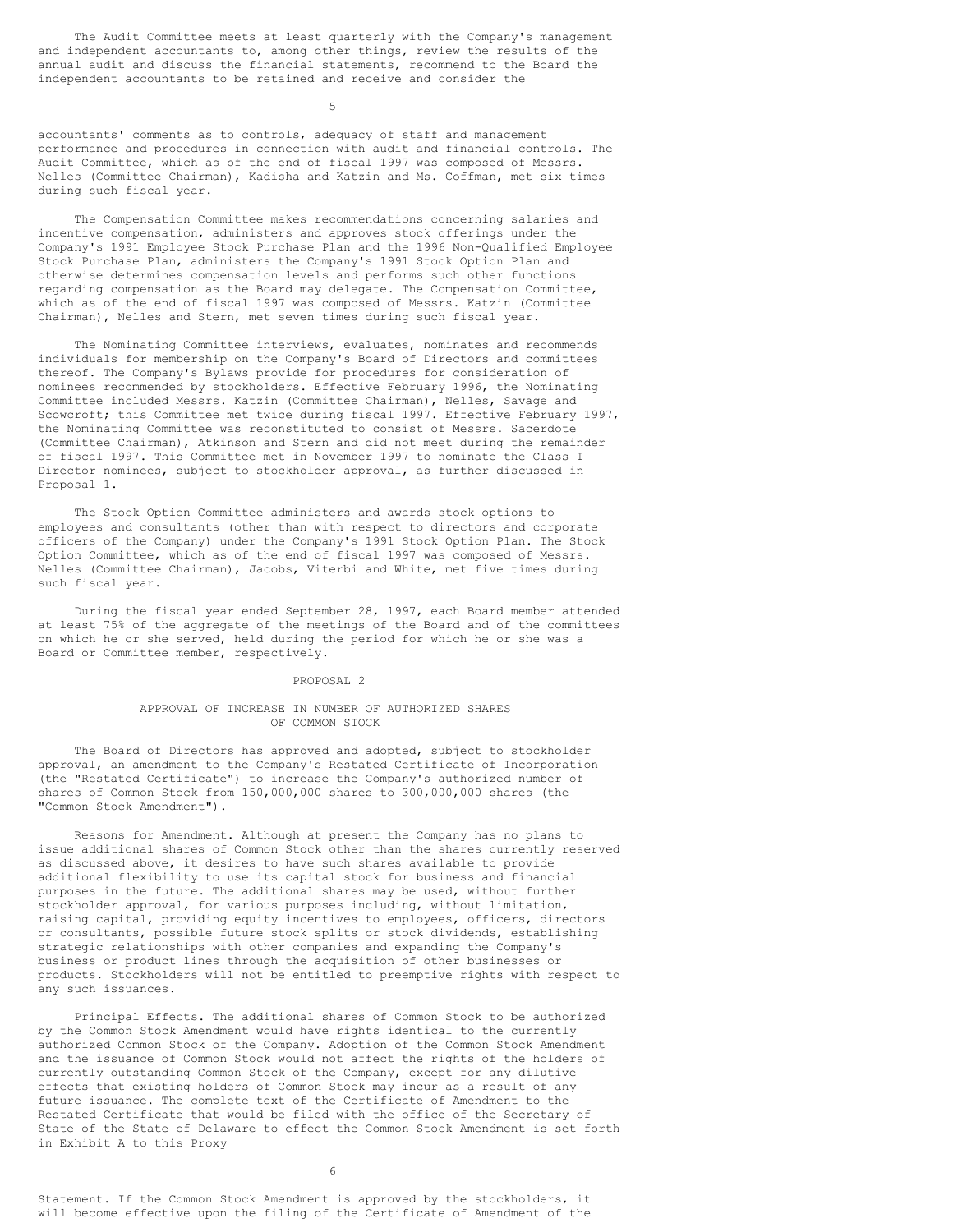The Audit Committee meets at least quarterly with the Company's management and independent accountants to, among other things, review the results of the annual audit and discuss the financial statements, recommend to the Board the independent accountants to be retained and receive and consider the

5

accountants' comments as to controls, adequacy of staff and management performance and procedures in connection with audit and financial controls. The Audit Committee, which as of the end of fiscal 1997 was composed of Messrs. Nelles (Committee Chairman), Kadisha and Katzin and Ms. Coffman, met six times during such fiscal year.

The Compensation Committee makes recommendations concerning salaries and incentive compensation, administers and approves stock offerings under the Company's 1991 Employee Stock Purchase Plan and the 1996 Non-Qualified Employee Stock Purchase Plan, administers the Company's 1991 Stock Option Plan and otherwise determines compensation levels and performs such other functions regarding compensation as the Board may delegate. The Compensation Committee, which as of the end of fiscal 1997 was composed of Messrs. Katzin (Committee Chairman), Nelles and Stern, met seven times during such fiscal year.

The Nominating Committee interviews, evaluates, nominates and recommends individuals for membership on the Company's Board of Directors and committees thereof. The Company's Bylaws provide for procedures for consideration of nominees recommended by stockholders. Effective February 1996, the Nominating Committee included Messrs. Katzin (Committee Chairman), Nelles, Savage and Scowcroft; this Committee met twice during fiscal 1997. Effective February 1997, the Nominating Committee was reconstituted to consist of Messrs. Sacerdote (Committee Chairman), Atkinson and Stern and did not meet during the remainder of fiscal 1997. This Committee met in November 1997 to nominate the Class I Director nominees, subject to stockholder approval, as further discussed in Proposal 1.

The Stock Option Committee administers and awards stock options to employees and consultants (other than with respect to directors and corporate officers of the Company) under the Company's 1991 Stock Option Plan. The Stock Option Committee, which as of the end of fiscal 1997 was composed of Messrs. Nelles (Committee Chairman), Jacobs, Viterbi and White, met five times during such fiscal year.

During the fiscal year ended September 28, 1997, each Board member attended at least 75% of the aggregate of the meetings of the Board and of the committees on which he or she served, held during the period for which he or she was a Board or Committee member, respectively.

#### PROPOSAL 2

### APPROVAL OF INCREASE IN NUMBER OF AUTHORIZED SHARES OF COMMON STOCK

The Board of Directors has approved and adopted, subject to stockholder approval, an amendment to the Company's Restated Certificate of Incorporation (the "Restated Certificate") to increase the Company's authorized number of shares of Common Stock from 150,000,000 shares to 300,000,000 shares (the "Common Stock Amendment").

Reasons for Amendment. Although at present the Company has no plans to issue additional shares of Common Stock other than the shares currently reserved as discussed above, it desires to have such shares available to provide additional flexibility to use its capital stock for business and financial purposes in the future. The additional shares may be used, without further stockholder approval, for various purposes including, without limitation, raising capital, providing equity incentives to employees, officers, directors or consultants, possible future stock splits or stock dividends, establishing strategic relationships with other companies and expanding the Company's business or product lines through the acquisition of other businesses or products. Stockholders will not be entitled to preemptive rights with respect to any such issuances.

Principal Effects. The additional shares of Common Stock to be authorized by the Common Stock Amendment would have rights identical to the currently authorized Common Stock of the Company. Adoption of the Common Stock Amendment and the issuance of Common Stock would not affect the rights of the holders of currently outstanding Common Stock of the Company, except for any dilutive effects that existing holders of Common Stock may incur as a result of any future issuance. The complete text of the Certificate of Amendment to the Restated Certificate that would be filed with the office of the Secretary of State of the State of Delaware to effect the Common Stock Amendment is set forth in Exhibit A to this Proxy

6

Statement. If the Common Stock Amendment is approved by the stockholders, it will become effective upon the filing of the Certificate of Amendment of the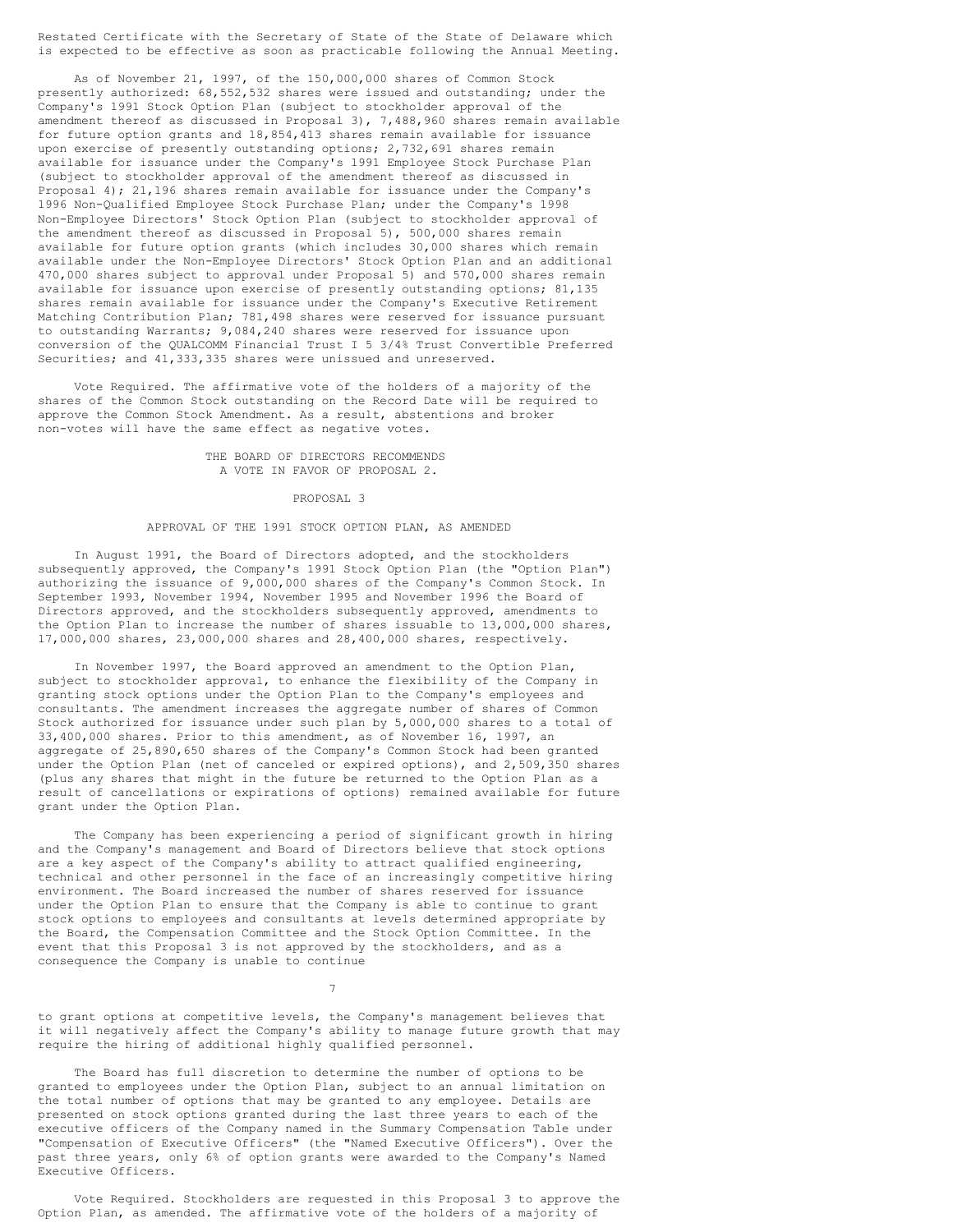Restated Certificate with the Secretary of State of the State of Delaware which is expected to be effective as soon as practicable following the Annual Meeting.

As of November 21, 1997, of the 150,000,000 shares of Common Stock presently authorized: 68,552,532 shares were issued and outstanding; under the Company's 1991 Stock Option Plan (subject to stockholder approval of the amendment thereof as discussed in Proposal 3), 7,488,960 shares remain available for future option grants and 18,854,413 shares remain available for issuance upon exercise of presently outstanding options; 2,732,691 shares remain available for issuance under the Company's 1991 Employee Stock Purchase Plan (subject to stockholder approval of the amendment thereof as discussed in Proposal 4); 21,196 shares remain available for issuance under the Company's 1996 Non-Qualified Employee Stock Purchase Plan; under the Company's 1998 Non-Employee Directors' Stock Option Plan (subject to stockholder approval of the amendment thereof as discussed in Proposal 5), 500,000 shares remain available for future option grants (which includes 30,000 shares which remain available under the Non-Employee Directors' Stock Option Plan and an additional 470,000 shares subject to approval under Proposal 5) and 570,000 shares remain available for issuance upon exercise of presently outstanding options; 81,135 shares remain available for issuance under the Company's Executive Retirement Matching Contribution Plan; 781,498 shares were reserved for issuance pursuant to outstanding Warrants; 9,084,240 shares were reserved for issuance upon conversion of the QUALCOMM Financial Trust I 5 3/4% Trust Convertible Preferred Securities; and 41,333,335 shares were unissued and unreserved.

Vote Required. The affirmative vote of the holders of a majority of the shares of the Common Stock outstanding on the Record Date will be required to approve the Common Stock Amendment. As a result, abstentions and broker non-votes will have the same effect as negative votes.

### THE BOARD OF DIRECTORS RECOMMENDS A VOTE IN FAVOR OF PROPOSAL 2.

#### PROPOSAL 3

### APPROVAL OF THE 1991 STOCK OPTION PLAN, AS AMENDED

In August 1991, the Board of Directors adopted, and the stockholders subsequently approved, the Company's 1991 Stock Option Plan (the "Option Plan") authorizing the issuance of 9,000,000 shares of the Company's Common Stock. In September 1993, November 1994, November 1995 and November 1996 the Board of Directors approved, and the stockholders subsequently approved, amendments to the Option Plan to increase the number of shares issuable to 13,000,000 shares, 17,000,000 shares, 23,000,000 shares and 28,400,000 shares, respectively.

In November 1997, the Board approved an amendment to the Option Plan, subject to stockholder approval, to enhance the flexibility of the Company in granting stock options under the Option Plan to the Company's employees and consultants. The amendment increases the aggregate number of shares of Common Stock authorized for issuance under such plan by 5,000,000 shares to a total of 33,400,000 shares. Prior to this amendment, as of November 16, 1997, an aggregate of 25,890,650 shares of the Company's Common Stock had been granted under the Option Plan (net of canceled or expired options), and 2,509,350 shares (plus any shares that might in the future be returned to the Option Plan as a result of cancellations or expirations of options) remained available for future grant under the Option Plan.

The Company has been experiencing a period of significant growth in hiring and the Company's management and Board of Directors believe that stock options are a key aspect of the Company's ability to attract qualified engineering, technical and other personnel in the face of an increasingly competitive hiring environment. The Board increased the number of shares reserved for issuance under the Option Plan to ensure that the Company is able to continue to grant stock options to employees and consultants at levels determined appropriate by the Board, the Compensation Committee and the Stock Option Committee. In the event that this Proposal 3 is not approved by the stockholders, and as a consequence the Company is unable to continue

7

to grant options at competitive levels, the Company's management believes that it will negatively affect the Company's ability to manage future growth that may require the hiring of additional highly qualified personnel.

The Board has full discretion to determine the number of options to be granted to employees under the Option Plan, subject to an annual limitation on the total number of options that may be granted to any employee. Details are presented on stock options granted during the last three years to each of the executive officers of the Company named in the Summary Compensation Table under "Compensation of Executive Officers" (the "Named Executive Officers"). Over the past three years, only 6% of option grants were awarded to the Company's Named Executive Officers.

Vote Required. Stockholders are requested in this Proposal 3 to approve the Option Plan, as amended. The affirmative vote of the holders of a majority of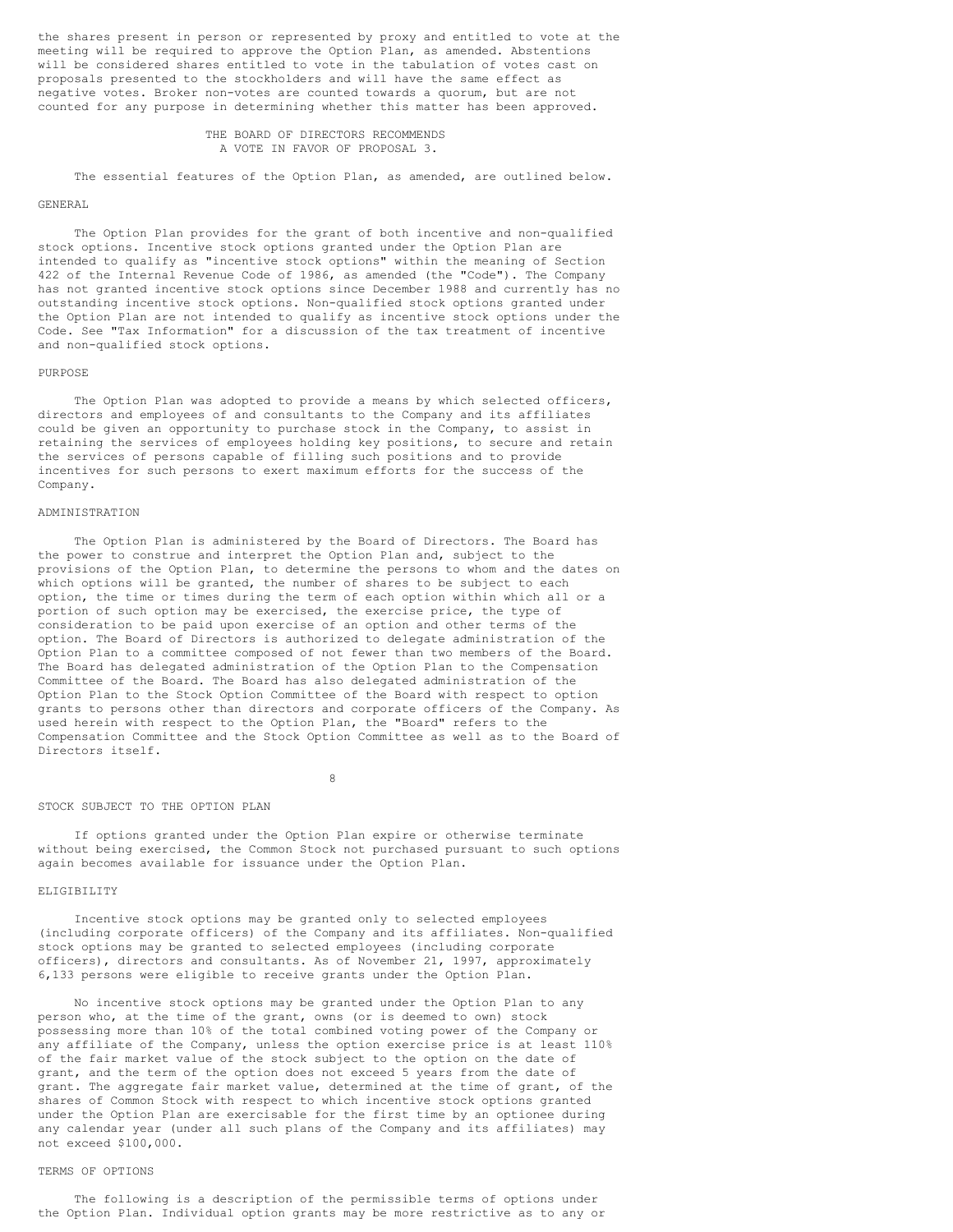the shares present in person or represented by proxy and entitled to vote at the meeting will be required to approve the Option Plan, as amended. Abstentions will be considered shares entitled to vote in the tabulation of votes cast on proposals presented to the stockholders and will have the same effect as negative votes. Broker non-votes are counted towards a quorum, but are not counted for any purpose in determining whether this matter has been approved.

> THE BOARD OF DIRECTORS RECOMMENDS A VOTE IN FAVOR OF PROPOSAL 3.

The essential features of the Option Plan, as amended, are outlined below.

# GENERAL

The Option Plan provides for the grant of both incentive and non-qualified stock options. Incentive stock options granted under the Option Plan are intended to qualify as "incentive stock options" within the meaning of Section 422 of the Internal Revenue Code of 1986, as amended (the "Code"). The Company has not granted incentive stock options since December 1988 and currently has no outstanding incentive stock options. Non-qualified stock options granted under the Option Plan are not intended to qualify as incentive stock options under the Code. See "Tax Information" for a discussion of the tax treatment of incentive and non-qualified stock options.

#### PURPOSE

The Option Plan was adopted to provide a means by which selected officers, directors and employees of and consultants to the Company and its affiliates could be given an opportunity to purchase stock in the Company, to assist in retaining the services of employees holding key positions, to secure and retain the services of persons capable of filling such positions and to provide incentives for such persons to exert maximum efforts for the success of the Company.

# ADMINISTRATION

The Option Plan is administered by the Board of Directors. The Board has the power to construe and interpret the Option Plan and, subject to the provisions of the Option Plan, to determine the persons to whom and the dates on which options will be granted, the number of shares to be subject to each option, the time or times during the term of each option within which all or a portion of such option may be exercised, the exercise price, the type of consideration to be paid upon exercise of an option and other terms of the option. The Board of Directors is authorized to delegate administration of the Option Plan to a committee composed of not fewer than two members of the Board. The Board has delegated administration of the Option Plan to the Compensation Committee of the Board. The Board has also delegated administration of the Option Plan to the Stock Option Committee of the Board with respect to option grants to persons other than directors and corporate officers of the Company. As used herein with respect to the Option Plan, the "Board" refers to the Compensation Committee and the Stock Option Committee as well as to the Board of Directors itself.

8

#### STOCK SUBJECT TO THE OPTION PLAN

If options granted under the Option Plan expire or otherwise terminate without being exercised, the Common Stock not purchased pursuant to such options again becomes available for issuance under the Option Plan.

# ELIGIBILITY

Incentive stock options may be granted only to selected employees (including corporate officers) of the Company and its affiliates. Non-qualified stock options may be granted to selected employees (including corporate officers), directors and consultants. As of November 21, 1997, approximately 6,133 persons were eligible to receive grants under the Option Plan.

No incentive stock options may be granted under the Option Plan to any person who, at the time of the grant, owns (or is deemed to own) stock possessing more than 10% of the total combined voting power of the Company or any affiliate of the Company, unless the option exercise price is at least 110% of the fair market value of the stock subject to the option on the date of grant, and the term of the option does not exceed 5 years from the date of grant. The aggregate fair market value, determined at the time of grant, of the shares of Common Stock with respect to which incentive stock options granted under the Option Plan are exercisable for the first time by an optionee during any calendar year (under all such plans of the Company and its affiliates) may not exceed \$100,000.

### TERMS OF OPTIONS

The following is a description of the permissible terms of options under the Option Plan. Individual option grants may be more restrictive as to any or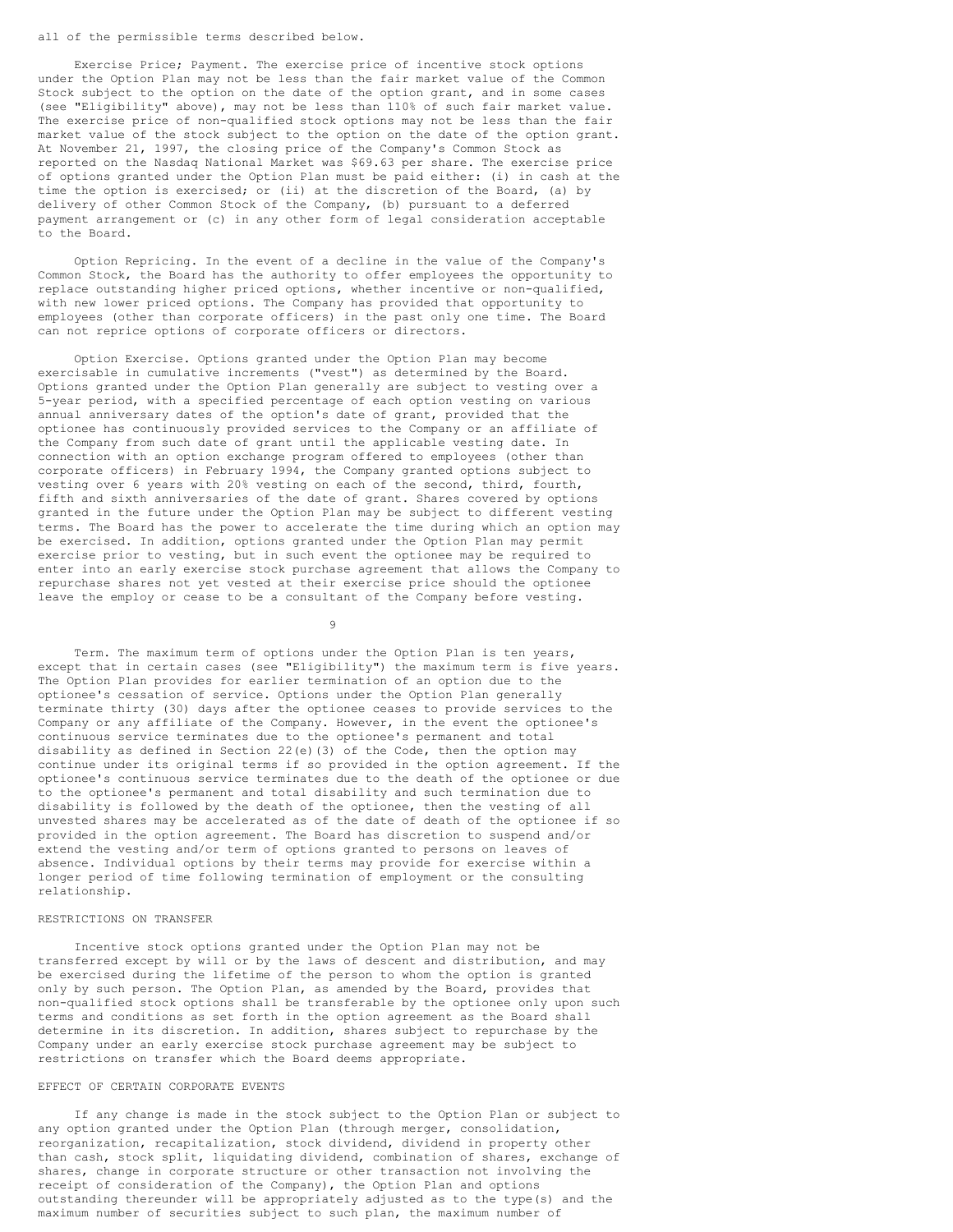### all of the permissible terms described below.

Exercise Price; Payment. The exercise price of incentive stock options under the Option Plan may not be less than the fair market value of the Common Stock subject to the option on the date of the option grant, and in some cases (see "Eligibility" above), may not be less than 110% of such fair market value. The exercise price of non-qualified stock options may not be less than the fair market value of the stock subject to the option on the date of the option grant. At November 21, 1997, the closing price of the Company's Common Stock as reported on the Nasdaq National Market was \$69.63 per share. The exercise price of options granted under the Option Plan must be paid either: (i) in cash at the time the option is exercised; or (ii) at the discretion of the Board, (a) by delivery of other Common Stock of the Company, (b) pursuant to a deferred payment arrangement or (c) in any other form of legal consideration acceptable to the Board.

Option Repricing. In the event of a decline in the value of the Company's Common Stock, the Board has the authority to offer employees the opportunity to replace outstanding higher priced options, whether incentive or non-qualified, with new lower priced options. The Company has provided that opportunity to employees (other than corporate officers) in the past only one time. The Board can not reprice options of corporate officers or directors.

Option Exercise. Options granted under the Option Plan may become exercisable in cumulative increments ("vest") as determined by the Board. Options granted under the Option Plan generally are subject to vesting over a 5-year period, with a specified percentage of each option vesting on various annual anniversary dates of the option's date of grant, provided that the optionee has continuously provided services to the Company or an affiliate of the Company from such date of grant until the applicable vesting date. In connection with an option exchange program offered to employees (other than corporate officers) in February 1994, the Company granted options subject to vesting over 6 years with 20% vesting on each of the second, third, fourth, fifth and sixth anniversaries of the date of grant. Shares covered by options granted in the future under the Option Plan may be subject to different vesting terms. The Board has the power to accelerate the time during which an option may be exercised. In addition, options granted under the Option Plan may permit exercise prior to vesting, but in such event the optionee may be required to enter into an early exercise stock purchase agreement that allows the Company to repurchase shares not yet vested at their exercise price should the optionee leave the employ or cease to be a consultant of the Company before vesting.

 $\ddot{9}$ 

Term. The maximum term of options under the Option Plan is ten years, except that in certain cases (see "Eligibility") the maximum term is five years. The Option Plan provides for earlier termination of an option due to the optionee's cessation of service. Options under the Option Plan generally terminate thirty (30) days after the optionee ceases to provide services to the Company or any affiliate of the Company. However, in the event the optionee's continuous service terminates due to the optionee's permanent and total disability as defined in Section 22(e)(3) of the Code, then the option may continue under its original terms if so provided in the option agreement. If the optionee's continuous service terminates due to the death of the optionee or due to the optionee's permanent and total disability and such termination due to disability is followed by the death of the optionee, then the vesting of all unvested shares may be accelerated as of the date of death of the optionee if so provided in the option agreement. The Board has discretion to suspend and/or extend the vesting and/or term of options granted to persons on leaves of absence. Individual options by their terms may provide for exercise within a longer period of time following termination of employment or the consulting relationship.

### RESTRICTIONS ON TRANSFER

Incentive stock options granted under the Option Plan may not be transferred except by will or by the laws of descent and distribution, and may be exercised during the lifetime of the person to whom the option is granted only by such person. The Option Plan, as amended by the Board, provides that non-qualified stock options shall be transferable by the optionee only upon such terms and conditions as set forth in the option agreement as the Board shall determine in its discretion. In addition, shares subject to repurchase by the Company under an early exercise stock purchase agreement may be subject to restrictions on transfer which the Board deems appropriate.

### EFFECT OF CERTAIN CORPORATE EVENTS

If any change is made in the stock subject to the Option Plan or subject to any option granted under the Option Plan (through merger, consolidation, reorganization, recapitalization, stock dividend, dividend in property other than cash, stock split, liquidating dividend, combination of shares, exchange of shares, change in corporate structure or other transaction not involving the receipt of consideration of the Company), the Option Plan and options outstanding thereunder will be appropriately adjusted as to the type(s) and the maximum number of securities subject to such plan, the maximum number of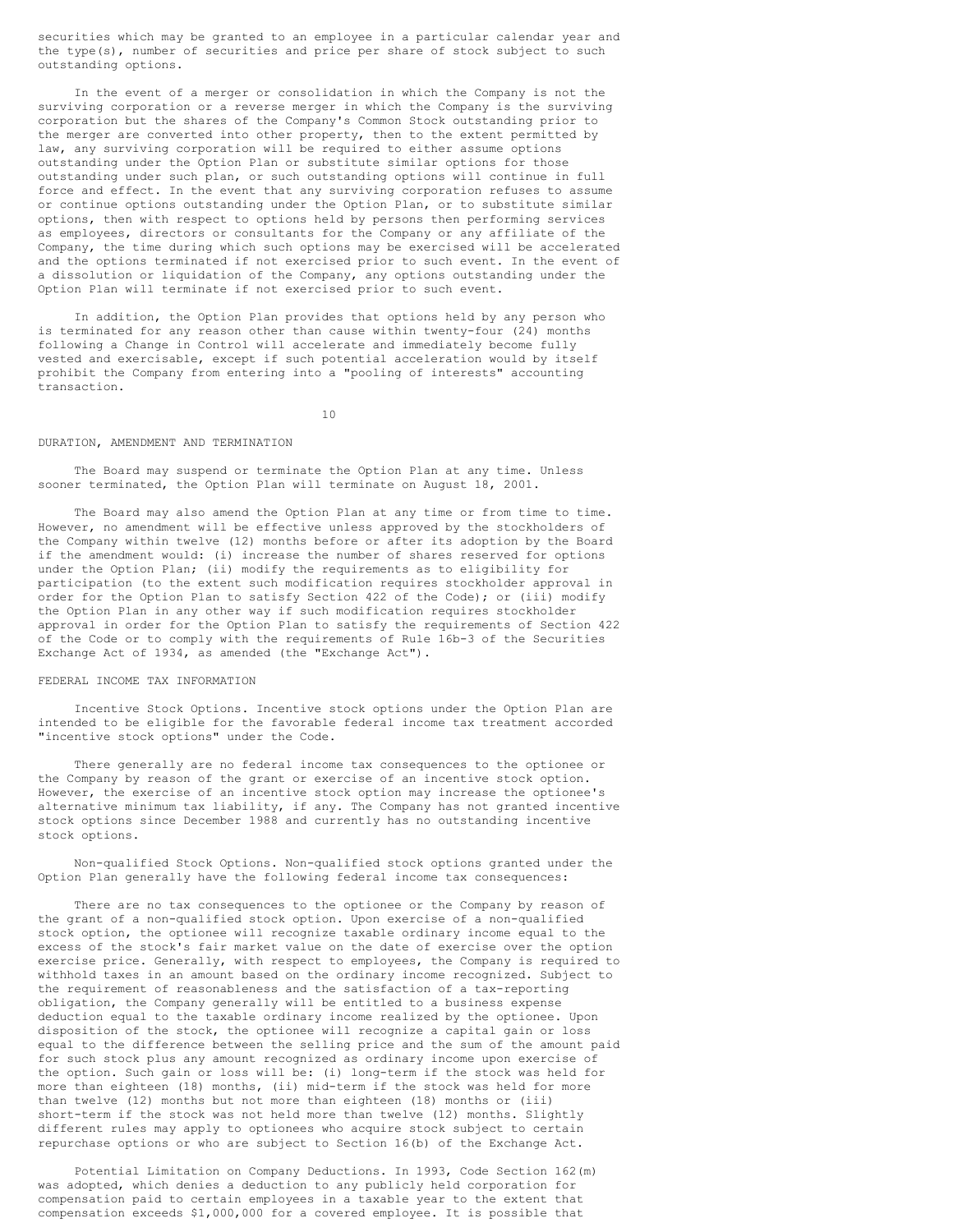securities which may be granted to an employee in a particular calendar year and the type(s), number of securities and price per share of stock subject to such outstanding options.

In the event of a merger or consolidation in which the Company is not the surviving corporation or a reverse merger in which the Company is the surviving corporation but the shares of the Company's Common Stock outstanding prior to the merger are converted into other property, then to the extent permitted by law, any surviving corporation will be required to either assume options outstanding under the Option Plan or substitute similar options for those outstanding under such plan, or such outstanding options will continue in full force and effect. In the event that any surviving corporation refuses to assume or continue options outstanding under the Option Plan, or to substitute similar options, then with respect to options held by persons then performing services as employees, directors or consultants for the Company or any affiliate of the Company, the time during which such options may be exercised will be accelerated and the options terminated if not exercised prior to such event. In the event of a dissolution or liquidation of the Company, any options outstanding under the Option Plan will terminate if not exercised prior to such event.

In addition, the Option Plan provides that options held by any person who is terminated for any reason other than cause within twenty-four (24) months following a Change in Control will accelerate and immediately become fully vested and exercisable, except if such potential acceleration would by itself prohibit the Company from entering into a "pooling of interests" accounting transaction.

10

### DURATION, AMENDMENT AND TERMINATION

The Board may suspend or terminate the Option Plan at any time. Unless sooner terminated, the Option Plan will terminate on August 18, 2001.

The Board may also amend the Option Plan at any time or from time to time. However, no amendment will be effective unless approved by the stockholders of the Company within twelve (12) months before or after its adoption by the Board if the amendment would: (i) increase the number of shares reserved for options under the Option Plan; (ii) modify the requirements as to eligibility for participation (to the extent such modification requires stockholder approval in order for the Option Plan to satisfy Section 422 of the Code); or (iii) modify the Option Plan in any other way if such modification requires stockholder approval in order for the Option Plan to satisfy the requirements of Section 422 of the Code or to comply with the requirements of Rule 16b-3 of the Securities Exchange Act of 1934, as amended (the "Exchange Act").

#### FEDERAL INCOME TAX INFORMATION

Incentive Stock Options. Incentive stock options under the Option Plan are intended to be eligible for the favorable federal income tax treatment accorded "incentive stock options" under the Code.

There generally are no federal income tax consequences to the optionee or the Company by reason of the grant or exercise of an incentive stock option. However, the exercise of an incentive stock option may increase the optionee's alternative minimum tax liability, if any. The Company has not granted incentive stock options since December 1988 and currently has no outstanding incentive stock options.

Non-qualified Stock Options. Non-qualified stock options granted under the Option Plan generally have the following federal income tax consequences:

There are no tax consequences to the optionee or the Company by reason of the grant of a non-qualified stock option. Upon exercise of a non-qualified stock option, the optionee will recognize taxable ordinary income equal to the excess of the stock's fair market value on the date of exercise over the option exercise price. Generally, with respect to employees, the Company is required to withhold taxes in an amount based on the ordinary income recognized. Subject to the requirement of reasonableness and the satisfaction of a tax-reporting obligation, the Company generally will be entitled to a business expense deduction equal to the taxable ordinary income realized by the optionee. Upon disposition of the stock, the optionee will recognize a capital gain or loss equal to the difference between the selling price and the sum of the amount paid for such stock plus any amount recognized as ordinary income upon exercise of the option. Such gain or loss will be: (i) long-term if the stock was held for more than eighteen (18) months, (ii) mid-term if the stock was held for more than twelve (12) months but not more than eighteen (18) months or (iii) short-term if the stock was not held more than twelve (12) months. Slightly different rules may apply to optionees who acquire stock subject to certain repurchase options or who are subject to Section 16(b) of the Exchange Act.

Potential Limitation on Company Deductions. In 1993, Code Section 162(m) was adopted, which denies a deduction to any publicly held corporation for compensation paid to certain employees in a taxable year to the extent that compensation exceeds \$1,000,000 for a covered employee. It is possible that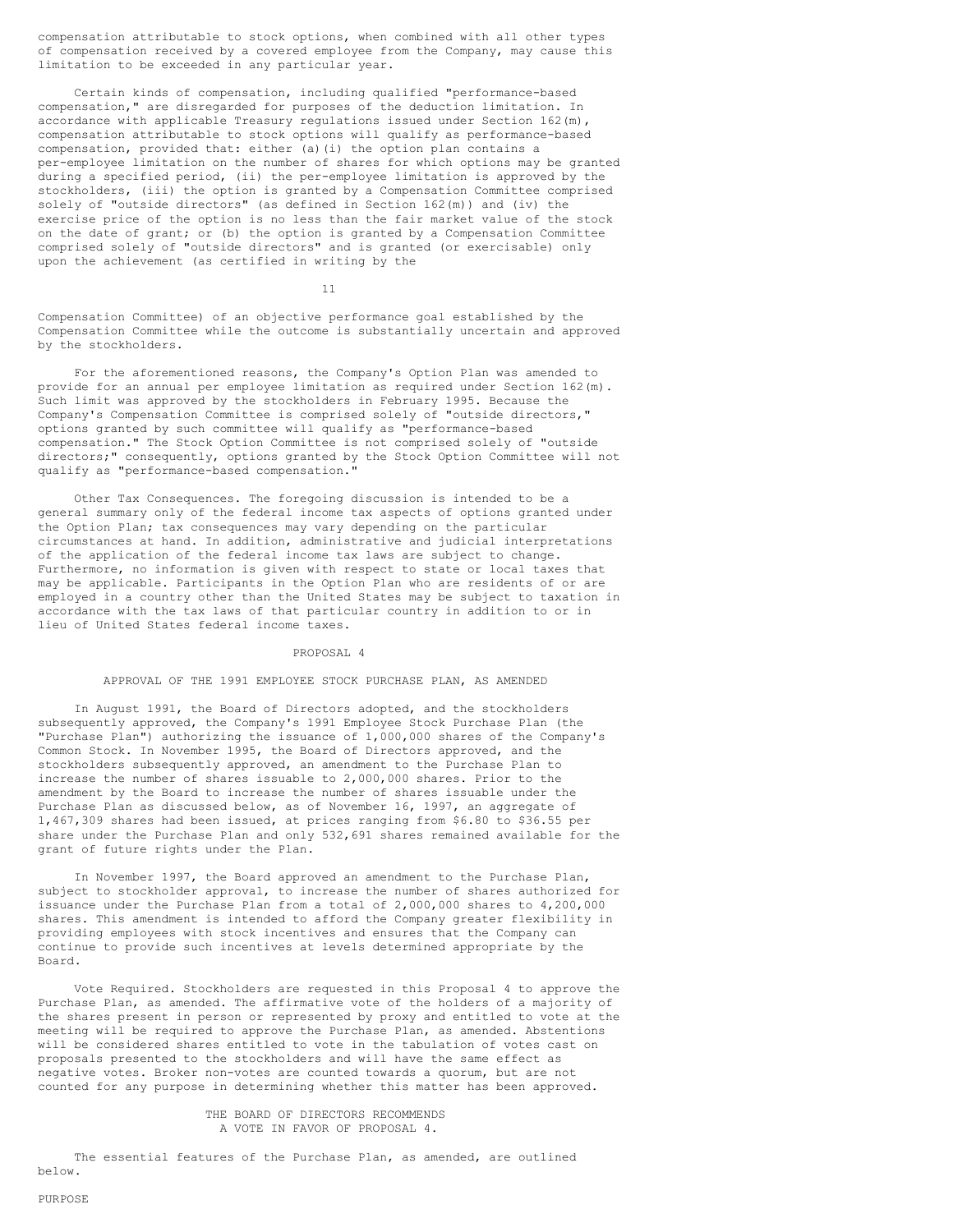compensation attributable to stock options, when combined with all other types of compensation received by a covered employee from the Company, may cause this limitation to be exceeded in any particular year.

Certain kinds of compensation, including qualified "performance-based compensation," are disregarded for purposes of the deduction limitation. In accordance with applicable Treasury regulations issued under Section 162(m), compensation attributable to stock options will qualify as performance-based compensation, provided that: either (a)(i) the option plan contains a per-employee limitation on the number of shares for which options may be granted during a specified period, (ii) the per-employee limitation is approved by the stockholders, (iii) the option is granted by a Compensation Committee comprised solely of "outside directors" (as defined in Section 162(m)) and (iv) the exercise price of the option is no less than the fair market value of the stock on the date of grant; or (b) the option is granted by a Compensation Committee comprised solely of "outside directors" and is granted (or exercisable) only upon the achievement (as certified in writing by the

11

Compensation Committee) of an objective performance goal established by the Compensation Committee while the outcome is substantially uncertain and approved by the stockholders.

For the aforementioned reasons, the Company's Option Plan was amended to provide for an annual per employee limitation as required under Section 162(m). Such limit was approved by the stockholders in February 1995. Because the Company's Compensation Committee is comprised solely of "outside directors," options granted by such committee will qualify as "performance-based compensation." The Stock Option Committee is not comprised solely of "outside directors;" consequently, options granted by the Stock Option Committee will not qualify as "performance-based compensation."

Other Tax Consequences. The foregoing discussion is intended to be a general summary only of the federal income tax aspects of options granted under the Option Plan; tax consequences may vary depending on the particular circumstances at hand. In addition, administrative and judicial interpretations of the application of the federal income tax laws are subject to change. Furthermore, no information is given with respect to state or local taxes that may be applicable. Participants in the Option Plan who are residents of or are employed in a country other than the United States may be subject to taxation in accordance with the tax laws of that particular country in addition to or in lieu of United States federal income taxes.

#### PROPOSAL 4

#### APPROVAL OF THE 1991 EMPLOYEE STOCK PURCHASE PLAN, AS AMENDED

In August 1991, the Board of Directors adopted, and the stockholders subsequently approved, the Company's 1991 Employee Stock Purchase Plan (the "Purchase Plan") authorizing the issuance of 1,000,000 shares of the Company's Common Stock. In November 1995, the Board of Directors approved, and the stockholders subsequently approved, an amendment to the Purchase Plan to increase the number of shares issuable to 2,000,000 shares. Prior to the amendment by the Board to increase the number of shares issuable under the Purchase Plan as discussed below, as of November 16, 1997, an aggregate of 1,467,309 shares had been issued, at prices ranging from \$6.80 to \$36.55 per share under the Purchase Plan and only 532,691 shares remained available for the grant of future rights under the Plan.

In November 1997, the Board approved an amendment to the Purchase Plan, subject to stockholder approval, to increase the number of shares authorized for issuance under the Purchase Plan from a total of 2,000,000 shares to 4,200,000 shares. This amendment is intended to afford the Company greater flexibility in providing employees with stock incentives and ensures that the Company can continue to provide such incentives at levels determined appropriate by the Board.

Vote Required. Stockholders are requested in this Proposal 4 to approve the Purchase Plan, as amended. The affirmative vote of the holders of a majority of the shares present in person or represented by proxy and entitled to vote at the meeting will be required to approve the Purchase Plan, as amended. Abstentions will be considered shares entitled to vote in the tabulation of votes cast on proposals presented to the stockholders and will have the same effect as negative votes. Broker non-votes are counted towards a quorum, but are not counted for any purpose in determining whether this matter has been approved.

# THE BOARD OF DIRECTORS RECOMMENDS A VOTE IN FAVOR OF PROPOSAL 4.

The essential features of the Purchase Plan, as amended, are outlined below.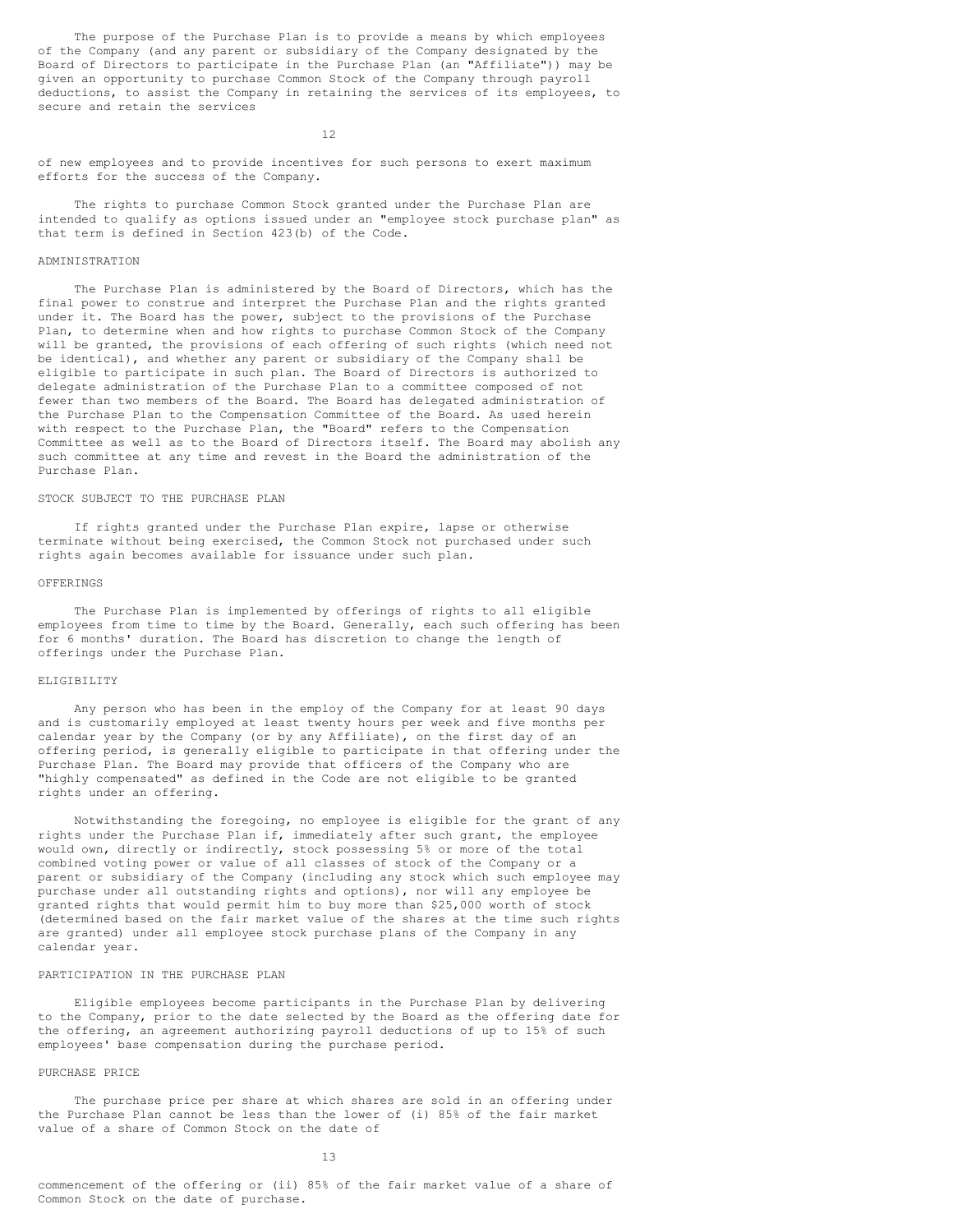The purpose of the Purchase Plan is to provide a means by which employees of the Company (and any parent or subsidiary of the Company designated by the Board of Directors to participate in the Purchase Plan (an "Affiliate")) may be given an opportunity to purchase Common Stock of the Company through payroll deductions, to assist the Company in retaining the services of its employees, to secure and retain the services

12

of new employees and to provide incentives for such persons to exert maximum efforts for the success of the Company.

The rights to purchase Common Stock granted under the Purchase Plan are intended to qualify as options issued under an "employee stock purchase plan" as that term is defined in Section 423(b) of the Code.

### ADMINISTRATION

The Purchase Plan is administered by the Board of Directors, which has the final power to construe and interpret the Purchase Plan and the rights granted under it. The Board has the power, subject to the provisions of the Purchase Plan, to determine when and how rights to purchase Common Stock of the Company will be granted, the provisions of each offering of such rights (which need not be identical), and whether any parent or subsidiary of the Company shall be eligible to participate in such plan. The Board of Directors is authorized to delegate administration of the Purchase Plan to a committee composed of not fewer than two members of the Board. The Board has delegated administration of the Purchase Plan to the Compensation Committee of the Board. As used herein with respect to the Purchase Plan, the "Board" refers to the Compensation Committee as well as to the Board of Directors itself. The Board may abolish any such committee at any time and revest in the Board the administration of the Purchase Plan.

### STOCK SUBJECT TO THE PURCHASE PLAN

If rights granted under the Purchase Plan expire, lapse or otherwise terminate without being exercised, the Common Stock not purchased under such rights again becomes available for issuance under such plan.

# OFFERINGS

The Purchase Plan is implemented by offerings of rights to all eligible employees from time to time by the Board. Generally, each such offering has been for 6 months' duration. The Board has discretion to change the length of offerings under the Purchase Plan.

### ELIGIBILITY

Any person who has been in the employ of the Company for at least 90 days and is customarily employed at least twenty hours per week and five months per calendar year by the Company (or by any Affiliate), on the first day of an offering period, is generally eligible to participate in that offering under the Purchase Plan. The Board may provide that officers of the Company who are "highly compensated" as defined in the Code are not eligible to be granted rights under an offering.

Notwithstanding the foregoing, no employee is eligible for the grant of any rights under the Purchase Plan if, immediately after such grant, the employee would own, directly or indirectly, stock possessing 5% or more of the total combined voting power or value of all classes of stock of the Company or a parent or subsidiary of the Company (including any stock which such employee may purchase under all outstanding rights and options), nor will any employee be granted rights that would permit him to buy more than \$25,000 worth of stock (determined based on the fair market value of the shares at the time such rights are granted) under all employee stock purchase plans of the Company in any calendar year.

# PARTICIPATION IN THE PURCHASE PLAN

Eligible employees become participants in the Purchase Plan by delivering to the Company, prior to the date selected by the Board as the offering date for the offering, an agreement authorizing payroll deductions of up to 15% of such employees' base compensation during the purchase period.

# PURCHASE PRICE

The purchase price per share at which shares are sold in an offering under the Purchase Plan cannot be less than the lower of (i) 85% of the fair market value of a share of Common Stock on the date of

13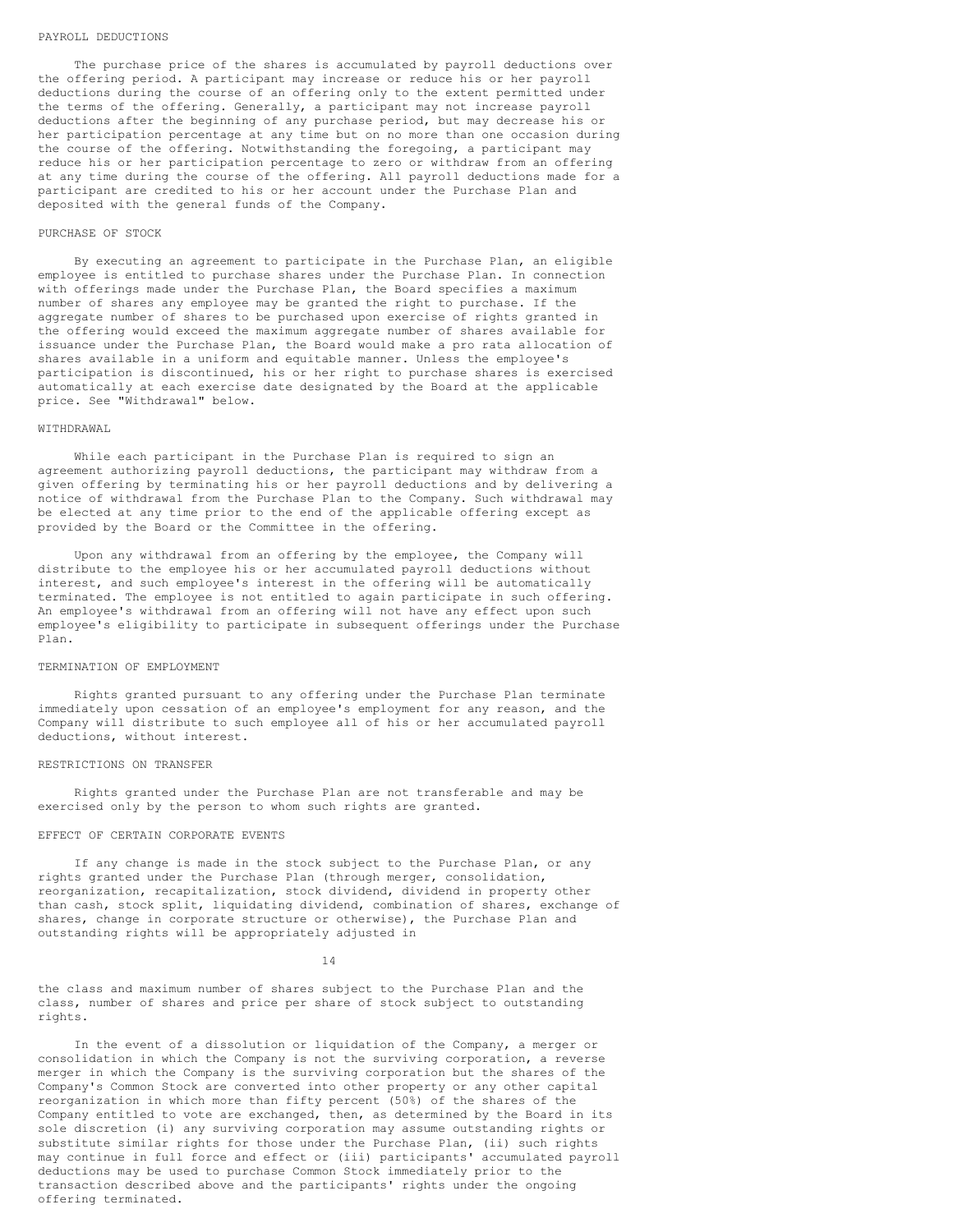#### PAYROLL DEDUCTIONS

The purchase price of the shares is accumulated by payroll deductions over the offering period. A participant may increase or reduce his or her payroll deductions during the course of an offering only to the extent permitted under the terms of the offering. Generally, a participant may not increase payroll deductions after the beginning of any purchase period, but may decrease his or her participation percentage at any time but on no more than one occasion during the course of the offering. Notwithstanding the foregoing, a participant may reduce his or her participation percentage to zero or withdraw from an offering at any time during the course of the offering. All payroll deductions made for a participant are credited to his or her account under the Purchase Plan and deposited with the general funds of the Company.

#### PURCHASE OF STOCK

By executing an agreement to participate in the Purchase Plan, an eligible employee is entitled to purchase shares under the Purchase Plan. In connection with offerings made under the Purchase Plan, the Board specifies a maximum number of shares any employee may be granted the right to purchase. If the aggregate number of shares to be purchased upon exercise of rights granted in the offering would exceed the maximum aggregate number of shares available for issuance under the Purchase Plan, the Board would make a pro rata allocation of shares available in a uniform and equitable manner. Unless the employee's participation is discontinued, his or her right to purchase shares is exercised automatically at each exercise date designated by the Board at the applicable price. See "Withdrawal" below.

### WITHDRAWAI.

While each participant in the Purchase Plan is required to sign an agreement authorizing payroll deductions, the participant may withdraw from a given offering by terminating his or her payroll deductions and by delivering a notice of withdrawal from the Purchase Plan to the Company. Such withdrawal may be elected at any time prior to the end of the applicable offering except as provided by the Board or the Committee in the offering.

Upon any withdrawal from an offering by the employee, the Company will distribute to the employee his or her accumulated payroll deductions without interest, and such employee's interest in the offering will be automatically terminated. The employee is not entitled to again participate in such offering. An employee's withdrawal from an offering will not have any effect upon such employee's eligibility to participate in subsequent offerings under the Purchase Plan.

# TERMINATION OF EMPLOYMENT

Rights granted pursuant to any offering under the Purchase Plan terminate immediately upon cessation of an employee's employment for any reason, and the Company will distribute to such employee all of his or her accumulated payroll deductions, without interest.

#### RESTRICTIONS ON TRANSFER

Rights granted under the Purchase Plan are not transferable and may be exercised only by the person to whom such rights are granted.

# EFFECT OF CERTAIN CORPORATE EVENTS

If any change is made in the stock subject to the Purchase Plan, or any rights granted under the Purchase Plan (through merger, consolidation, reorganization, recapitalization, stock dividend, dividend in property other than cash, stock split, liquidating dividend, combination of shares, exchange of shares, change in corporate structure or otherwise), the Purchase Plan and outstanding rights will be appropriately adjusted in

14

the class and maximum number of shares subject to the Purchase Plan and the class, number of shares and price per share of stock subject to outstanding rights.

In the event of a dissolution or liquidation of the Company, a merger or consolidation in which the Company is not the surviving corporation, a reverse merger in which the Company is the surviving corporation but the shares of the Company's Common Stock are converted into other property or any other capital reorganization in which more than fifty percent (50%) of the shares of the Company entitled to vote are exchanged, then, as determined by the Board in its sole discretion (i) any surviving corporation may assume outstanding rights or substitute similar rights for those under the Purchase Plan, (ii) such rights may continue in full force and effect or (iii) participants' accumulated payroll deductions may be used to purchase Common Stock immediately prior to the transaction described above and the participants' rights under the ongoing offering terminated.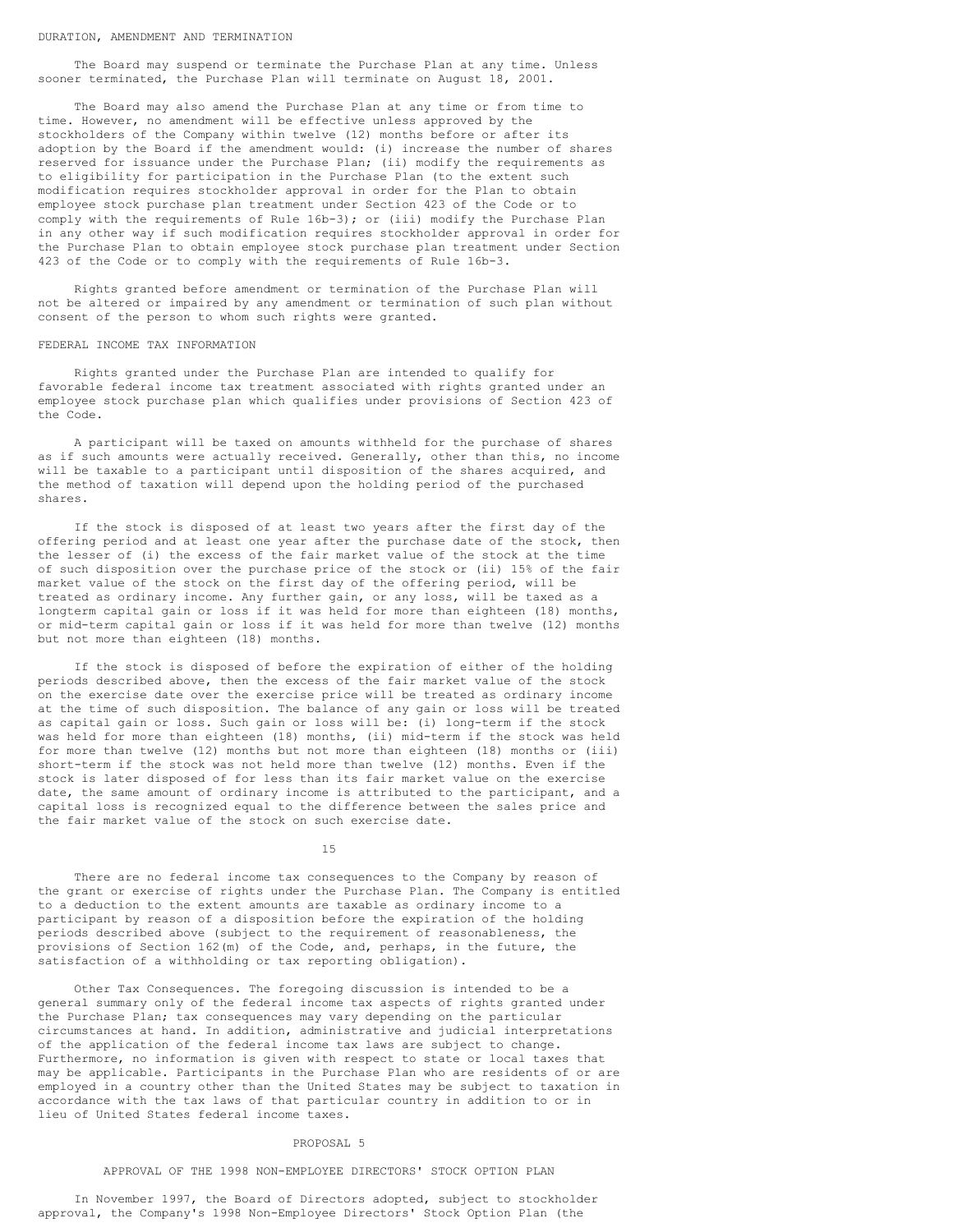The Board may suspend or terminate the Purchase Plan at any time. Unless sooner terminated, the Purchase Plan will terminate on August 18, 2001.

The Board may also amend the Purchase Plan at any time or from time to time. However, no amendment will be effective unless approved by the stockholders of the Company within twelve (12) months before or after its adoption by the Board if the amendment would: (i) increase the number of shares reserved for issuance under the Purchase Plan; (ii) modify the requirements as to eligibility for participation in the Purchase Plan (to the extent such modification requires stockholder approval in order for the Plan to obtain employee stock purchase plan treatment under Section 423 of the Code or to comply with the requirements of Rule  $16b-3$ ); or (iii) modify the Purchase Plan in any other way if such modification requires stockholder approval in order for the Purchase Plan to obtain employee stock purchase plan treatment under Section 423 of the Code or to comply with the requirements of Rule 16b-3.

Rights granted before amendment or termination of the Purchase Plan will not be altered or impaired by any amendment or termination of such plan without consent of the person to whom such rights were granted.

#### FEDERAL INCOME TAX INFORMATION

Rights granted under the Purchase Plan are intended to qualify for favorable federal income tax treatment associated with rights granted under an employee stock purchase plan which qualifies under provisions of Section 423 of the Code.

A participant will be taxed on amounts withheld for the purchase of shares as if such amounts were actually received. Generally, other than this, no income will be taxable to a participant until disposition of the shares acquired, and the method of taxation will depend upon the holding period of the purchased shares.

If the stock is disposed of at least two years after the first day of the offering period and at least one year after the purchase date of the stock, then the lesser of (i) the excess of the fair market value of the stock at the time of such disposition over the purchase price of the stock or (ii) 15% of the fair market value of the stock on the first day of the offering period, will be treated as ordinary income. Any further gain, or any loss, will be taxed as a longterm capital gain or loss if it was held for more than eighteen (18) months, or mid-term capital gain or loss if it was held for more than twelve (12) months but not more than eighteen (18) months.

If the stock is disposed of before the expiration of either of the holding periods described above, then the excess of the fair market value of the stock on the exercise date over the exercise price will be treated as ordinary income at the time of such disposition. The balance of any gain or loss will be treated as capital gain or loss. Such gain or loss will be: (i) long-term if the stock was held for more than eighteen (18) months, (ii) mid-term if the stock was held for more than twelve (12) months but not more than eighteen (18) months or (iii) short-term if the stock was not held more than twelve (12) months. Even if the stock is later disposed of for less than its fair market value on the exercise date, the same amount of ordinary income is attributed to the participant, and a capital loss is recognized equal to the difference between the sales price and the fair market value of the stock on such exercise date.

15

There are no federal income tax consequences to the Company by reason of the grant or exercise of rights under the Purchase Plan. The Company is entitled to a deduction to the extent amounts are taxable as ordinary income to a participant by reason of a disposition before the expiration of the holding periods described above (subject to the requirement of reasonableness, the provisions of Section 162(m) of the Code, and, perhaps, in the future, the satisfaction of a withholding or tax reporting obligation).

Other Tax Consequences. The foregoing discussion is intended to be a general summary only of the federal income tax aspects of rights granted under the Purchase Plan; tax consequences may vary depending on the particular circumstances at hand. In addition, administrative and judicial interpretations of the application of the federal income tax laws are subject to change. Furthermore, no information is given with respect to state or local taxes that may be applicable. Participants in the Purchase Plan who are residents of or are employed in a country other than the United States may be subject to taxation in accordance with the tax laws of that particular country in addition to or in lieu of United States federal income taxes.

#### PROPOSAL 5

### APPROVAL OF THE 1998 NON-EMPLOYEE DIRECTORS' STOCK OPTION PLAN

In November 1997, the Board of Directors adopted, subject to stockholder approval, the Company's 1998 Non-Employee Directors' Stock Option Plan (the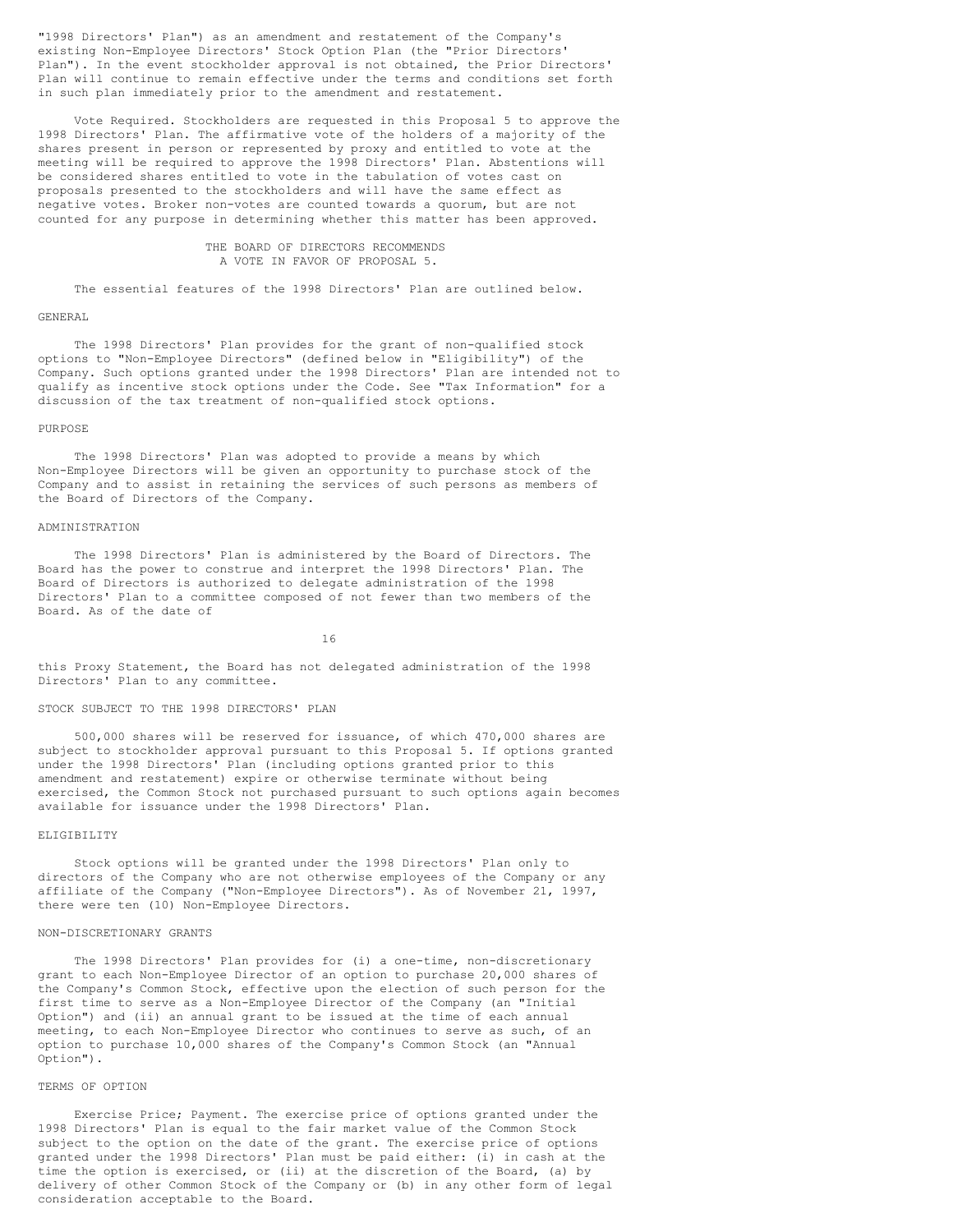"1998 Directors' Plan") as an amendment and restatement of the Company's existing Non-Employee Directors' Stock Option Plan (the "Prior Directors' Plan"). In the event stockholder approval is not obtained, the Prior Directors' Plan will continue to remain effective under the terms and conditions set forth in such plan immediately prior to the amendment and restatement.

Vote Required. Stockholders are requested in this Proposal 5 to approve the 1998 Directors' Plan. The affirmative vote of the holders of a majority of the shares present in person or represented by proxy and entitled to vote at the meeting will be required to approve the 1998 Directors' Plan. Abstentions will be considered shares entitled to vote in the tabulation of votes cast on proposals presented to the stockholders and will have the same effect as negative votes. Broker non-votes are counted towards a quorum, but are not counted for any purpose in determining whether this matter has been approved.

# THE BOARD OF DIRECTORS RECOMMENDS A VOTE IN FAVOR OF PROPOSAL 5.

The essential features of the 1998 Directors' Plan are outlined below.

#### GENERAL

The 1998 Directors' Plan provides for the grant of non-qualified stock options to "Non-Employee Directors" (defined below in "Eligibility") of the Company. Such options granted under the 1998 Directors' Plan are intended not to qualify as incentive stock options under the Code. See "Tax Information" for a discussion of the tax treatment of non-qualified stock options.

#### **PURPOSE**

The 1998 Directors' Plan was adopted to provide a means by which Non-Employee Directors will be given an opportunity to purchase stock of the Company and to assist in retaining the services of such persons as members of the Board of Directors of the Company.

#### ADMINISTRATION

The 1998 Directors' Plan is administered by the Board of Directors. The Board has the power to construe and interpret the 1998 Directors' Plan. The Board of Directors is authorized to delegate administration of the 1998 Directors' Plan to a committee composed of not fewer than two members of the Board. As of the date of

16

this Proxy Statement, the Board has not delegated administration of the 1998 Directors' Plan to any committee.

### STOCK SUBJECT TO THE 1998 DIRECTORS' PLAN

500,000 shares will be reserved for issuance, of which 470,000 shares are subject to stockholder approval pursuant to this Proposal 5. If options granted under the 1998 Directors' Plan (including options granted prior to this amendment and restatement) expire or otherwise terminate without being exercised, the Common Stock not purchased pursuant to such options again becomes available for issuance under the 1998 Directors' Plan.

# ELIGIBILITY

Stock options will be granted under the 1998 Directors' Plan only to directors of the Company who are not otherwise employees of the Company or any affiliate of the Company ("Non-Employee Directors"). As of November 21, 1997, there were ten (10) Non-Employee Directors.

### NON-DISCRETIONARY GRANTS

The 1998 Directors' Plan provides for (i) a one-time, non-discretionary grant to each Non-Employee Director of an option to purchase 20,000 shares of the Company's Common Stock, effective upon the election of such person for the first time to serve as a Non-Employee Director of the Company (an "Initial Option") and (ii) an annual grant to be issued at the time of each annual meeting, to each Non-Employee Director who continues to serve as such, of an option to purchase 10,000 shares of the Company's Common Stock (an "Annual Option").

#### TERMS OF OPTION

Exercise Price; Payment. The exercise price of options granted under the 1998 Directors' Plan is equal to the fair market value of the Common Stock subject to the option on the date of the grant. The exercise price of options granted under the 1998 Directors' Plan must be paid either: (i) in cash at the time the option is exercised, or (ii) at the discretion of the Board, (a) by delivery of other Common Stock of the Company or (b) in any other form of legal consideration acceptable to the Board.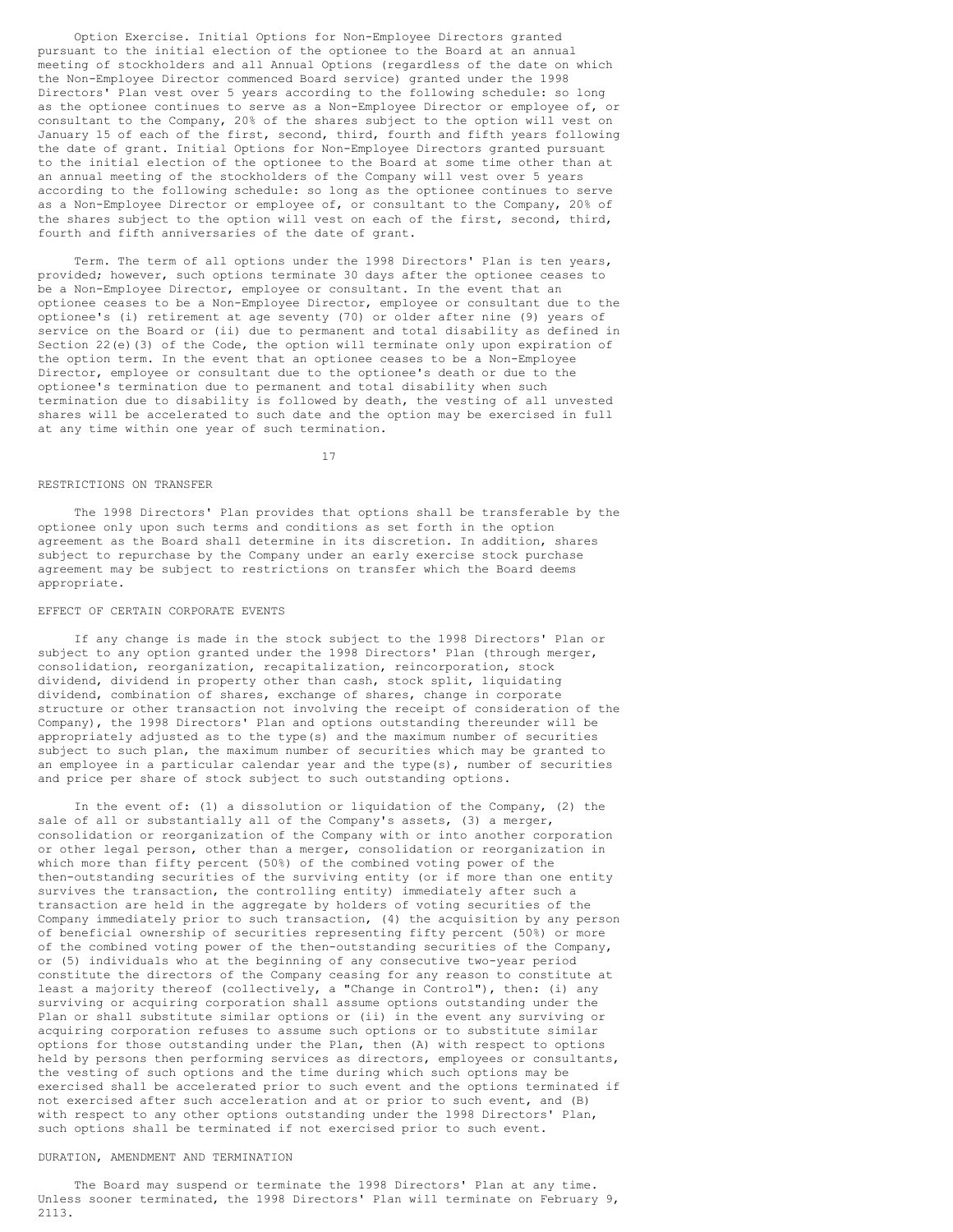Option Exercise. Initial Options for Non-Employee Directors granted pursuant to the initial election of the optionee to the Board at an annual meeting of stockholders and all Annual Options (regardless of the date on which the Non-Employee Director commenced Board service) granted under the 1998 Directors' Plan vest over 5 years according to the following schedule: so long as the optionee continues to serve as a Non-Employee Director or employee of, or consultant to the Company, 20% of the shares subject to the option will vest on January 15 of each of the first, second, third, fourth and fifth years following the date of grant. Initial Options for Non-Employee Directors granted pursuant to the initial election of the optionee to the Board at some time other than at an annual meeting of the stockholders of the Company will vest over 5 years according to the following schedule: so long as the optionee continues to serve as a Non-Employee Director or employee of, or consultant to the Company, 20% of the shares subject to the option will vest on each of the first, second, third, fourth and fifth anniversaries of the date of grant.

Term. The term of all options under the 1998 Directors' Plan is ten years, provided; however, such options terminate 30 days after the optionee ceases to be a Non-Employee Director, employee or consultant. In the event that an optionee ceases to be a Non-Employee Director, employee or consultant due to the optionee's (i) retirement at age seventy (70) or older after nine (9) years of service on the Board or (ii) due to permanent and total disability as defined in Section 22(e)(3) of the Code, the option will terminate only upon expiration of the option term. In the event that an optionee ceases to be a Non-Employee Director, employee or consultant due to the optionee's death or due to the optionee's termination due to permanent and total disability when such termination due to disability is followed by death, the vesting of all unvested shares will be accelerated to such date and the option may be exercised in full at any time within one year of such termination.

17

# RESTRICTIONS ON TRANSFER

The 1998 Directors' Plan provides that options shall be transferable by the optionee only upon such terms and conditions as set forth in the option agreement as the Board shall determine in its discretion. In addition, shares subject to repurchase by the Company under an early exercise stock purchase agreement may be subject to restrictions on transfer which the Board deems appropriate.

#### EFFECT OF CERTAIN CORPORATE EVENTS

If any change is made in the stock subject to the 1998 Directors' Plan or subject to any option granted under the 1998 Directors' Plan (through merger, consolidation, reorganization, recapitalization, reincorporation, stock dividend, dividend in property other than cash, stock split, liquidating dividend, combination of shares, exchange of shares, change in corporate structure or other transaction not involving the receipt of consideration of the Company), the 1998 Directors' Plan and options outstanding thereunder will be appropriately adjusted as to the type(s) and the maximum number of securities subject to such plan, the maximum number of securities which may be granted to an employee in a particular calendar year and the type(s), number of securities and price per share of stock subject to such outstanding options.

In the event of: (1) a dissolution or liquidation of the Company, (2) the sale of all or substantially all of the Company's assets, (3) a merger, consolidation or reorganization of the Company with or into another corporation or other legal person, other than a merger, consolidation or reorganization in which more than fifty percent (50%) of the combined voting power of the then-outstanding securities of the surviving entity (or if more than one entity survives the transaction, the controlling entity) immediately after such a transaction are held in the aggregate by holders of voting securities of the Company immediately prior to such transaction, (4) the acquisition by any person of beneficial ownership of securities representing fifty percent (50%) or more of the combined voting power of the then-outstanding securities of the Company, or (5) individuals who at the beginning of any consecutive two-year period constitute the directors of the Company ceasing for any reason to constitute at least a majority thereof (collectively, a "Change in Control"), then: (i) any surviving or acquiring corporation shall assume options outstanding under the Plan or shall substitute similar options or (ii) in the event any surviving or acquiring corporation refuses to assume such options or to substitute similar options for those outstanding under the Plan, then (A) with respect to options held by persons then performing services as directors, employees or consultants, the vesting of such options and the time during which such options may be exercised shall be accelerated prior to such event and the options terminated if not exercised after such acceleration and at or prior to such event, and (B) with respect to any other options outstanding under the 1998 Directors' Plan, such options shall be terminated if not exercised prior to such event.

# DURATION, AMENDMENT AND TERMINATION

The Board may suspend or terminate the 1998 Directors' Plan at any time. Unless sooner terminated, the 1998 Directors' Plan will terminate on February 9, 2113.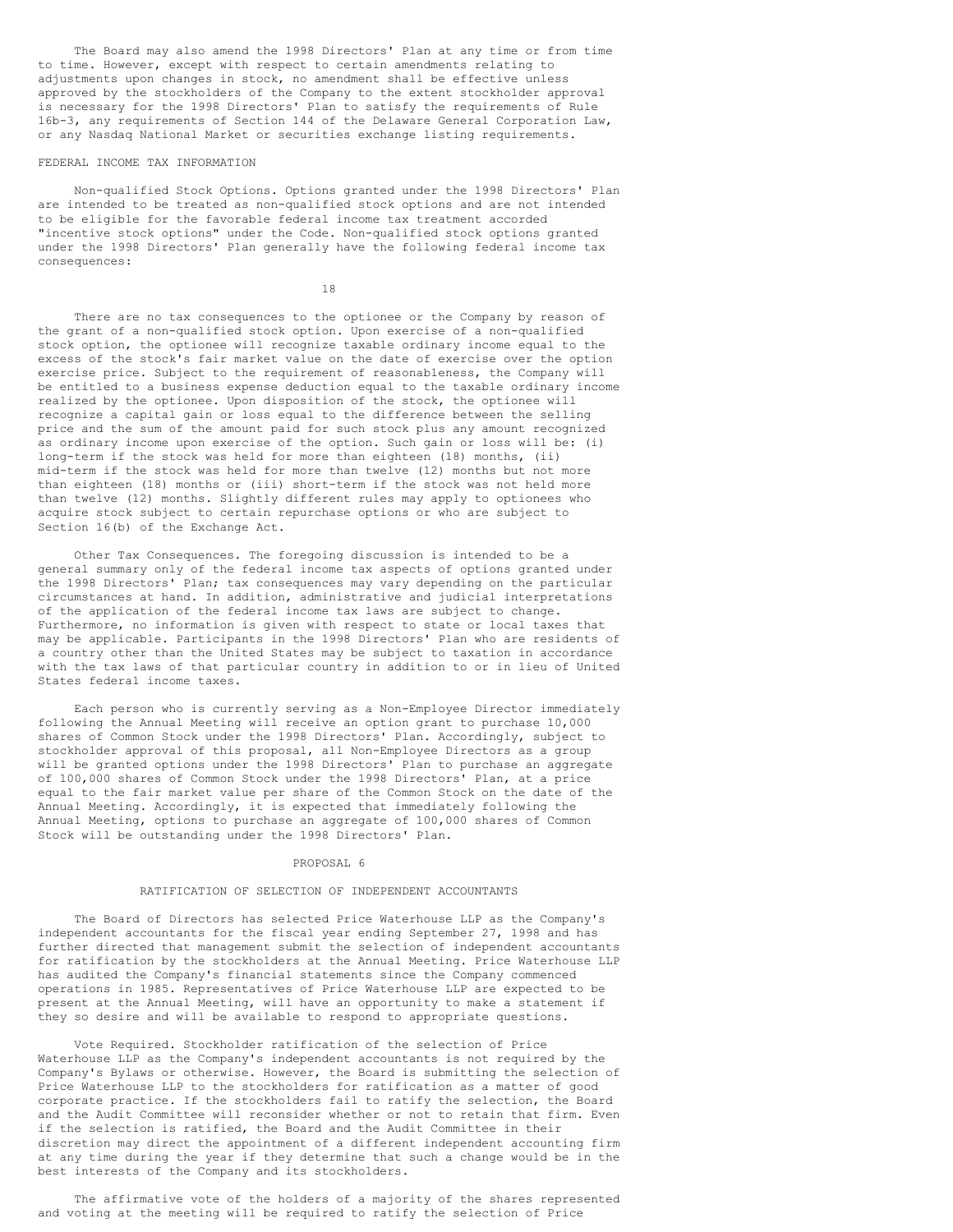The Board may also amend the 1998 Directors' Plan at any time or from time to time. However, except with respect to certain amendments relating to adjustments upon changes in stock, no amendment shall be effective unless approved by the stockholders of the Company to the extent stockholder approval is necessary for the 1998 Directors' Plan to satisfy the requirements of Rule 16b-3, any requirements of Section 144 of the Delaware General Corporation Law, or any Nasdaq National Market or securities exchange listing requirements.

#### FEDERAL INCOME TAX INFORMATION

Non-qualified Stock Options. Options granted under the 1998 Directors' Plan are intended to be treated as non-qualified stock options and are not intended to be eligible for the favorable federal income tax treatment accorded "incentive stock options" under the Code. Non-qualified stock options granted under the 1998 Directors' Plan generally have the following federal income tax consequences:

18

There are no tax consequences to the optionee or the Company by reason of the grant of a non-qualified stock option. Upon exercise of a non-qualified stock option, the optionee will recognize taxable ordinary income equal to the excess of the stock's fair market value on the date of exercise over the option exercise price. Subject to the requirement of reasonableness, the Company will be entitled to a business expense deduction equal to the taxable ordinary income realized by the optionee. Upon disposition of the stock, the optionee will recognize a capital gain or loss equal to the difference between the selling price and the sum of the amount paid for such stock plus any amount recognized as ordinary income upon exercise of the option. Such gain or loss will be: (i) long-term if the stock was held for more than eighteen (18) months, (ii) mid-term if the stock was held for more than twelve (12) months but not more than eighteen (18) months or (iii) short-term if the stock was not held more than twelve (12) months. Slightly different rules may apply to optionees who acquire stock subject to certain repurchase options or who are subject to Section 16(b) of the Exchange Act.

Other Tax Consequences. The foregoing discussion is intended to be a general summary only of the federal income tax aspects of options granted under the 1998 Directors' Plan; tax consequences may vary depending on the particular circumstances at hand. In addition, administrative and judicial interpretations of the application of the federal income tax laws are subject to change. Furthermore, no information is given with respect to state or local taxes that may be applicable. Participants in the 1998 Directors' Plan who are residents of a country other than the United States may be subject to taxation in accordance with the tax laws of that particular country in addition to or in lieu of United States federal income taxes.

Each person who is currently serving as a Non-Employee Director immediately following the Annual Meeting will receive an option grant to purchase 10,000 shares of Common Stock under the 1998 Directors' Plan. Accordingly, subject to stockholder approval of this proposal, all Non-Employee Directors as a group will be granted options under the 1998 Directors' Plan to purchase an aggregate of 100,000 shares of Common Stock under the 1998 Directors' Plan, at a price equal to the fair market value per share of the Common Stock on the date of the Annual Meeting. Accordingly, it is expected that immediately following the Annual Meeting, options to purchase an aggregate of 100,000 shares of Common Stock will be outstanding under the 1998 Directors' Plan.

### PROPOSAL 6

# RATIFICATION OF SELECTION OF INDEPENDENT ACCOUNTANTS

The Board of Directors has selected Price Waterhouse LLP as the Company's independent accountants for the fiscal year ending September 27, 1998 and has further directed that management submit the selection of independent accountants for ratification by the stockholders at the Annual Meeting. Price Waterhouse LLP has audited the Company's financial statements since the Company commenced operations in 1985. Representatives of Price Waterhouse LLP are expected to be present at the Annual Meeting, will have an opportunity to make a statement if they so desire and will be available to respond to appropriate questions.

Vote Required. Stockholder ratification of the selection of Price Waterhouse LLP as the Company's independent accountants is not required by the Company's Bylaws or otherwise. However, the Board is submitting the selection of Price Waterhouse LLP to the stockholders for ratification as a matter of good corporate practice. If the stockholders fail to ratify the selection, the Board and the Audit Committee will reconsider whether or not to retain that firm. Even if the selection is ratified, the Board and the Audit Committee in their discretion may direct the appointment of a different independent accounting firm at any time during the year if they determine that such a change would be in the best interests of the Company and its stockholders.

The affirmative vote of the holders of a majority of the shares represented and voting at the meeting will be required to ratify the selection of Price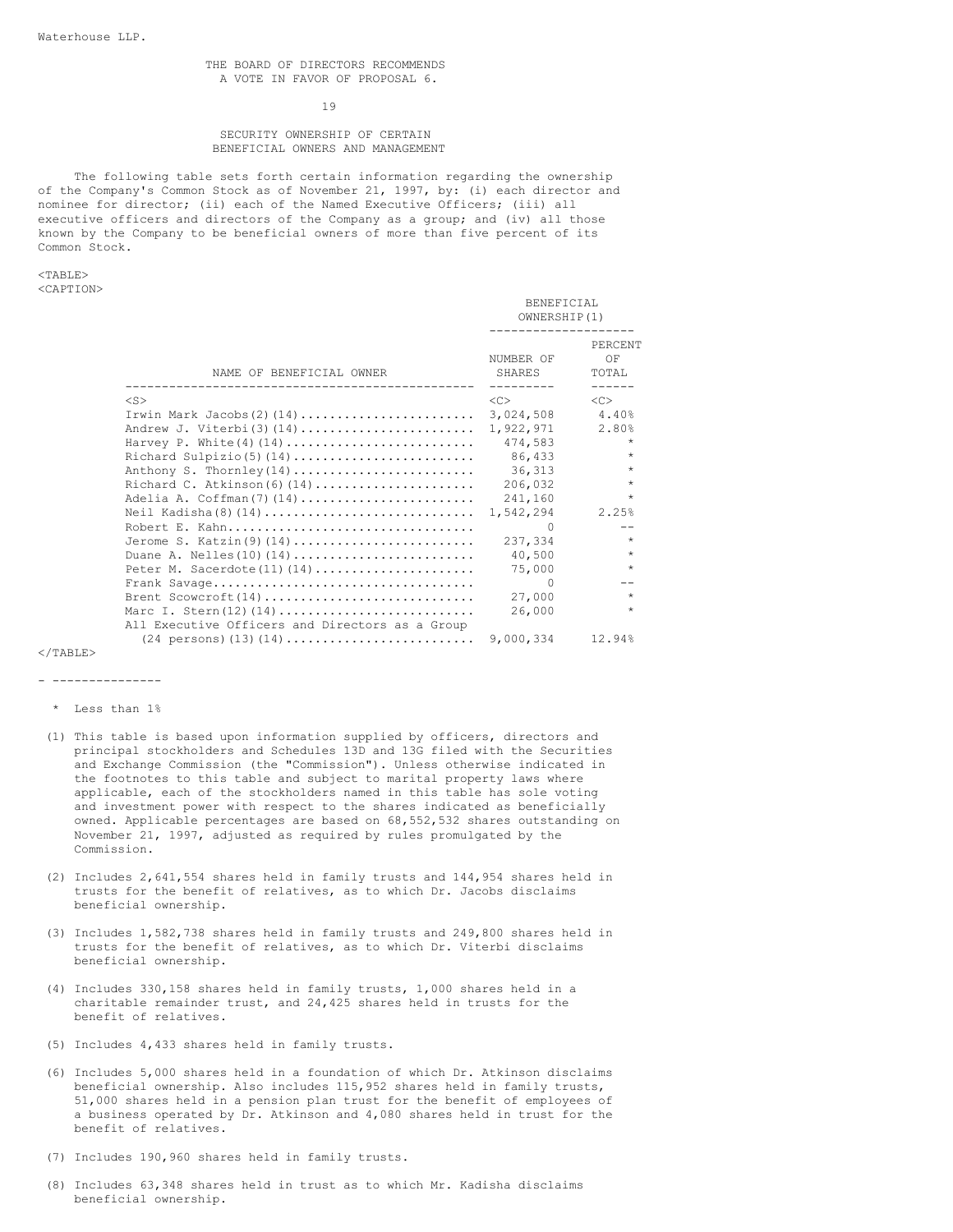#### 19

# SECURITY OWNERSHIP OF CERTAIN BENEFICIAL OWNERS AND MANAGEMENT

The following table sets forth certain information regarding the ownership of the Company's Common Stock as of November 21, 1997, by: (i) each director and nominee for director; (ii) each of the Named Executive Officers; (iii) all executive officers and directors of the Company as a group; and (iv) all those known by the Company to be beneficial owners of more than five percent of its Common Stock.

<TABLE> <CAPTION>

|                                                                                  | BENEFICIAL<br>OWNERSHIP(1)               |                                  |
|----------------------------------------------------------------------------------|------------------------------------------|----------------------------------|
| NAME OF BENEFICIAL OWNER                                                         | NUMBER OF<br>SHARES<br>$- - - - - - - -$ | PERCENT<br>OF<br>TOTAL<br>------ |
| $<$ S $>$                                                                        | <<                                       | < <sub></sub>                    |
|                                                                                  | 3,024,508                                | 4.40%                            |
|                                                                                  | 1,922,971                                | 2.80%                            |
| Harvey P. White(4)(14)                                                           | 474,583                                  | $\star$                          |
|                                                                                  | 86,433                                   | $\star$                          |
| Anthony S. Thornley(14)                                                          | 36,313                                   | $\star$                          |
| Richard C. Atkinson(6)(14)                                                       | 206,032                                  | $\star$                          |
| Adelia A. Coffman(7)(14)                                                         | 241,160                                  | $\star$                          |
|                                                                                  | 1,542,294                                | 2.25%                            |
| Robert E. Kahn                                                                   | $\Omega$                                 |                                  |
| Jerome S. Katzin(9)(14)                                                          | 237,334                                  | $\star$                          |
| Duane A. Nelles (10) $(14)$                                                      | 40,500                                   | $\star$                          |
| Peter M. Sacerdote $(11)$ $(14)$                                                 | 75,000                                   | $\star$                          |
|                                                                                  | $\Omega$                                 | $- -$                            |
| Brent Scowcroft $(14)$                                                           | 27,000                                   | $\star$                          |
| Marc I. Stern $(12)$ $(14)$                                                      | 26,000                                   | $\star$                          |
| All Executive Officers and Directors as a Group                                  |                                          |                                  |
| $(24 \text{ persons}) (13) (14) \dots \dots \dots \dots \dots \dots \dots \dots$ | 9,000,334                                | 12.94%                           |

 $<$ /TABLE>

- ---------------

- \* Less than 1%
- (1) This table is based upon information supplied by officers, directors and principal stockholders and Schedules 13D and 13G filed with the Securities and Exchange Commission (the "Commission"). Unless otherwise indicated in the footnotes to this table and subject to marital property laws where applicable, each of the stockholders named in this table has sole voting and investment power with respect to the shares indicated as beneficially owned. Applicable percentages are based on 68,552,532 shares outstanding on November 21, 1997, adjusted as required by rules promulgated by the Commission.
- (2) Includes 2,641,554 shares held in family trusts and 144,954 shares held in trusts for the benefit of relatives, as to which Dr. Jacobs disclaims beneficial ownership.
- (3) Includes 1,582,738 shares held in family trusts and 249,800 shares held in trusts for the benefit of relatives, as to which Dr. Viterbi disclaims beneficial ownership.
- (4) Includes 330,158 shares held in family trusts, 1,000 shares held in a charitable remainder trust, and 24,425 shares held in trusts for the benefit of relatives.
- (5) Includes 4,433 shares held in family trusts.
- (6) Includes 5,000 shares held in a foundation of which Dr. Atkinson disclaims beneficial ownership. Also includes 115,952 shares held in family trusts, 51,000 shares held in a pension plan trust for the benefit of employees of a business operated by Dr. Atkinson and 4,080 shares held in trust for the benefit of relatives.
- (7) Includes 190,960 shares held in family trusts.
- (8) Includes 63,348 shares held in trust as to which Mr. Kadisha disclaims beneficial ownership.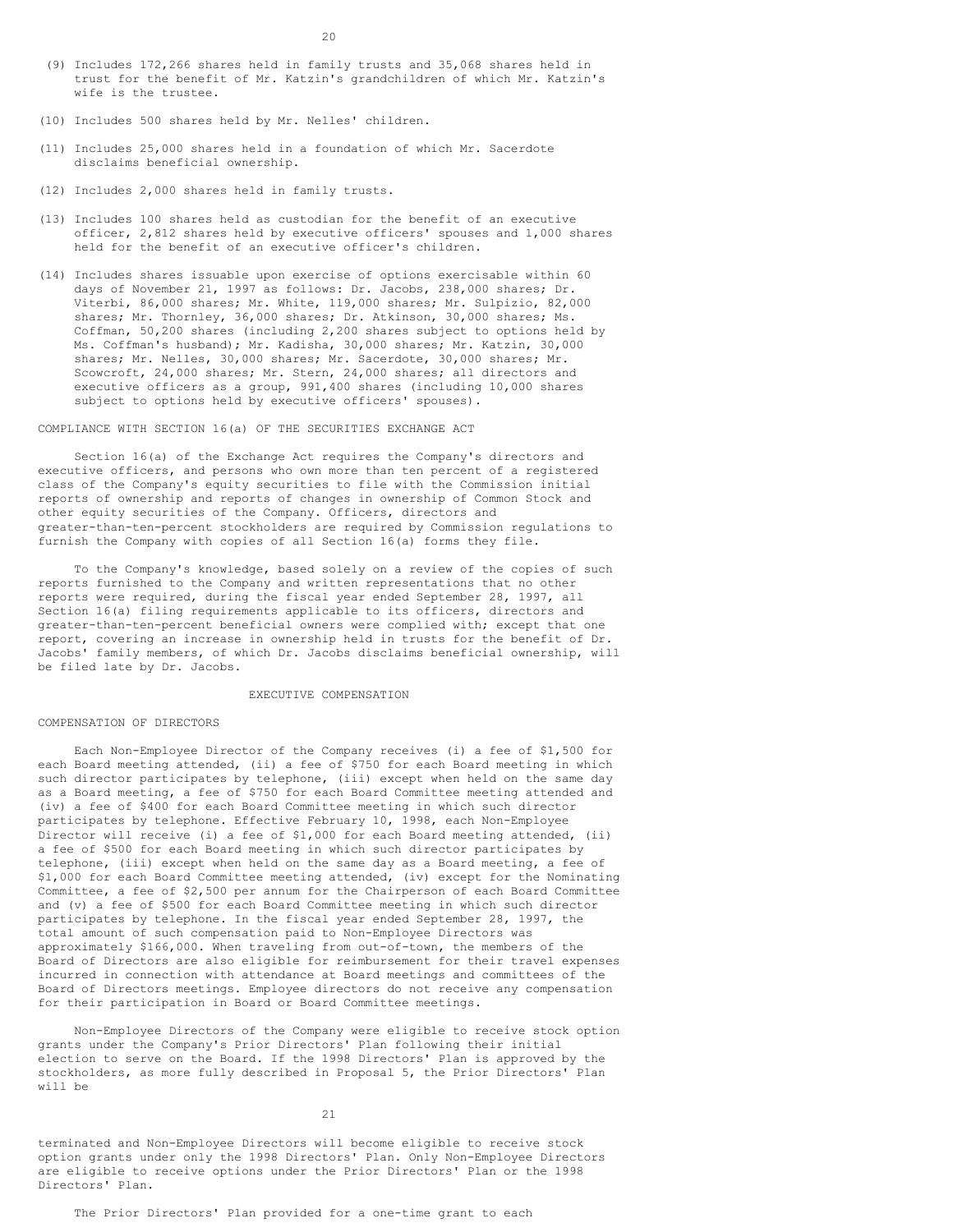- 20
- (9) Includes 172,266 shares held in family trusts and 35,068 shares held in trust for the benefit of Mr. Katzin's grandchildren of which Mr. Katzin's wife is the trustee.
- (10) Includes 500 shares held by Mr. Nelles' children.
- (11) Includes 25,000 shares held in a foundation of which Mr. Sacerdote disclaims beneficial ownership.
- (12) Includes 2,000 shares held in family trusts.
- (13) Includes 100 shares held as custodian for the benefit of an executive officer, 2,812 shares held by executive officers' spouses and 1,000 shares held for the benefit of an executive officer's children.
- (14) Includes shares issuable upon exercise of options exercisable within 60 days of November 21, 1997 as follows: Dr. Jacobs, 238,000 shares; Dr. Viterbi, 86,000 shares; Mr. White, 119,000 shares; Mr. Sulpizio, 82,000 shares; Mr. Thornley, 36,000 shares; Dr. Atkinson, 30,000 shares; Ms. Coffman, 50,200 shares (including 2,200 shares subject to options held by Ms. Coffman's husband); Mr. Kadisha, 30,000 shares; Mr. Katzin, 30,000 shares; Mr. Nelles, 30,000 shares; Mr. Sacerdote, 30,000 shares; Mr. Scowcroft, 24,000 shares; Mr. Stern, 24,000 shares; all directors and executive officers as a group, 991,400 shares (including 10,000 shares subject to options held by executive officers' spouses).

# COMPLIANCE WITH SECTION 16(a) OF THE SECURITIES EXCHANGE ACT

Section 16(a) of the Exchange Act requires the Company's directors and executive officers, and persons who own more than ten percent of a registered class of the Company's equity securities to file with the Commission initial reports of ownership and reports of changes in ownership of Common Stock and other equity securities of the Company. Officers, directors and greater-than-ten-percent stockholders are required by Commission regulations to furnish the Company with copies of all Section 16(a) forms they file.

To the Company's knowledge, based solely on a review of the copies of such reports furnished to the Company and written representations that no other reports were required, during the fiscal year ended September 28, 1997, all Section 16(a) filing requirements applicable to its officers, directors and greater-than-ten-percent beneficial owners were complied with; except that one report, covering an increase in ownership held in trusts for the benefit of Dr. Jacobs' family members, of which Dr. Jacobs disclaims beneficial ownership, will be filed late by Dr. Jacobs.

# EXECUTIVE COMPENSATION

#### COMPENSATION OF DIRECTORS

Each Non-Employee Director of the Company receives (i) a fee of \$1,500 for each Board meeting attended, (ii) a fee of \$750 for each Board meeting in which such director participates by telephone, (iii) except when held on the same day as a Board meeting, a fee of \$750 for each Board Committee meeting attended and (iv) a fee of \$400 for each Board Committee meeting in which such director participates by telephone. Effective February 10, 1998, each Non-Employee Director will receive (i) a fee of \$1,000 for each Board meeting attended, (ii) a fee of \$500 for each Board meeting in which such director participates by telephone, (iii) except when held on the same day as a Board meeting, a fee of \$1,000 for each Board Committee meeting attended, (iv) except for the Nominating Committee, a fee of \$2,500 per annum for the Chairperson of each Board Committee and (v) a fee of \$500 for each Board Committee meeting in which such director participates by telephone. In the fiscal year ended September 28, 1997, the total amount of such compensation paid to Non-Employee Directors was approximately \$166,000. When traveling from out-of-town, the members of the Board of Directors are also eligible for reimbursement for their travel expenses incurred in connection with attendance at Board meetings and committees of the Board of Directors meetings. Employee directors do not receive any compensation for their participation in Board or Board Committee meetings.

Non-Employee Directors of the Company were eligible to receive stock option grants under the Company's Prior Directors' Plan following their initial election to serve on the Board. If the 1998 Directors' Plan is approved by the stockholders, as more fully described in Proposal 5, the Prior Directors' Plan will be

terminated and Non-Employee Directors will become eligible to receive stock option grants under only the 1998 Directors' Plan. Only Non-Employee Directors are eligible to receive options under the Prior Directors' Plan or the 1998 Directors' Plan.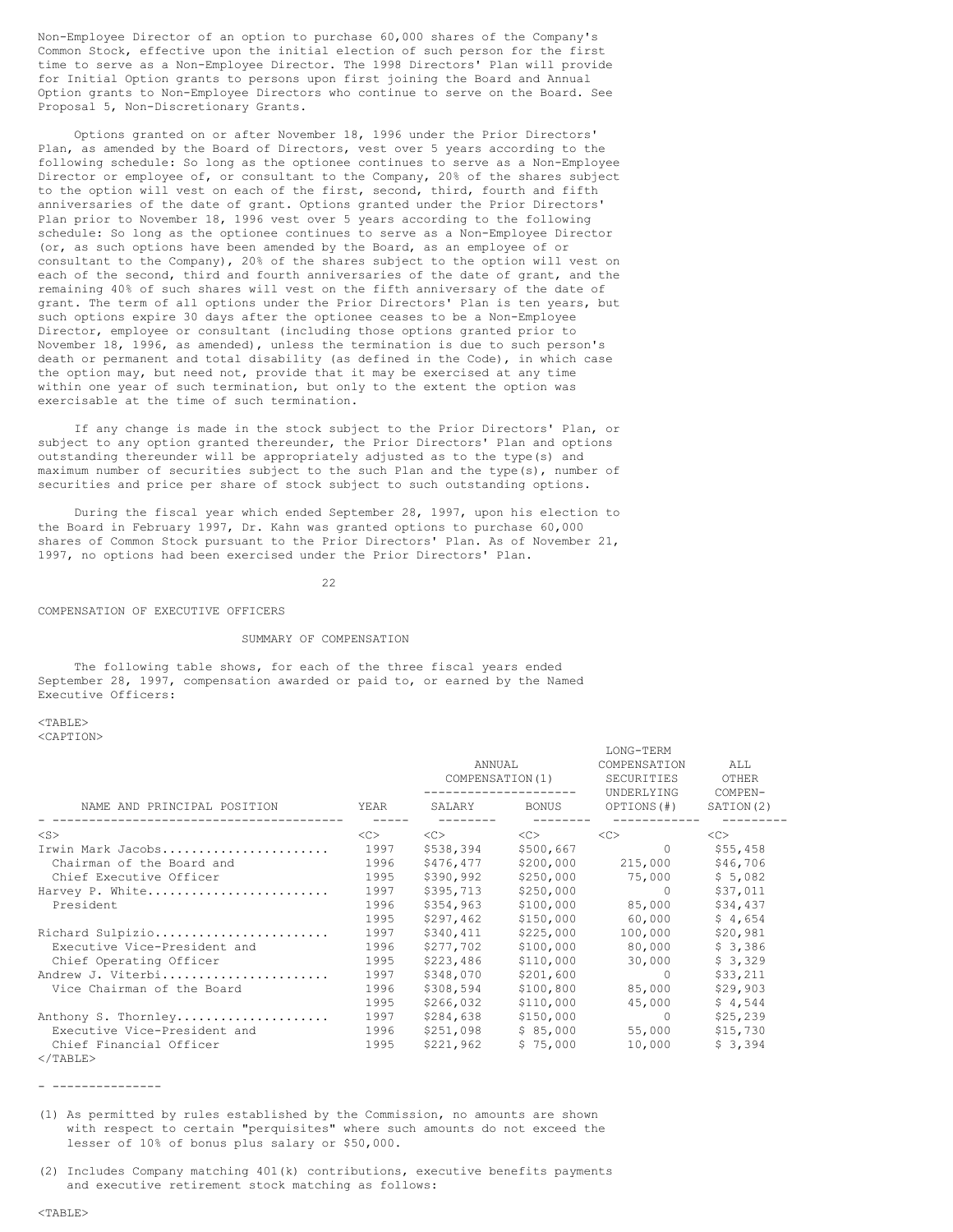Non-Employee Director of an option to purchase 60,000 shares of the Company's Common Stock, effective upon the initial election of such person for the first time to serve as a Non-Employee Director. The 1998 Directors' Plan will provide for Initial Option grants to persons upon first joining the Board and Annual Option grants to Non-Employee Directors who continue to serve on the Board. See Proposal 5, Non-Discretionary Grants.

Options granted on or after November 18, 1996 under the Prior Directors' Plan, as amended by the Board of Directors, vest over 5 years according to the following schedule: So long as the optionee continues to serve as a Non-Employee Director or employee of, or consultant to the Company, 20% of the shares subject to the option will vest on each of the first, second, third, fourth and fifth anniversaries of the date of grant. Options granted under the Prior Directors' Plan prior to November 18, 1996 vest over 5 years according to the following schedule: So long as the optionee continues to serve as a Non-Employee Director (or, as such options have been amended by the Board, as an employee of or consultant to the Company), 20% of the shares subject to the option will vest on each of the second, third and fourth anniversaries of the date of grant, and the remaining 40% of such shares will vest on the fifth anniversary of the date of grant. The term of all options under the Prior Directors' Plan is ten years, but such options expire 30 days after the optionee ceases to be a Non-Employee Director, employee or consultant (including those options granted prior to November 18, 1996, as amended), unless the termination is due to such person's death or permanent and total disability (as defined in the Code), in which case the option may, but need not, provide that it may be exercised at any time within one year of such termination, but only to the extent the option was exercisable at the time of such termination.

If any change is made in the stock subject to the Prior Directors' Plan, or subject to any option granted thereunder, the Prior Directors' Plan and options outstanding thereunder will be appropriately adjusted as to the type(s) and maximum number of securities subject to the such Plan and the type(s), number of securities and price per share of stock subject to such outstanding options.

During the fiscal year which ended September 28, 1997, upon his election to the Board in February 1997, Dr. Kahn was granted options to purchase 60,000 shares of Common Stock pursuant to the Prior Directors' Plan. As of November 21, 1997, no options had been exercised under the Prior Directors' Plan.

22

COMPENSATION OF EXECUTIVE OFFICERS

# SUMMARY OF COMPENSATION

The following table shows, for each of the three fiscal years ended September 28, 1997, compensation awarded or paid to, or earned by the Named Executive Officers:

<TABLE>

<CAPTION>

|                              |      | ANNUAL<br>COMPENSATION(1)<br>--------------------- |           | TAMA - TEUM<br>COMPENSATION<br>SECURITIES<br>UNDERLYING | ALL<br>OTHER<br>COMPEN- |
|------------------------------|------|----------------------------------------------------|-----------|---------------------------------------------------------|-------------------------|
| NAME AND PRINCIPAL POSITION  | YEAR | SALARY                                             | BONUS     | OPTIONS(#)                                              | SATION(2)               |
| $<$ S $>$                    | <<   | $<\infty$                                          | <<>       | <<>                                                     | <<                      |
| Irwin Mark Jacobs            | 1997 | \$538,394                                          | \$500,667 | $\Omega$                                                | \$55,458                |
| Chairman of the Board and    | 1996 | \$476,477                                          | \$200,000 | 215,000                                                 | \$46,706                |
| Chief Executive Officer      | 1995 | \$390,992                                          | \$250,000 | 75,000                                                  | \$5,082                 |
| Harvey P. White              | 1997 | \$395,713                                          | \$250,000 | - 0                                                     | \$37,011                |
| President                    | 1996 | \$354,963                                          | \$100,000 | 85,000                                                  | \$34,437                |
|                              | 1995 | \$297,462                                          | \$150,000 | 60,000                                                  | \$4,654                 |
| Richard Sulpizio             | 1997 | \$340,411                                          | \$225,000 | 100,000                                                 | \$20,981                |
| Executive Vice-President and | 1996 | \$277,702                                          | \$100,000 | 80,000                                                  | \$3,386                 |
| Chief Operating Officer      | 1995 | \$223,486                                          | \$110,000 | 30,000                                                  | \$3,329                 |
| Andrew J. Viterbi            | 1997 | \$348,070                                          | \$201,600 | $\circ$                                                 | \$33,211                |
| Vice Chairman of the Board   | 1996 | \$308,594                                          | \$100,800 | 85,000                                                  | \$29,903                |
|                              | 1995 | \$266,032                                          | \$110,000 | 45,000                                                  | \$4,544                 |
| Anthony S. Thornley          | 1997 | \$284,638                                          | \$150,000 | $\Omega$                                                | \$25,239                |
| Executive Vice-President and | 1996 | \$251,098                                          | \$85,000  | 55,000                                                  | \$15,730                |
| Chief Financial Officer      | 1995 | \$221,962                                          | \$75,000  | 10,000                                                  | \$3,394                 |
| $\langle$ /TABLE>            |      |                                                    |           |                                                         |                         |

LONG-TERM

- ---------------

(1) As permitted by rules established by the Commission, no amounts are shown with respect to certain "perquisites" where such amounts do not exceed the lesser of 10% of bonus plus salary or \$50,000.

(2) Includes Company matching 401(k) contributions, executive benefits payments and executive retirement stock matching as follows: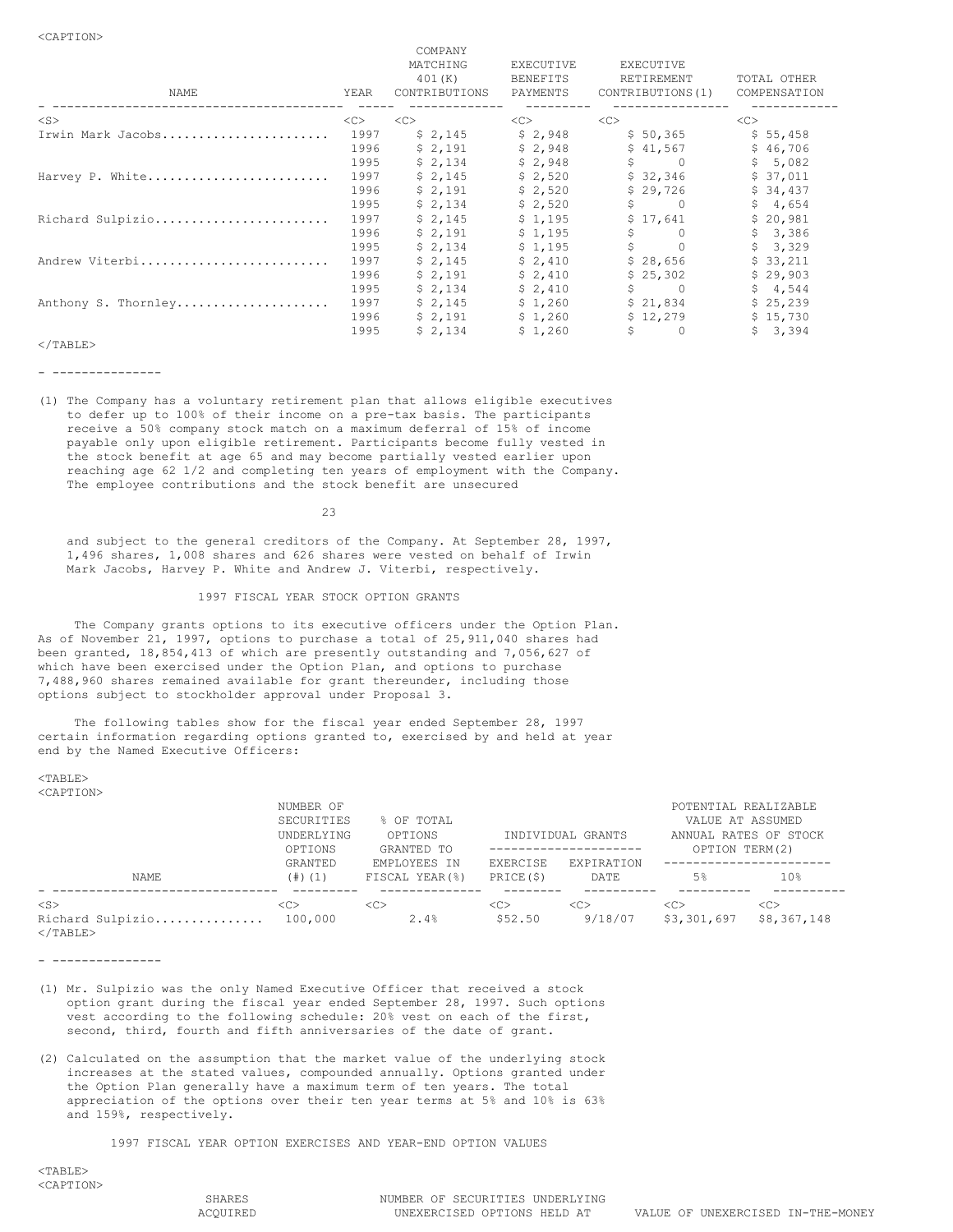| NAME                | YEAR | UULLILIN L<br>MATCHING<br>401(K)<br>CONTRIBUTIONS | <b>EXECUTIVE</b><br><b>BENEFITS</b><br>PAYMENTS | EXECUTIVE<br>RETIREMENT<br>CONTRIBUTIONS (1) | TOTAL OTHER<br>COMPENSATION |
|---------------------|------|---------------------------------------------------|-------------------------------------------------|----------------------------------------------|-----------------------------|
| $<$ S $>$           | <<>  | <<                                                | <<>                                             | <<                                           | <<                          |
| Irwin Mark Jacobs   | 1997 | \$2,145                                           | \$2,948                                         | \$50,365                                     | \$55,458                    |
|                     | 1996 | \$2,191                                           | \$2,948                                         | \$41,567                                     | \$46,706                    |
|                     | 1995 | \$2,134                                           | \$2,948                                         | Ŝ.<br>$\overline{0}$                         | \$5,082                     |
| Harvey P. White     | 1997 | \$2,145                                           | \$2,520                                         | \$32,346                                     | \$37,011                    |
|                     | 1996 | \$2,191                                           | \$2,520                                         | \$29,726                                     | \$34,437                    |
|                     | 1995 | \$2,134                                           | \$2,520                                         | \$<br>$\overline{0}$                         | \$4,654                     |
| Richard Sulpizio    | 1997 | \$2,145                                           | \$1,195                                         | \$17,641                                     | \$20,981                    |
|                     | 1996 | \$2,191                                           | \$1,195                                         | \$<br>$\bigcap$                              | \$3,386                     |
|                     | 1995 | \$2,134                                           | \$1,195                                         | $S$ and $S$                                  | \$3,329                     |
| Andrew Viterbi      | 1997 | \$2,145                                           | \$2,410                                         | \$28,656                                     | \$33,211                    |
|                     | 1996 | \$2,191                                           | \$2,410                                         | \$25,302                                     | \$29,903                    |
|                     | 1995 | \$2,134                                           | \$2,410                                         | \$.<br>$\overline{0}$                        | \$4,544                     |
| Anthony S. Thornley | 1997 | \$2,145                                           | \$1,260                                         | \$21,834                                     | \$25,239                    |
|                     | 1996 | \$2,191                                           | \$1,260                                         | \$12,279                                     | \$15,730                    |
|                     | 1995 | \$2,134                                           | \$1,260                                         | \$<br>$\overline{0}$                         | \$3,394                     |

COMPANY

# $<$ /TABLE>

- ---------------

(1) The Company has a voluntary retirement plan that allows eligible executives to defer up to 100% of their income on a pre-tax basis. The participants receive a 50% company stock match on a maximum deferral of 15% of income payable only upon eligible retirement. Participants become fully vested in the stock benefit at age 65 and may become partially vested earlier upon reaching age 62 1/2 and completing ten years of employment with the Company. The employee contributions and the stock benefit are unsecured

23

and subject to the general creditors of the Company. At September 28, 1997, 1,496 shares, 1,008 shares and 626 shares were vested on behalf of Irwin Mark Jacobs, Harvey P. White and Andrew J. Viterbi, respectively.

# 1997 FISCAL YEAR STOCK OPTION GRANTS

The Company grants options to its executive officers under the Option Plan. As of November 21, 1997, options to purchase a total of 25,911,040 shares had been granted, 18,854,413 of which are presently outstanding and 7,056,627 of which have been exercised under the Option Plan, and options to purchase 7,488,960 shares remained available for grant thereunder, including those options subject to stockholder approval under Proposal 3.

The following tables show for the fiscal year ended September 28, 1997 certain information regarding options granted to, exercised by and held at year end by the Named Executive Officers:

 $<$ TABLE> <CAPTION>

|                                                    | NUMBER OF<br>SECURITIES<br>UNDERLYING<br>OPTIONS | % OF TOTAL<br>OPTIONS<br>GRANTED TO |                           | INDIVIDUAL GRANTS         | POTENTIAL REALIZABLE<br>VALUE AT ASSUMED<br>OPTION TERM(2) | ANNUAL RATES OF STOCK         |
|----------------------------------------------------|--------------------------------------------------|-------------------------------------|---------------------------|---------------------------|------------------------------------------------------------|-------------------------------|
| NAME                                               | GRANTED<br>$(4)$ $(1)$                           | EMPLOYEES IN<br>FISCAL YEAR(%)      | EXERCISE<br>PRICE(\$)     | EXPIRATION<br>DATE        | 5 <sup>8</sup>                                             | 10 <sup>°</sup>               |
| $<$ S $>$<br>Richard Sulpizio<br>$\langle$ /TABLE> | < <sub><br/>100,000</sub>                        | < <sub><br/>2.4%</sub>              | < <sub><br/>\$52.50</sub> | < <sub><br/>9/18/07</sub> | < <sub><br/>\$3,301,697</sub>                              | < <sub><br/>\$8,367,148</sub> |

- ---------------

- (1) Mr. Sulpizio was the only Named Executive Officer that received a stock option grant during the fiscal year ended September 28, 1997. Such options vest according to the following schedule: 20% vest on each of the first, second, third, fourth and fifth anniversaries of the date of grant.
- (2) Calculated on the assumption that the market value of the underlying stock increases at the stated values, compounded annually. Options granted under the Option Plan generally have a maximum term of ten years. The total appreciation of the options over their ten year terms at 5% and 10% is 63% and 159%, respectively.

1997 FISCAL YEAR OPTION EXERCISES AND YEAR-END OPTION VALUES

 $<$ TABLE> <CAPTION>

SHARES NUMBER OF SECURITIES UNDERLYING<br>ACOUIRED TONEXERCISED OPTIONS HELD AT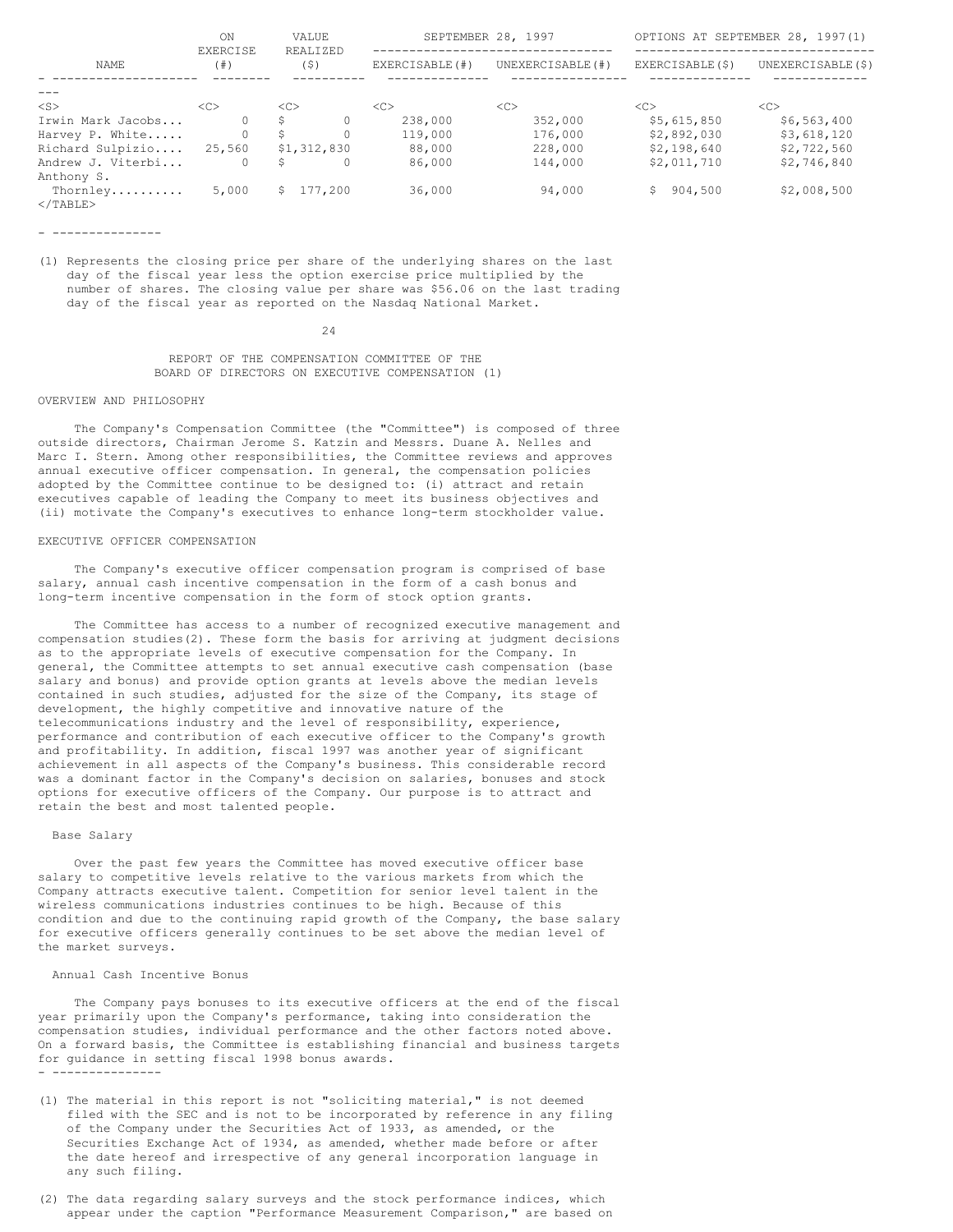|                               | ON<br><b>EXERCISE</b> | VALUE<br>REALIZED | SEPTEMBER 28, 1997 |                  |                 | OPTIONS AT SEPTEMBER 28, 1997(1) |
|-------------------------------|-----------------------|-------------------|--------------------|------------------|-----------------|----------------------------------|
| NAME                          | (  # )                | (5)               | EXERCISABLE (#)    | UNEXERCISABLE(#) | EXERCISABLE(\$) | UNEXERCISABLE (\$)               |
|                               |                       |                   |                    |                  |                 |                                  |
| $<$ S $>$                     | <<                    | <<                | <<                 | <<               | <<>             | <<                               |
| Irwin Mark Jacobs             |                       | S.                | 238,000            | 352,000          | \$5,615,850     | \$6,563,400                      |
| Harvey P. White               | $\Omega$              | S.                | 119,000            | 176,000          | \$2,892,030     | \$3,618,120                      |
| Richard Sulpizio              | 25,560                | \$1,312,830       | 88,000             | 228,000          | \$2,198,640     | \$2,722,560                      |
| Andrew J. Viterbi             | 0                     | Ŝ.                | 86,000             | 144,000          | \$2,011,710     | \$2,746,840                      |
| Anthony S.                    |                       |                   |                    |                  |                 |                                  |
| Thornley<br>$\langle$ /TABLE> | 5,000                 | \$177.200         | 36,000             | 94,000           | \$904,500       | \$2,008,500                      |

- ---------------

(1) Represents the closing price per share of the underlying shares on the last day of the fiscal year less the option exercise price multiplied by the number of shares. The closing value per share was \$56.06 on the last trading day of the fiscal year as reported on the Nasdaq National Market.

24

REPORT OF THE COMPENSATION COMMITTEE OF THE BOARD OF DIRECTORS ON EXECUTIVE COMPENSATION (1)

### OVERVIEW AND PHILOSOPHY

The Company's Compensation Committee (the "Committee") is composed of three outside directors, Chairman Jerome S. Katzin and Messrs. Duane A. Nelles and Marc I. Stern. Among other responsibilities, the Committee reviews and approves annual executive officer compensation. In general, the compensation policies adopted by the Committee continue to be designed to: (i) attract and retain executives capable of leading the Company to meet its business objectives and (ii) motivate the Company's executives to enhance long-term stockholder value.

#### EXECUTIVE OFFICER COMPENSATION

The Company's executive officer compensation program is comprised of base salary, annual cash incentive compensation in the form of a cash bonus and long-term incentive compensation in the form of stock option grants.

The Committee has access to a number of recognized executive management and compensation studies(2). These form the basis for arriving at judgment decisions as to the appropriate levels of executive compensation for the Company. In general, the Committee attempts to set annual executive cash compensation (base salary and bonus) and provide option grants at levels above the median levels contained in such studies, adjusted for the size of the Company, its stage of development, the highly competitive and innovative nature of the telecommunications industry and the level of responsibility, experience, performance and contribution of each executive officer to the Company's growth and profitability. In addition, fiscal 1997 was another year of significant achievement in all aspects of the Company's business. This considerable record was a dominant factor in the Company's decision on salaries, bonuses and stock options for executive officers of the Company. Our purpose is to attract and retain the best and most talented people.

### Base Salary

Over the past few years the Committee has moved executive officer base salary to competitive levels relative to the various markets from which the Company attracts executive talent. Competition for senior level talent in the wireless communications industries continues to be high. Because of this condition and due to the continuing rapid growth of the Company, the base salary for executive officers generally continues to be set above the median level of the market surveys.

# Annual Cash Incentive Bonus

The Company pays bonuses to its executive officers at the end of the fiscal year primarily upon the Company's performance, taking into consideration the compensation studies, individual performance and the other factors noted above. On a forward basis, the Committee is establishing financial and business targets for guidance in setting fiscal 1998 bonus awards. - ---------------

- (1) The material in this report is not "soliciting material," is not deemed filed with the SEC and is not to be incorporated by reference in any filing of the Company under the Securities Act of 1933, as amended, or the Securities Exchange Act of 1934, as amended, whether made before or after the date hereof and irrespective of any general incorporation language in any such filing.
- (2) The data regarding salary surveys and the stock performance indices, which appear under the caption "Performance Measurement Comparison," are based on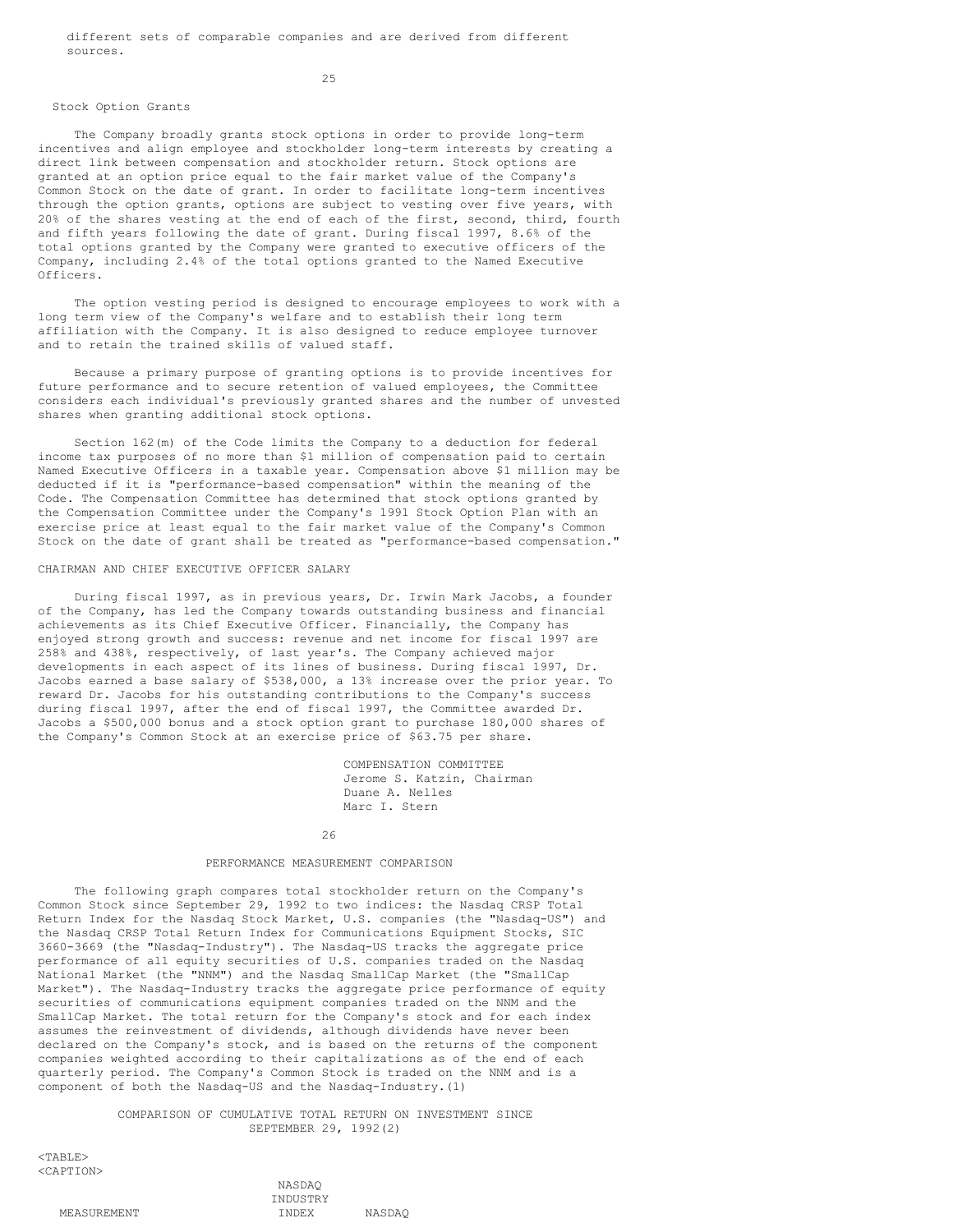different sets of comparable companies and are derived from different sources.

25

### Stock Option Grants

The Company broadly grants stock options in order to provide long-term incentives and align employee and stockholder long-term interests by creating a direct link between compensation and stockholder return. Stock options are granted at an option price equal to the fair market value of the Company's Common Stock on the date of grant. In order to facilitate long-term incentives through the option grants, options are subject to vesting over five years, with 20% of the shares vesting at the end of each of the first, second, third, fourth and fifth years following the date of grant. During fiscal 1997, 8.6% of the total options granted by the Company were granted to executive officers of the Company, including 2.4% of the total options granted to the Named Executive Officers.

The option vesting period is designed to encourage employees to work with a long term view of the Company's welfare and to establish their long term affiliation with the Company. It is also designed to reduce employee turnover and to retain the trained skills of valued staff.

Because a primary purpose of granting options is to provide incentives for future performance and to secure retention of valued employees, the Committee considers each individual's previously granted shares and the number of unvested shares when granting additional stock options.

Section 162(m) of the Code limits the Company to a deduction for federal income tax purposes of no more than \$1 million of compensation paid to certain Named Executive Officers in a taxable year. Compensation above \$1 million may be deducted if it is "performance-based compensation" within the meaning of the Code. The Compensation Committee has determined that stock options granted by the Compensation Committee under the Company's 1991 Stock Option Plan with an exercise price at least equal to the fair market value of the Company's Common Stock on the date of grant shall be treated as "performance-based compensation."

# CHAIRMAN AND CHIEF EXECUTIVE OFFICER SALARY

During fiscal 1997, as in previous years, Dr. Irwin Mark Jacobs, a founder of the Company, has led the Company towards outstanding business and financial achievements as its Chief Executive Officer. Financially, the Company has enjoyed strong growth and success: revenue and net income for fiscal 1997 are 258% and 438%, respectively, of last year's. The Company achieved major developments in each aspect of its lines of business. During fiscal 1997, Dr. Jacobs earned a base salary of \$538,000, a 13% increase over the prior year. To reward Dr. Jacobs for his outstanding contributions to the Company's success during fiscal 1997, after the end of fiscal 1997, the Committee awarded Dr. Jacobs a \$500,000 bonus and a stock option grant to purchase 180,000 shares of the Company's Common Stock at an exercise price of \$63.75 per share.

> COMPENSATION COMMITTEE Jerome S. Katzin, Chairman Duane A. Nelles Marc I. Stern

#### 26

### PERFORMANCE MEASUREMENT COMPARISON

The following graph compares total stockholder return on the Company's Common Stock since September 29, 1992 to two indices: the Nasdaq CRSP Total Return Index for the Nasdaq Stock Market, U.S. companies (the "Nasdaq-US") and the Nasdaq CRSP Total Return Index for Communications Equipment Stocks, SIC 3660-3669 (the "Nasdaq-Industry"). The Nasdaq-US tracks the aggregate price performance of all equity securities of U.S. companies traded on the Nasdaq National Market (the "NNM") and the Nasdaq SmallCap Market (the "SmallCap Market"). The Nasdaq-Industry tracks the aggregate price performance of equity securities of communications equipment companies traded on the NNM and the SmallCap Market. The total return for the Company's stock and for each index assumes the reinvestment of dividends, although dividends have never been declared on the Company's stock, and is based on the returns of the component companies weighted according to their capitalizations as of the end of each quarterly period. The Company's Common Stock is traded on the NNM and is a component of both the Nasdaq-US and the Nasdaq-Industry.(1)

> COMPARISON OF CUMULATIVE TOTAL RETURN ON INVESTMENT SINCE SEPTEMBER 29, 1992(2)

> > NASDAQ

<TABLE> <CAPTION>

|             | TNDHSTRY |                                 |
|-------------|----------|---------------------------------|
| MEASUREMENT | 'NIDE V  | $M \wedge C \cap \wedge \wedge$ |

INDUSTRY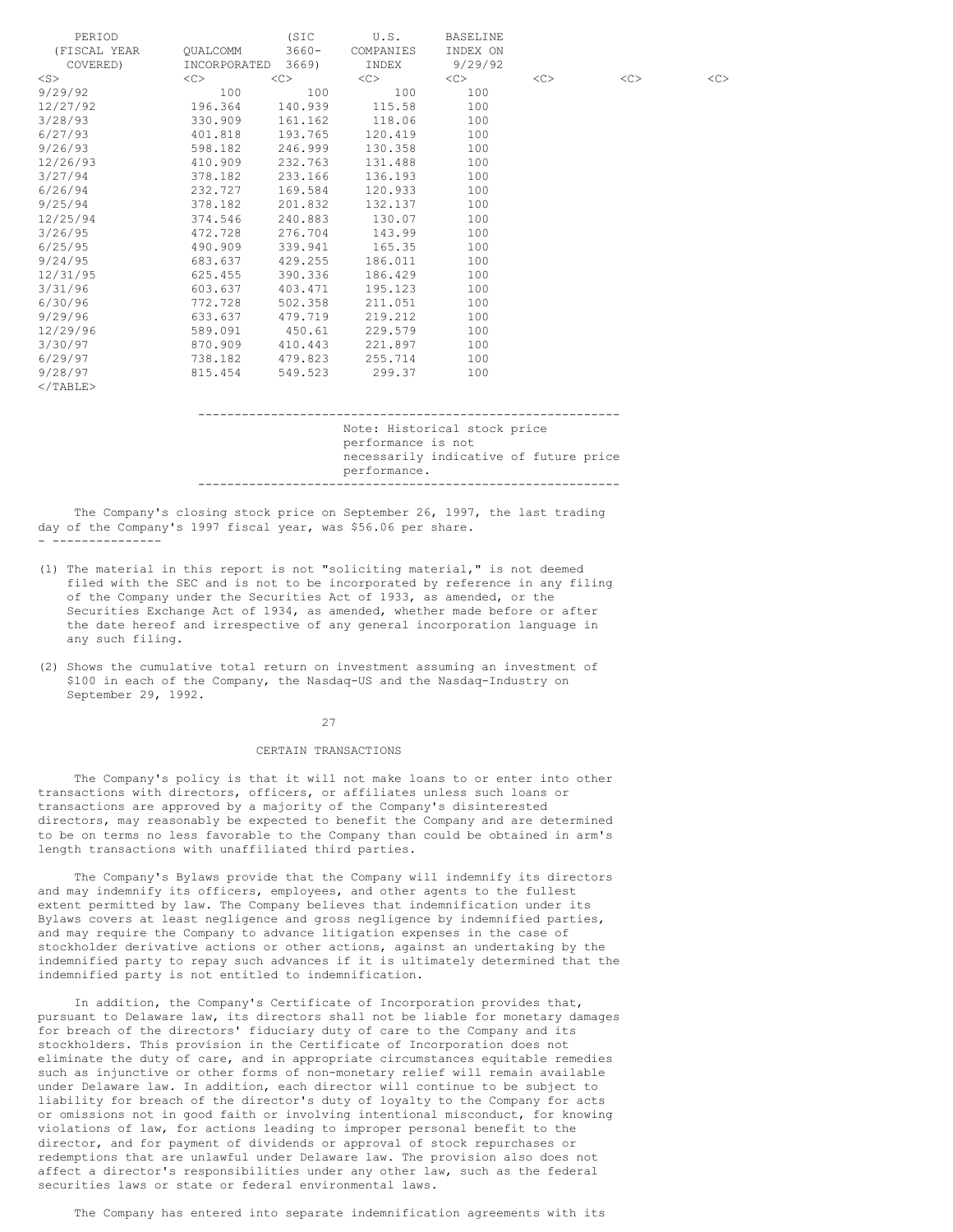| PERIOD       |              | (SIC     | U.S.      | BASELINE |    |           |               |
|--------------|--------------|----------|-----------|----------|----|-----------|---------------|
| (FISCAL YEAR | OUALCOMM     | $3660 -$ | COMPANIES | INDEX ON |    |           |               |
| COVERED)     | INCORPORATED | 3669)    | INDEX     | 9/29/92  |    |           |               |
| $<$ S $>$    | $<<$ $<$ $>$ | <<       | $<$ C $>$ | <<       | << | $<$ C $>$ | < <sub></sub> |
| 9/29/92      | 100          | 100      | 100       | 100      |    |           |               |
| 12/27/92     | 196.364      | 140.939  | 115.58    | 100      |    |           |               |
| 3/28/93      | 330.909      | 161.162  | 118.06    | 100      |    |           |               |
| 6/27/93      | 401.818      | 193.765  | 120.419   | 100      |    |           |               |
| 9/26/93      | 598.182      | 246.999  | 130.358   | 100      |    |           |               |
| 12/26/93     | 410.909      | 232.763  | 131.488   | 100      |    |           |               |
| 3/27/94      | 378.182      | 233.166  | 136.193   | 100      |    |           |               |
| 6/26/94      | 232.727      | 169.584  | 120.933   | 100      |    |           |               |
| 9/25/94      | 378.182      | 201.832  | 132.137   | 100      |    |           |               |
| 12/25/94     | 374.546      | 240.883  | 130.07    | 100      |    |           |               |
| 3/26/95      | 472.728      | 276.704  | 143.99    | 100      |    |           |               |
| 6/25/95      | 490.909      | 339.941  | 165.35    | 100      |    |           |               |
| 9/24/95      | 683.637      | 429.255  | 186.011   | 100      |    |           |               |
| 12/31/95     | 625.455      | 390.336  | 186.429   | 100      |    |           |               |
| 3/31/96      | 603.637      | 403.471  | 195.123   | 100      |    |           |               |
| 6/30/96      | 772.728      | 502.358  | 211.051   | 100      |    |           |               |
| 9/29/96      | 633.637      | 479.719  | 219.212   | 100      |    |           |               |
| 12/29/96     | 589.091      | 450.61   | 229.579   | 100      |    |           |               |
| 3/30/97      | 870.909      | 410.443  | 221.897   | 100      |    |           |               |
| 6/29/97      | 738.182      | 479.823  | 255.714   | 100      |    |           |               |
| 9/28/97      | 815.454      | 549.523  | 299.37    | 100      |    |           |               |
| $<$ /TABLE>  |              |          |           |          |    |           |               |

---------------------------------------------------------- Note: Historical stock price performance is not necessarily indicative of future price performance. ----------------------------------------------------------

The Company's closing stock price on September 26, 1997, the last trading day of the Company's 1997 fiscal year, was \$56.06 per share. - ---------------

- (1) The material in this report is not "soliciting material," is not deemed filed with the SEC and is not to be incorporated by reference in any filing of the Company under the Securities Act of 1933, as amended, or the Securities Exchange Act of 1934, as amended, whether made before or after the date hereof and irrespective of any general incorporation language in any such filing.
- (2) Shows the cumulative total return on investment assuming an investment of \$100 in each of the Company, the Nasdaq-US and the Nasdaq-Industry on September 29, 1992.

#### 27

## CERTAIN TRANSACTIONS

The Company's policy is that it will not make loans to or enter into other transactions with directors, officers, or affiliates unless such loans or transactions are approved by a majority of the Company's disinterested directors, may reasonably be expected to benefit the Company and are determined to be on terms no less favorable to the Company than could be obtained in arm's length transactions with unaffiliated third parties.

The Company's Bylaws provide that the Company will indemnify its directors and may indemnify its officers, employees, and other agents to the fullest extent permitted by law. The Company believes that indemnification under its Bylaws covers at least negligence and gross negligence by indemnified parties, and may require the Company to advance litigation expenses in the case of stockholder derivative actions or other actions, against an undertaking by the indemnified party to repay such advances if it is ultimately determined that the indemnified party is not entitled to indemnification.

In addition, the Company's Certificate of Incorporation provides that, pursuant to Delaware law, its directors shall not be liable for monetary damages for breach of the directors' fiduciary duty of care to the Company and its stockholders. This provision in the Certificate of Incorporation does not eliminate the duty of care, and in appropriate circumstances equitable remedies such as injunctive or other forms of non-monetary relief will remain available under Delaware law. In addition, each director will continue to be subject to liability for breach of the director's duty of loyalty to the Company for acts or omissions not in good faith or involving intentional misconduct, for knowing violations of law, for actions leading to improper personal benefit to the director, and for payment of dividends or approval of stock repurchases or redemptions that are unlawful under Delaware law. The provision also does not affect a director's responsibilities under any other law, such as the federal securities laws or state or federal environmental laws.

The Company has entered into separate indemnification agreements with its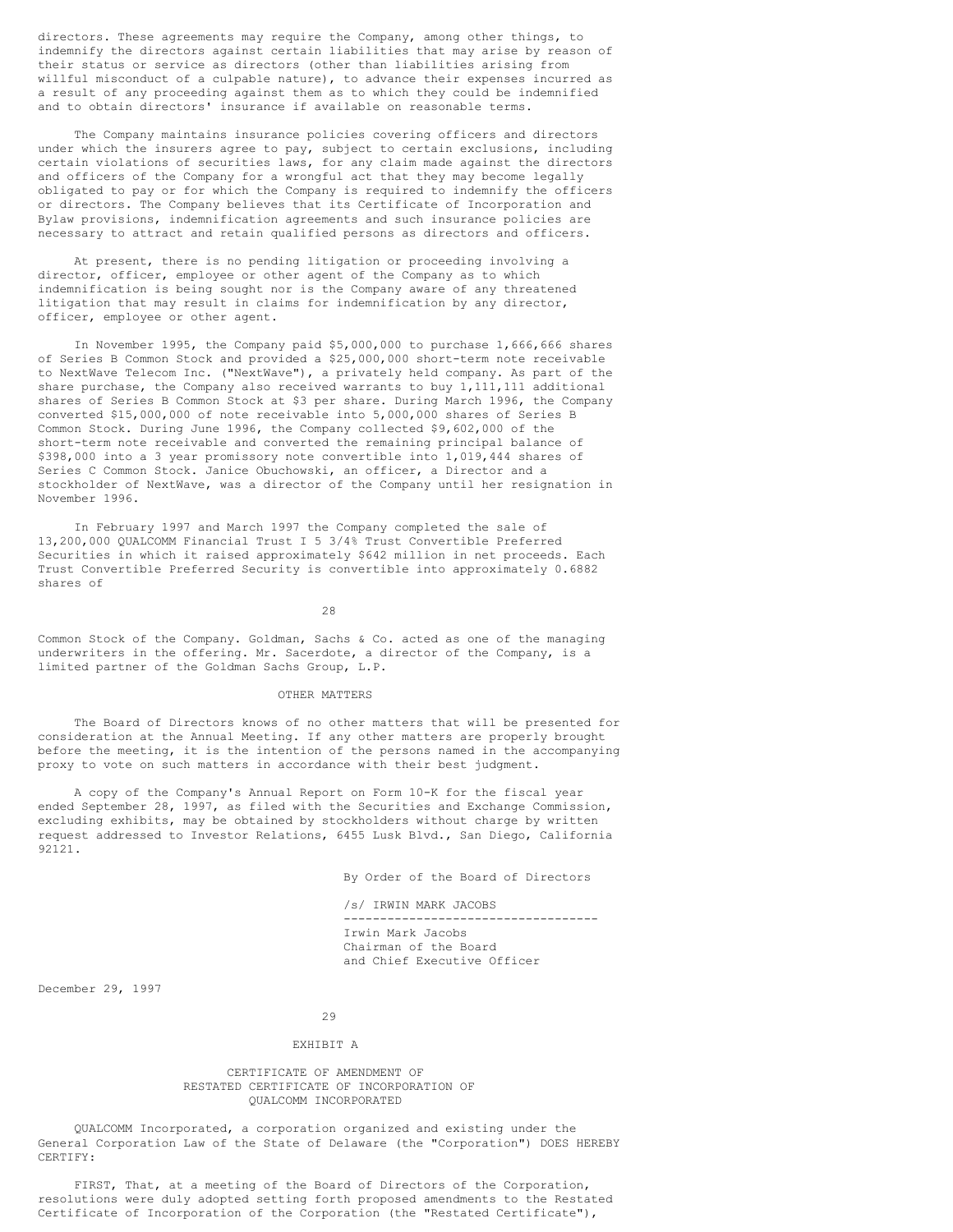directors. These agreements may require the Company, among other things, to indemnify the directors against certain liabilities that may arise by reason of their status or service as directors (other than liabilities arising from willful misconduct of a culpable nature), to advance their expenses incurred as a result of any proceeding against them as to which they could be indemnified and to obtain directors' insurance if available on reasonable terms.

The Company maintains insurance policies covering officers and directors under which the insurers agree to pay, subject to certain exclusions, including certain violations of securities laws, for any claim made against the directors and officers of the Company for a wrongful act that they may become legally obligated to pay or for which the Company is required to indemnify the officers or directors. The Company believes that its Certificate of Incorporation and Bylaw provisions, indemnification agreements and such insurance policies are necessary to attract and retain qualified persons as directors and officers.

At present, there is no pending litigation or proceeding involving a director, officer, employee or other agent of the Company as to which indemnification is being sought nor is the Company aware of any threatened litigation that may result in claims for indemnification by any director, officer, employee or other agent.

In November 1995, the Company paid \$5,000,000 to purchase 1,666,666 shares of Series B Common Stock and provided a \$25,000,000 short-term note receivable to NextWave Telecom Inc. ("NextWave"), a privately held company. As part of the share purchase, the Company also received warrants to buy 1,111,111 additional shares of Series B Common Stock at \$3 per share. During March 1996, the Company converted \$15,000,000 of note receivable into 5,000,000 shares of Series B Common Stock. During June 1996, the Company collected \$9,602,000 of the short-term note receivable and converted the remaining principal balance of \$398,000 into a 3 year promissory note convertible into 1,019,444 shares of Series C Common Stock. Janice Obuchowski, an officer, a Director and a stockholder of NextWave, was a director of the Company until her resignation in November 1996.

In February 1997 and March 1997 the Company completed the sale of 13,200,000 QUALCOMM Financial Trust I 5 3/4% Trust Convertible Preferred Securities in which it raised approximately \$642 million in net proceeds. Each Trust Convertible Preferred Security is convertible into approximately 0.6882 shares of

28

Common Stock of the Company. Goldman, Sachs & Co. acted as one of the managing underwriters in the offering. Mr. Sacerdote, a director of the Company, is a limited partner of the Goldman Sachs Group, L.P.

# OTHER MATTERS

The Board of Directors knows of no other matters that will be presented for consideration at the Annual Meeting. If any other matters are properly brought before the meeting, it is the intention of the persons named in the accompanying proxy to vote on such matters in accordance with their best judgment.

A copy of the Company's Annual Report on Form 10-K for the fiscal year ended September 28, 1997, as filed with the Securities and Exchange Commission, excluding exhibits, may be obtained by stockholders without charge by written request addressed to Investor Relations, 6455 Lusk Blvd., San Diego, California 92121.

By Order of the Board of Directors

/s/ IRWIN MARK JACOBS ----------------------------------- Irwin Mark Jacobs Chairman of the Board and Chief Executive Officer

December 29, 1997

29

# EXHIBIT A

# CERTIFICATE OF AMENDMENT OF RESTATED CERTIFICATE OF INCORPORATION OF QUALCOMM INCORPORATED

QUALCOMM Incorporated, a corporation organized and existing under the General Corporation Law of the State of Delaware (the "Corporation") DOES HEREBY CERTIFY:

FIRST, That, at a meeting of the Board of Directors of the Corporation, resolutions were duly adopted setting forth proposed amendments to the Restated Certificate of Incorporation of the Corporation (the "Restated Certificate"),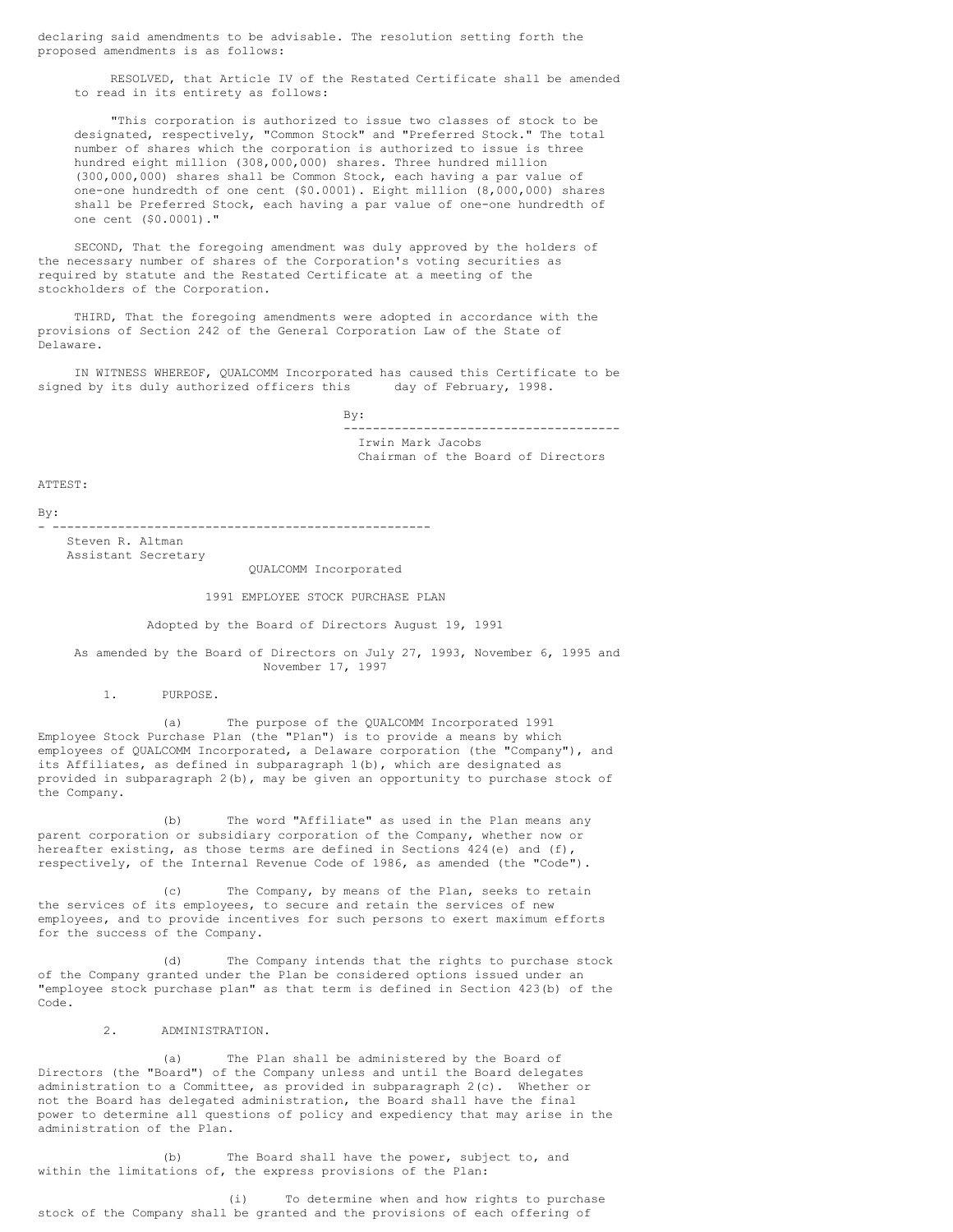declaring said amendments to be advisable. The resolution setting forth the proposed amendments is as follows:

RESOLVED, that Article IV of the Restated Certificate shall be amended to read in its entirety as follows:

"This corporation is authorized to issue two classes of stock to be designated, respectively, "Common Stock" and "Preferred Stock." The total number of shares which the corporation is authorized to issue is three hundred eight million (308,000,000) shares. Three hundred million (300,000,000) shares shall be Common Stock, each having a par value of one-one hundredth of one cent (\$0.0001). Eight million (8,000,000) shares shall be Preferred Stock, each having a par value of one-one hundredth of one cent (\$0.0001)."

SECOND, That the foregoing amendment was duly approved by the holders of the necessary number of shares of the Corporation's voting securities as required by statute and the Restated Certificate at a meeting of the stockholders of the Corporation.

THIRD, That the foregoing amendments were adopted in accordance with the provisions of Section 242 of the General Corporation Law of the State of Delaware.

IN WITNESS WHEREOF, QUALCOMM Incorporated has caused this Certificate to be ed by its duly authorized officers this day of February, 1998. signed by its duly authorized officers this

> By: -------------------------------------- Irwin Mark Jacobs Chairman of the Board of Directors

ATTEST:

By:

- ----------------------------------------------------

Steven R. Altman Assistant Secretary

QUALCOMM Incorporated

# 1991 EMPLOYEE STOCK PURCHASE PLAN

Adopted by the Board of Directors August 19, 1991

As amended by the Board of Directors on July 27, 1993, November 6, 1995 and November 17, 1997

1. PURPOSE.

(a) The purpose of the QUALCOMM Incorporated 1991 Employee Stock Purchase Plan (the "Plan") is to provide a means by which employees of QUALCOMM Incorporated, a Delaware corporation (the "Company"), and its Affiliates, as defined in subparagraph 1(b), which are designated as provided in subparagraph 2(b), may be given an opportunity to purchase stock of the Company.

(b) The word "Affiliate" as used in the Plan means any parent corporation or subsidiary corporation of the Company, whether now or hereafter existing, as those terms are defined in Sections 424(e) and (f), respectively, of the Internal Revenue Code of 1986, as amended (the "Code").

(c) The Company, by means of the Plan, seeks to retain the services of its employees, to secure and retain the services of new employees, and to provide incentives for such persons to exert maximum efforts for the success of the Company.

(d) The Company intends that the rights to purchase stock of the Company granted under the Plan be considered options issued under an "employee stock purchase plan" as that term is defined in Section 423(b) of the Code.

2. ADMINISTRATION.

(a) The Plan shall be administered by the Board of Directors (the "Board") of the Company unless and until the Board delegates administration to a Committee, as provided in subparagraph 2(c). Whether or not the Board has delegated administration, the Board shall have the final power to determine all questions of policy and expediency that may arise in the administration of the Plan.

(b) The Board shall have the power, subject to, and within the limitations of, the express provisions of the Plan:

(i) To determine when and how rights to purchase stock of the Company shall be granted and the provisions of each offering of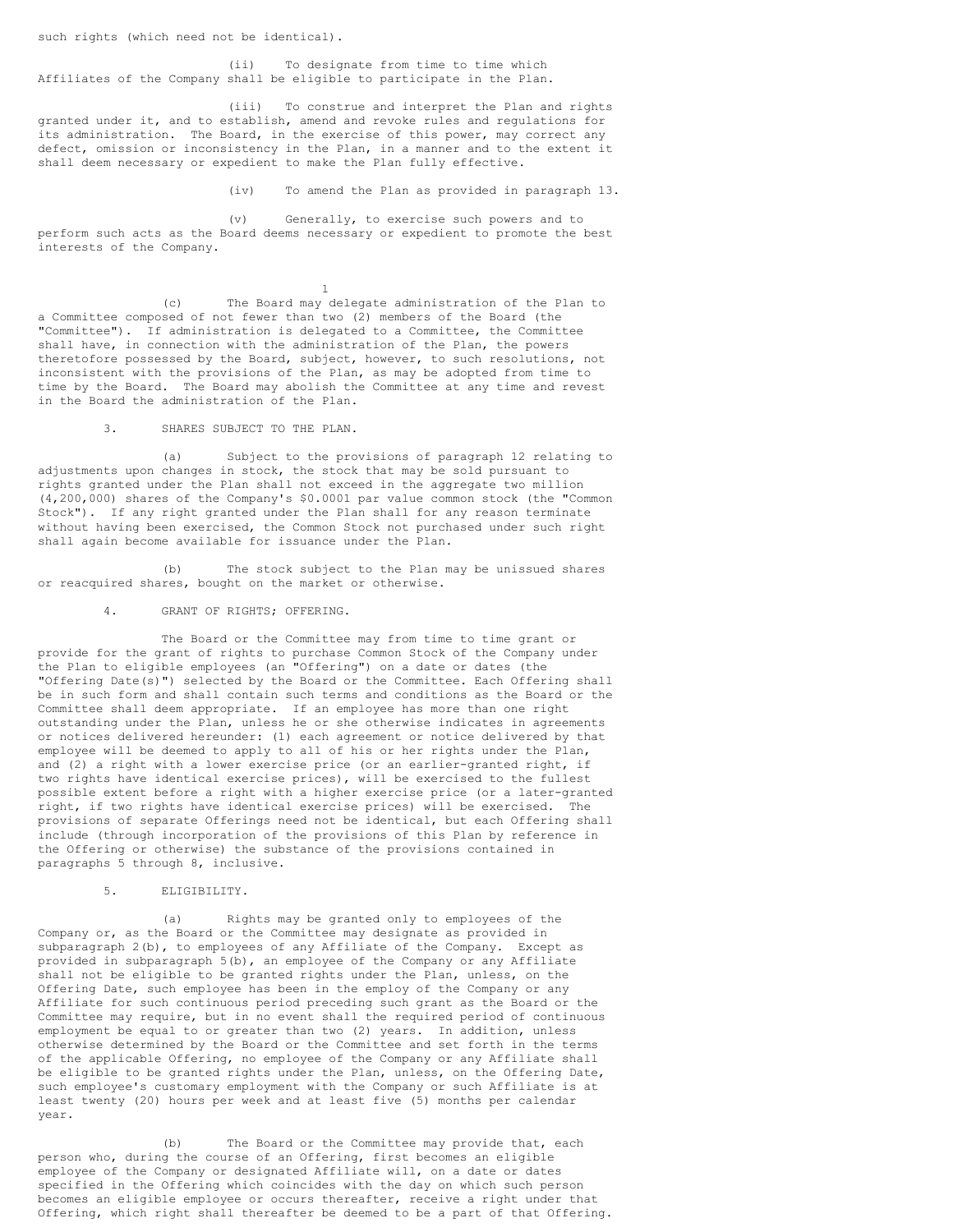such rights (which need not be identical).

(ii) To designate from time to time which Affiliates of the Company shall be eligible to participate in the Plan.

(iii) To construe and interpret the Plan and rights granted under it, and to establish, amend and revoke rules and regulations for its administration. The Board, in the exercise of this power, may correct any defect, omission or inconsistency in the Plan, in a manner and to the extent it shall deem necessary or expedient to make the Plan fully effective.

(iv) To amend the Plan as provided in paragraph 13.

(v) Generally, to exercise such powers and to perform such acts as the Board deems necessary or expedient to promote the best interests of the Company.

1

(c) The Board may delegate administration of the Plan to a Committee composed of not fewer than two (2) members of the Board (the "Committee"). If administration is delegated to a Committee, the Committee shall have, in connection with the administration of the Plan, the powers theretofore possessed by the Board, subject, however, to such resolutions, not inconsistent with the provisions of the Plan, as may be adopted from time to time by the Board. The Board may abolish the Committee at any time and revest in the Board the administration of the Plan.

3. SHARES SUBJECT TO THE PLAN.

(a) Subject to the provisions of paragraph 12 relating to adjustments upon changes in stock, the stock that may be sold pursuant to rights granted under the Plan shall not exceed in the aggregate two million (4,200,000) shares of the Company's \$0.0001 par value common stock (the "Common Stock"). If any right granted under the Plan shall for any reason terminate without having been exercised, the Common Stock not purchased under such right shall again become available for issuance under the Plan.

(b) The stock subject to the Plan may be unissued shares or reacquired shares, bought on the market or otherwise.

4. GRANT OF RIGHTS; OFFERING.

The Board or the Committee may from time to time grant or provide for the grant of rights to purchase Common Stock of the Company under the Plan to eligible employees (an "Offering") on a date or dates (the "Offering Date(s)") selected by the Board or the Committee. Each Offering shall be in such form and shall contain such terms and conditions as the Board or the Committee shall deem appropriate. If an employee has more than one right outstanding under the Plan, unless he or she otherwise indicates in agreements or notices delivered hereunder: (1) each agreement or notice delivered by that employee will be deemed to apply to all of his or her rights under the Plan, and (2) a right with a lower exercise price (or an earlier-granted right, if two rights have identical exercise prices), will be exercised to the fullest possible extent before a right with a higher exercise price (or a later-granted right, if two rights have identical exercise prices) will be exercised. The provisions of separate Offerings need not be identical, but each Offering shall include (through incorporation of the provisions of this Plan by reference in the Offering or otherwise) the substance of the provisions contained in paragraphs 5 through 8, inclusive.

5. ELIGIBILITY.

(a) Rights may be granted only to employees of the Company or, as the Board or the Committee may designate as provided in subparagraph 2(b), to employees of any Affiliate of the Company. Except as provided in subparagraph  $5(b)$ , an employee of the Company or any Affiliate shall not be eligible to be granted rights under the Plan, unless, on the Offering Date, such employee has been in the employ of the Company or any Affiliate for such continuous period preceding such grant as the Board or the Committee may require, but in no event shall the required period of continuous employment be equal to or greater than two (2) years. In addition, unless otherwise determined by the Board or the Committee and set forth in the terms of the applicable Offering, no employee of the Company or any Affiliate shall be eligible to be granted rights under the Plan, unless, on the Offering Date, such employee's customary employment with the Company or such Affiliate is at least twenty (20) hours per week and at least five (5) months per calendar year.

(b) The Board or the Committee may provide that, each person who, during the course of an Offering, first becomes an eligible employee of the Company or designated Affiliate will, on a date or dates specified in the Offering which coincides with the day on which such person becomes an eligible employee or occurs thereafter, receive a right under that Offering, which right shall thereafter be deemed to be a part of that Offering.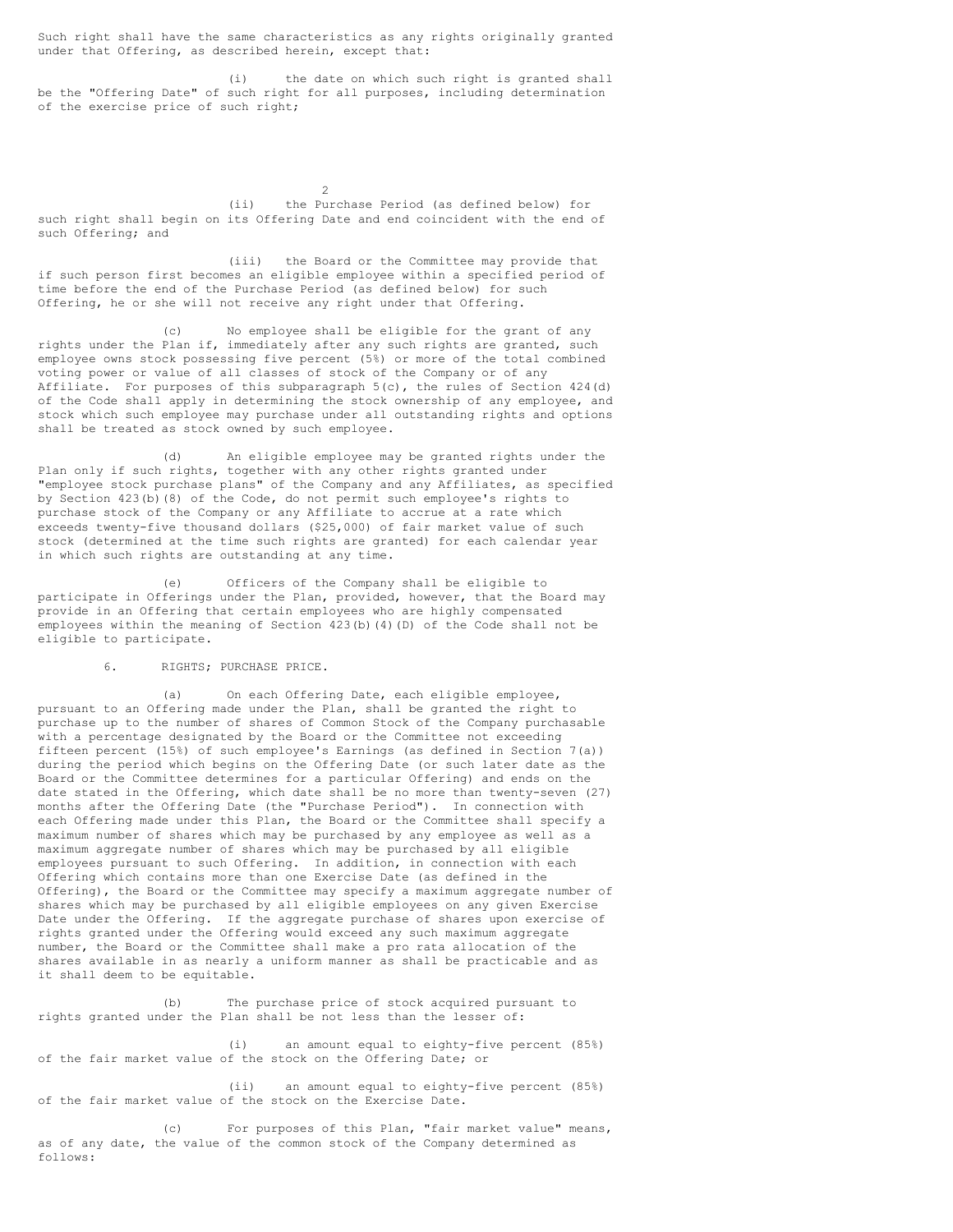Such right shall have the same characteristics as any rights originally granted under that Offering, as described herein, except that:

(i) the date on which such right is granted shall be the "Offering Date" of such right for all purposes, including determination of the exercise price of such right;

 $\mathfrak{D}$ (ii) the Purchase Period (as defined below) for such right shall begin on its Offering Date and end coincident with the end of such Offering; and

(iii) the Board or the Committee may provide that if such person first becomes an eligible employee within a specified period of time before the end of the Purchase Period (as defined below) for such Offering, he or she will not receive any right under that Offering.

(c) No employee shall be eligible for the grant of any rights under the Plan if, immediately after any such rights are granted, such employee owns stock possessing five percent (5%) or more of the total combined voting power or value of all classes of stock of the Company or of any Affiliate. For purposes of this subparagraph 5(c), the rules of Section 424(d) of the Code shall apply in determining the stock ownership of any employee, and stock which such employee may purchase under all outstanding rights and options shall be treated as stock owned by such employee.

(d) An eligible employee may be granted rights under the Plan only if such rights, together with any other rights granted under "employee stock purchase plans" of the Company and any Affiliates, as specified by Section 423(b)(8) of the Code, do not permit such employee's rights to purchase stock of the Company or any Affiliate to accrue at a rate which exceeds twenty-five thousand dollars (\$25,000) of fair market value of such stock (determined at the time such rights are granted) for each calendar year in which such rights are outstanding at any time.

(e) Officers of the Company shall be eligible to participate in Offerings under the Plan, provided, however, that the Board may provide in an Offering that certain employees who are highly compensated employees within the meaning of Section 423(b)(4)(D) of the Code shall not be eligible to participate.

# 6. RIGHTS; PURCHASE PRICE.

(a) On each Offering Date, each eligible employee, pursuant to an Offering made under the Plan, shall be granted the right to purchase up to the number of shares of Common Stock of the Company purchasable with a percentage designated by the Board or the Committee not exceeding fifteen percent (15%) of such employee's Earnings (as defined in Section 7(a)) during the period which begins on the Offering Date (or such later date as the Board or the Committee determines for a particular Offering) and ends on the date stated in the Offering, which date shall be no more than twenty-seven (27) months after the Offering Date (the "Purchase Period"). In connection with each Offering made under this Plan, the Board or the Committee shall specify a maximum number of shares which may be purchased by any employee as well as a maximum aggregate number of shares which may be purchased by all eligible employees pursuant to such Offering. In addition, in connection with each Offering which contains more than one Exercise Date (as defined in the Offering), the Board or the Committee may specify a maximum aggregate number of shares which may be purchased by all eligible employees on any given Exercise Date under the Offering. If the aggregate purchase of shares upon exercise of rights granted under the Offering would exceed any such maximum aggregate number, the Board or the Committee shall make a pro rata allocation of the shares available in as nearly a uniform manner as shall be practicable and as it shall deem to be equitable.

(b) The purchase price of stock acquired pursuant to rights granted under the Plan shall be not less than the lesser of:

(i) an amount equal to eighty-five percent (85%) of the fair market value of the stock on the Offering Date; or

(ii) an amount equal to eighty-five percent (85%) of the fair market value of the stock on the Exercise Date.

(c) For purposes of this Plan, "fair market value" means, as of any date, the value of the common stock of the Company determined as follows: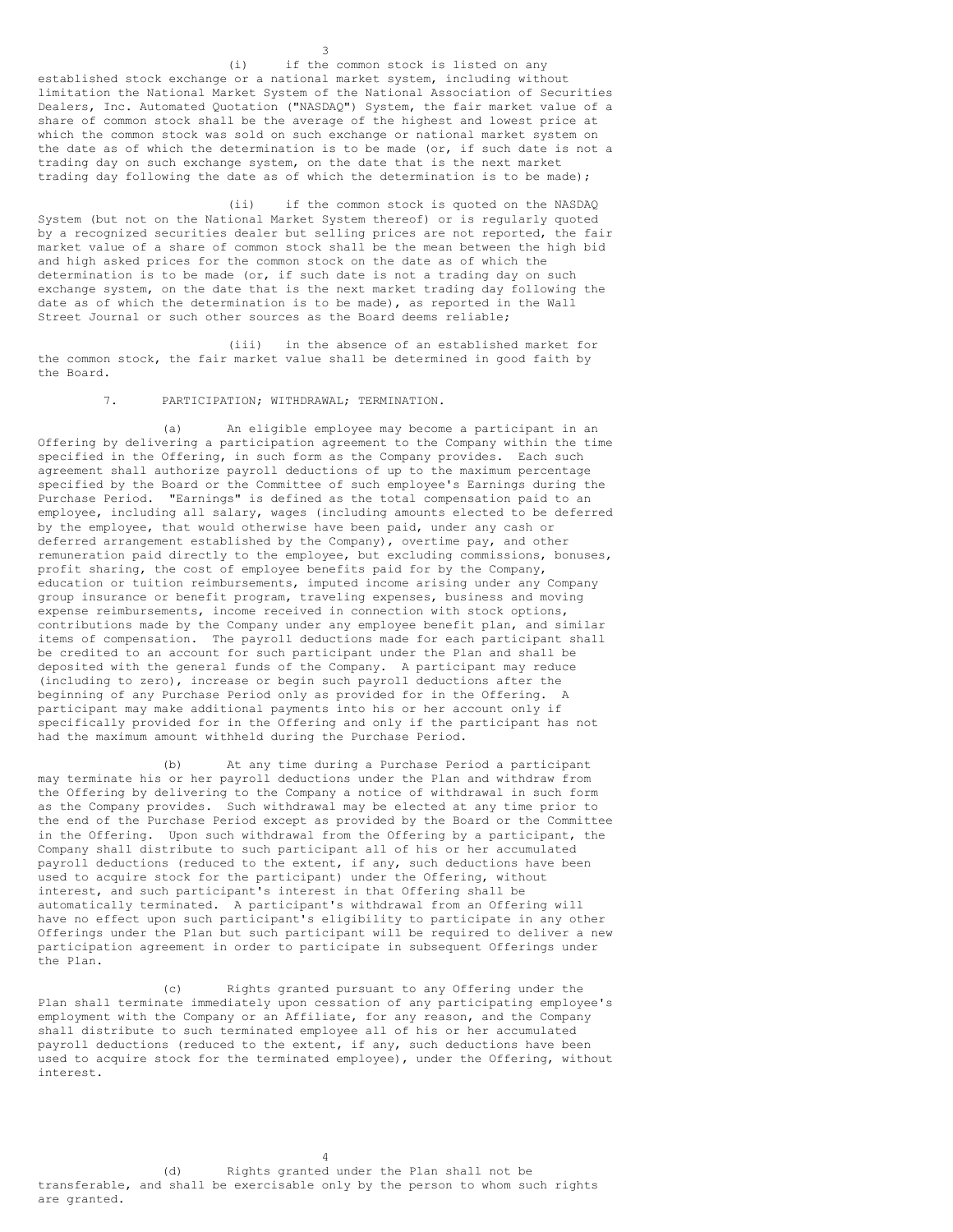(i) if the common stock is listed on any established stock exchange or a national market system, including without limitation the National Market System of the National Association of Securities Dealers, Inc. Automated Quotation ("NASDAQ") System, the fair market value of a share of common stock shall be the average of the highest and lowest price at which the common stock was sold on such exchange or national market system on the date as of which the determination is to be made (or, if such date is not a trading day on such exchange system, on the date that is the next market trading day following the date as of which the determination is to be made);

3

(ii) if the common stock is quoted on the NASDAQ System (but not on the National Market System thereof) or is regularly quoted by a recognized securities dealer but selling prices are not reported, the fair market value of a share of common stock shall be the mean between the high bid and high asked prices for the common stock on the date as of which the determination is to be made (or, if such date is not a trading day on such exchange system, on the date that is the next market trading day following the date as of which the determination is to be made), as reported in the Wall Street Journal or such other sources as the Board deems reliable;

(iii) in the absence of an established market for the common stock, the fair market value shall be determined in good faith by the Board.

# 7. PARTICIPATION; WITHDRAWAL; TERMINATION.

(a) An eligible employee may become a participant in an Offering by delivering a participation agreement to the Company within the time specified in the Offering, in such form as the Company provides. Each such agreement shall authorize payroll deductions of up to the maximum percentage specified by the Board or the Committee of such employee's Earnings during the Purchase Period. "Earnings" is defined as the total compensation paid to an employee, including all salary, wages (including amounts elected to be deferred by the employee, that would otherwise have been paid, under any cash or deferred arrangement established by the Company), overtime pay, and other remuneration paid directly to the employee, but excluding commissions, bonuses, profit sharing, the cost of employee benefits paid for by the Company, education or tuition reimbursements, imputed income arising under any Company group insurance or benefit program, traveling expenses, business and moving expense reimbursements, income received in connection with stock options, contributions made by the Company under any employee benefit plan, and similar items of compensation. The payroll deductions made for each participant shall be credited to an account for such participant under the Plan and shall be deposited with the general funds of the Company. A participant may reduce (including to zero), increase or begin such payroll deductions after the beginning of any Purchase Period only as provided for in the Offering. A participant may make additional payments into his or her account only if specifically provided for in the Offering and only if the participant has not had the maximum amount withheld during the Purchase Period.

(b) At any time during a Purchase Period a participant may terminate his or her payroll deductions under the Plan and withdraw from the Offering by delivering to the Company a notice of withdrawal in such form as the Company provides. Such withdrawal may be elected at any time prior to the end of the Purchase Period except as provided by the Board or the Committee in the Offering. Upon such withdrawal from the Offering by a participant, the Company shall distribute to such participant all of his or her accumulated payroll deductions (reduced to the extent, if any, such deductions have been used to acquire stock for the participant) under the Offering, without interest, and such participant's interest in that Offering shall be automatically terminated. A participant's withdrawal from an Offering will have no effect upon such participant's eligibility to participate in any other Offerings under the Plan but such participant will be required to deliver a new participation agreement in order to participate in subsequent Offerings under the Plan.

(c) Rights granted pursuant to any Offering under the Plan shall terminate immediately upon cessation of any participating employee's employment with the Company or an Affiliate, for any reason, and the Company shall distribute to such terminated employee all of his or her accumulated payroll deductions (reduced to the extent, if any, such deductions have been used to acquire stock for the terminated employee), under the Offering, without interest.

(d) Rights granted under the Plan shall not be transferable, and shall be exercisable only by the person to whom such rights are granted.

4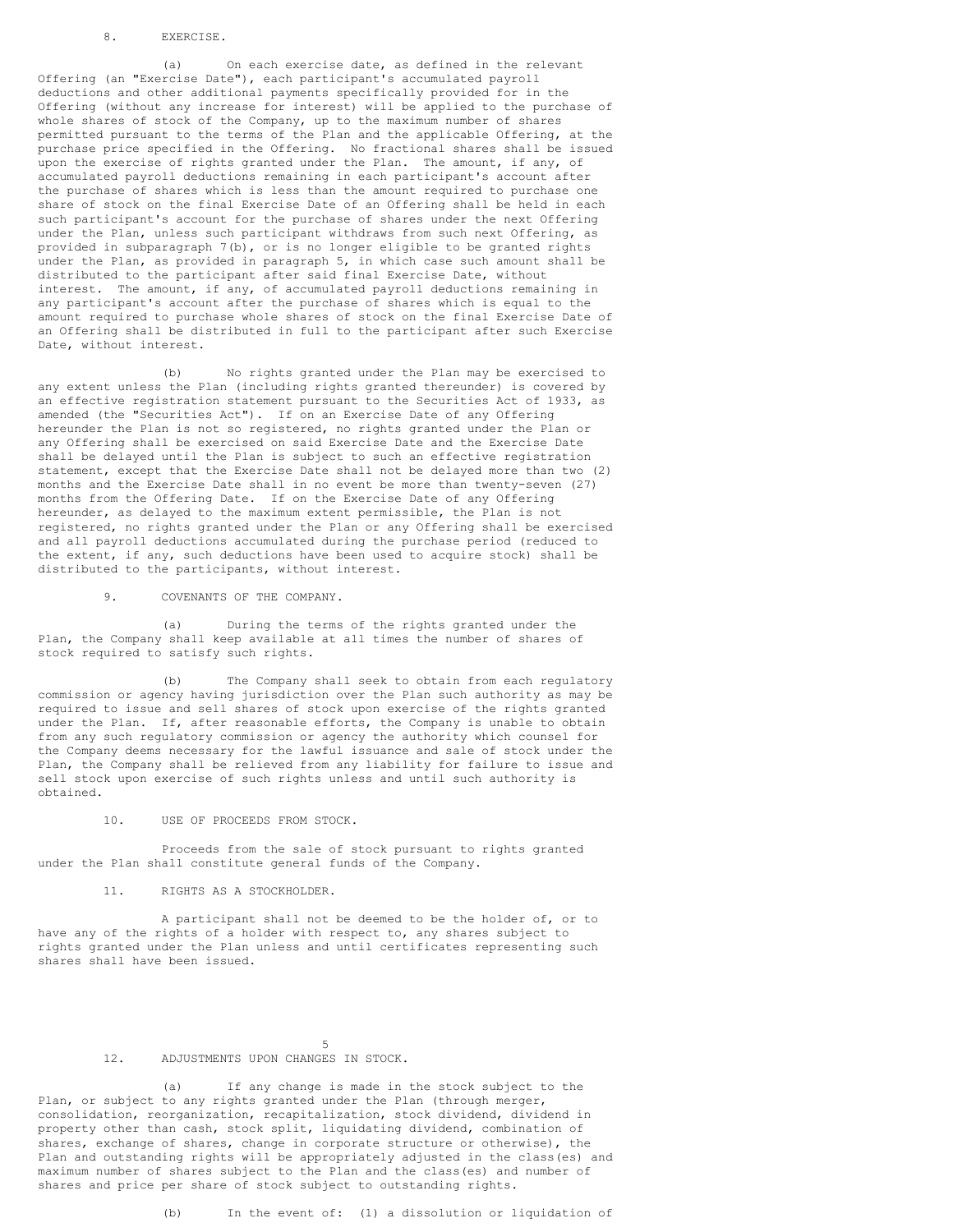### 8. EXERCISE.

(a) On each exercise date, as defined in the relevant Offering (an "Exercise Date"), each participant's accumulated payroll deductions and other additional payments specifically provided for in the Offering (without any increase for interest) will be applied to the purchase of whole shares of stock of the Company, up to the maximum number of shares permitted pursuant to the terms of the Plan and the applicable Offering, at the purchase price specified in the Offering. No fractional shares shall be issued upon the exercise of rights granted under the Plan. The amount, if any, of accumulated payroll deductions remaining in each participant's account after the purchase of shares which is less than the amount required to purchase one share of stock on the final Exercise Date of an Offering shall be held in each such participant's account for the purchase of shares under the next Offering under the Plan, unless such participant withdraws from such next Offering, as provided in subparagraph 7(b), or is no longer eligible to be granted rights under the Plan, as provided in paragraph 5, in which case such amount shall be distributed to the participant after said final Exercise Date, without interest. The amount, if any, of accumulated payroll deductions remaining in any participant's account after the purchase of shares which is equal to the amount required to purchase whole shares of stock on the final Exercise Date of an Offering shall be distributed in full to the participant after such Exercise Date, without interest.

(b) No rights granted under the Plan may be exercised to any extent unless the Plan (including rights granted thereunder) is covered by an effective registration statement pursuant to the Securities Act of 1933, as amended (the "Securities Act"). If on an Exercise Date of any Offering hereunder the Plan is not so registered, no rights granted under the Plan or any Offering shall be exercised on said Exercise Date and the Exercise Date shall be delayed until the Plan is subject to such an effective registration statement, except that the Exercise Date shall not be delayed more than two (2) months and the Exercise Date shall in no event be more than twenty-seven (27) months from the Offering Date. If on the Exercise Date of any Offering hereunder, as delayed to the maximum extent permissible, the Plan is not registered, no rights granted under the Plan or any Offering shall be exercised and all payroll deductions accumulated during the purchase period (reduced to the extent, if any, such deductions have been used to acquire stock) shall be distributed to the participants, without interest.

9. COVENANTS OF THE COMPANY.

(a) During the terms of the rights granted under the Plan, the Company shall keep available at all times the number of shares of stock required to satisfy such rights.

(b) The Company shall seek to obtain from each regulatory commission or agency having jurisdiction over the Plan such authority as may be required to issue and sell shares of stock upon exercise of the rights granted under the Plan. If, after reasonable efforts, the Company is unable to obtain from any such regulatory commission or agency the authority which counsel for the Company deems necessary for the lawful issuance and sale of stock under the Plan, the Company shall be relieved from any liability for failure to issue and sell stock upon exercise of such rights unless and until such authority is obtained.

### 10. USE OF PROCEEDS FROM STOCK.

Proceeds from the sale of stock pursuant to rights granted under the Plan shall constitute general funds of the Company.

# 11. RIGHTS AS A STOCKHOLDER.

A participant shall not be deemed to be the holder of, or to have any of the rights of a holder with respect to, any shares subject to rights granted under the Plan unless and until certificates representing such shares shall have been issued.

# 12. ADJUSTMENTS UPON CHANGES IN STOCK.

(a) If any change is made in the stock subject to the Plan, or subject to any rights granted under the Plan (through merger, consolidation, reorganization, recapitalization, stock dividend, dividend in property other than cash, stock split, liquidating dividend, combination of shares, exchange of shares, change in corporate structure or otherwise), the Plan and outstanding rights will be appropriately adjusted in the class(es) and maximum number of shares subject to the Plan and the class(es) and number of shares and price per share of stock subject to outstanding rights.

5

(b) In the event of: (1) a dissolution or liquidation of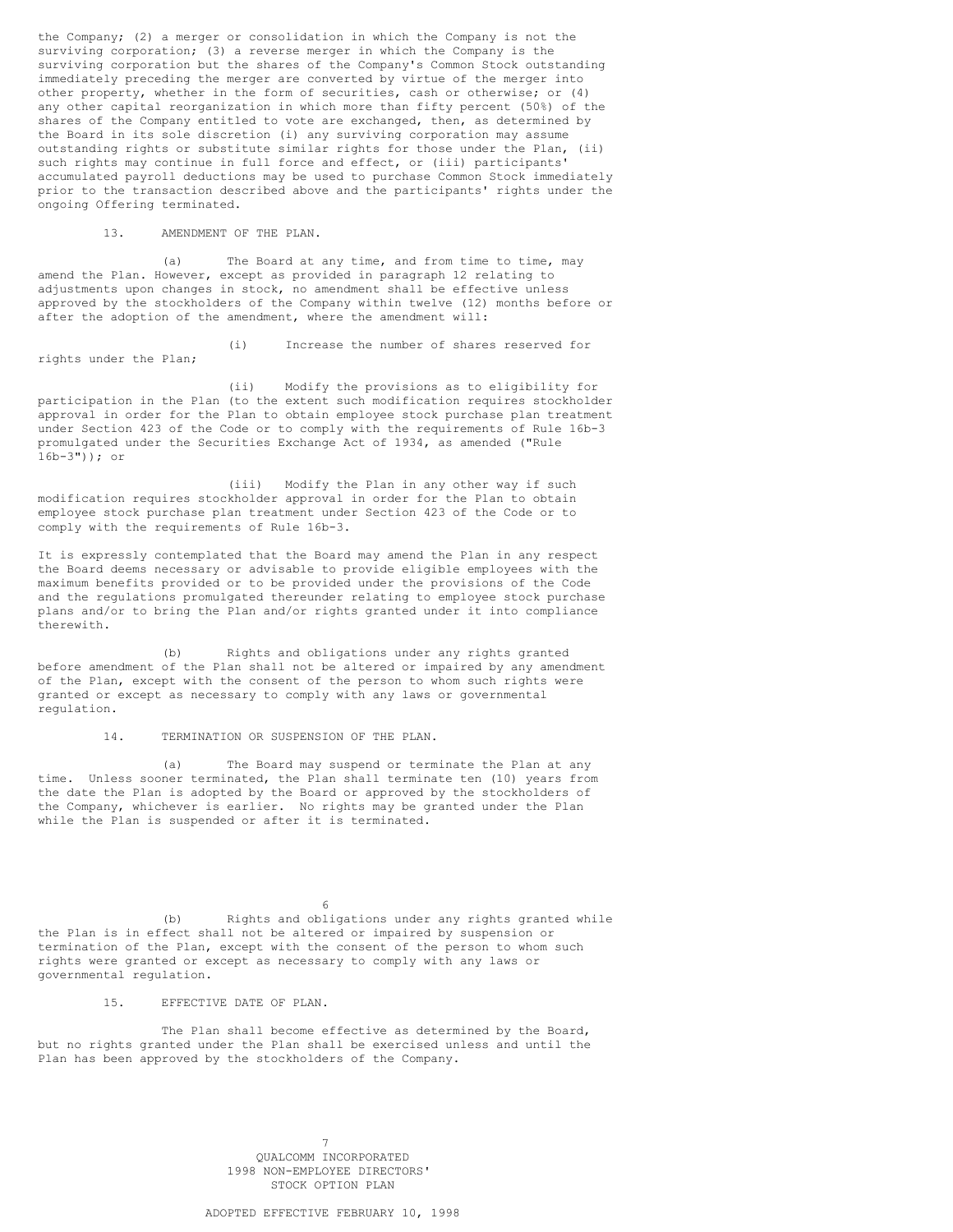the Company; (2) a merger or consolidation in which the Company is not the surviving corporation; (3) a reverse merger in which the Company is the surviving corporation but the shares of the Company's Common Stock outstanding immediately preceding the merger are converted by virtue of the merger into other property, whether in the form of securities, cash or otherwise; or (4) any other capital reorganization in which more than fifty percent (50%) of the shares of the Company entitled to vote are exchanged, then, as determined by the Board in its sole discretion (i) any surviving corporation may assume outstanding rights or substitute similar rights for those under the Plan, (ii) such rights may continue in full force and effect, or (iii) participants' accumulated payroll deductions may be used to purchase Common Stock immediately prior to the transaction described above and the participants' rights under the ongoing Offering terminated.

13. AMENDMENT OF THE PLAN.

(a) The Board at any time, and from time to time, may amend the Plan. However, except as provided in paragraph 12 relating to adjustments upon changes in stock, no amendment shall be effective unless approved by the stockholders of the Company within twelve (12) months before or after the adoption of the amendment, where the amendment will:

rights under the Plan;

(i) Increase the number of shares reserved for

(ii) Modify the provisions as to eligibility for participation in the Plan (to the extent such modification requires stockholder approval in order for the Plan to obtain employee stock purchase plan treatment under Section 423 of the Code or to comply with the requirements of Rule 16b-3 promulgated under the Securities Exchange Act of 1934, as amended ("Rule 16b-3")); or

(iii) Modify the Plan in any other way if such modification requires stockholder approval in order for the Plan to obtain employee stock purchase plan treatment under Section 423 of the Code or to comply with the requirements of Rule 16b-3.

It is expressly contemplated that the Board may amend the Plan in any respect the Board deems necessary or advisable to provide eligible employees with the maximum benefits provided or to be provided under the provisions of the Code and the regulations promulgated thereunder relating to employee stock purchase plans and/or to bring the Plan and/or rights granted under it into compliance therewith.

(b) Rights and obligations under any rights granted before amendment of the Plan shall not be altered or impaired by any amendment of the Plan, except with the consent of the person to whom such rights were granted or except as necessary to comply with any laws or governmental regulation.

14. TERMINATION OR SUSPENSION OF THE PLAN.

(a) The Board may suspend or terminate the Plan at any time. Unless sooner terminated, the Plan shall terminate ten (10) years from the date the Plan is adopted by the Board or approved by the stockholders of the Company, whichever is earlier. No rights may be granted under the Plan while the Plan is suspended or after it is terminated.

6 (b) Rights and obligations under any rights granted while the Plan is in effect shall not be altered or impaired by suspension or termination of the Plan, except with the consent of the person to whom such rights were granted or except as necessary to comply with any laws or governmental regulation.

15. EFFECTIVE DATE OF PLAN.

The Plan shall become effective as determined by the Board, but no rights granted under the Plan shall be exercised unless and until the Plan has been approved by the stockholders of the Company.

> 7 QUALCOMM INCORPORATED 1998 NON-EMPLOYEE DIRECTORS' STOCK OPTION PLAN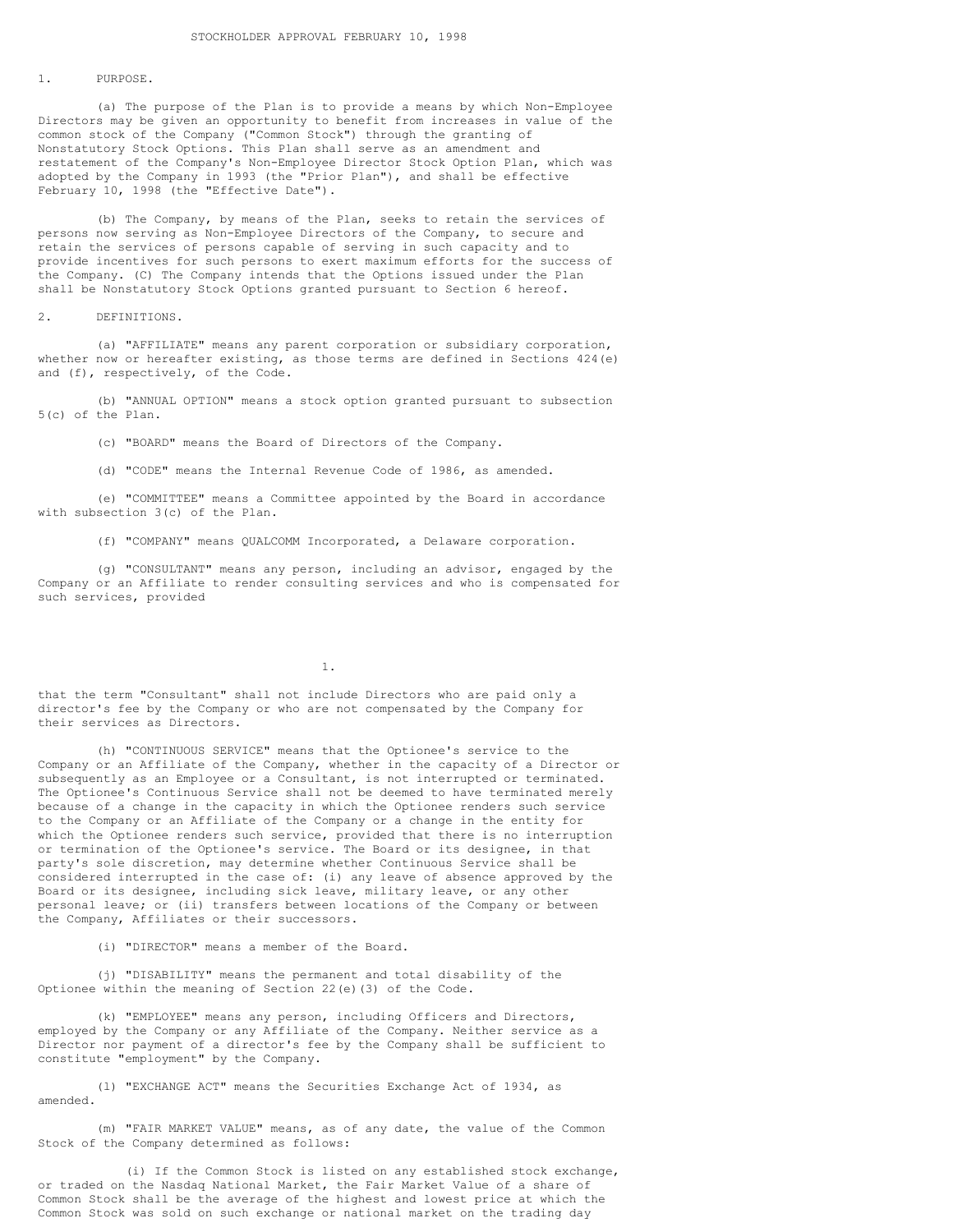# 1. PURPOSE.

(a) The purpose of the Plan is to provide a means by which Non-Employee Directors may be given an opportunity to benefit from increases in value of the common stock of the Company ("Common Stock") through the granting of Nonstatutory Stock Options. This Plan shall serve as an amendment and restatement of the Company's Non-Employee Director Stock Option Plan, which was adopted by the Company in 1993 (the "Prior Plan"), and shall be effective February 10, 1998 (the "Effective Date").

(b) The Company, by means of the Plan, seeks to retain the services of persons now serving as Non-Employee Directors of the Company, to secure and retain the services of persons capable of serving in such capacity and to provide incentives for such persons to exert maximum efforts for the success of the Company. (C) The Company intends that the Options issued under the Plan shall be Nonstatutory Stock Options granted pursuant to Section 6 hereof.

#### 2. DEFINITIONS.

(a) "AFFILIATE" means any parent corporation or subsidiary corporation, whether now or hereafter existing, as those terms are defined in Sections 424(e) and (f), respectively, of the Code.

(b) "ANNUAL OPTION" means a stock option granted pursuant to subsection 5(c) of the Plan.

(c) "BOARD" means the Board of Directors of the Company.

(d) "CODE" means the Internal Revenue Code of 1986, as amended.

(e) "COMMITTEE" means a Committee appointed by the Board in accordance with subsection 3(c) of the Plan.

(f) "COMPANY" means QUALCOMM Incorporated, a Delaware corporation.

(g) "CONSULTANT" means any person, including an advisor, engaged by the Company or an Affiliate to render consulting services and who is compensated for such services, provided

1.

that the term "Consultant" shall not include Directors who are paid only a director's fee by the Company or who are not compensated by the Company for their services as Directors.

(h) "CONTINUOUS SERVICE" means that the Optionee's service to the Company or an Affiliate of the Company, whether in the capacity of a Director or subsequently as an Employee or a Consultant, is not interrupted or terminated. The Optionee's Continuous Service shall not be deemed to have terminated merely because of a change in the capacity in which the Optionee renders such service to the Company or an Affiliate of the Company or a change in the entity for which the Optionee renders such service, provided that there is no interruption or termination of the Optionee's service. The Board or its designee, in that party's sole discretion, may determine whether Continuous Service shall be considered interrupted in the case of: (i) any leave of absence approved by the Board or its designee, including sick leave, military leave, or any other personal leave; or (ii) transfers between locations of the Company or between the Company, Affiliates or their successors.

(i) "DIRECTOR" means a member of the Board.

(j) "DISABILITY" means the permanent and total disability of the Optionee within the meaning of Section 22(e)(3) of the Code.

(k) "EMPLOYEE" means any person, including Officers and Directors, employed by the Company or any Affiliate of the Company. Neither service as a Director nor payment of a director's fee by the Company shall be sufficient to constitute "employment" by the Company.

(l) "EXCHANGE ACT" means the Securities Exchange Act of 1934, as amended.

(m) "FAIR MARKET VALUE" means, as of any date, the value of the Common Stock of the Company determined as follows:

(i) If the Common Stock is listed on any established stock exchange, or traded on the Nasdaq National Market, the Fair Market Value of a share of Common Stock shall be the average of the highest and lowest price at which the Common Stock was sold on such exchange or national market on the trading day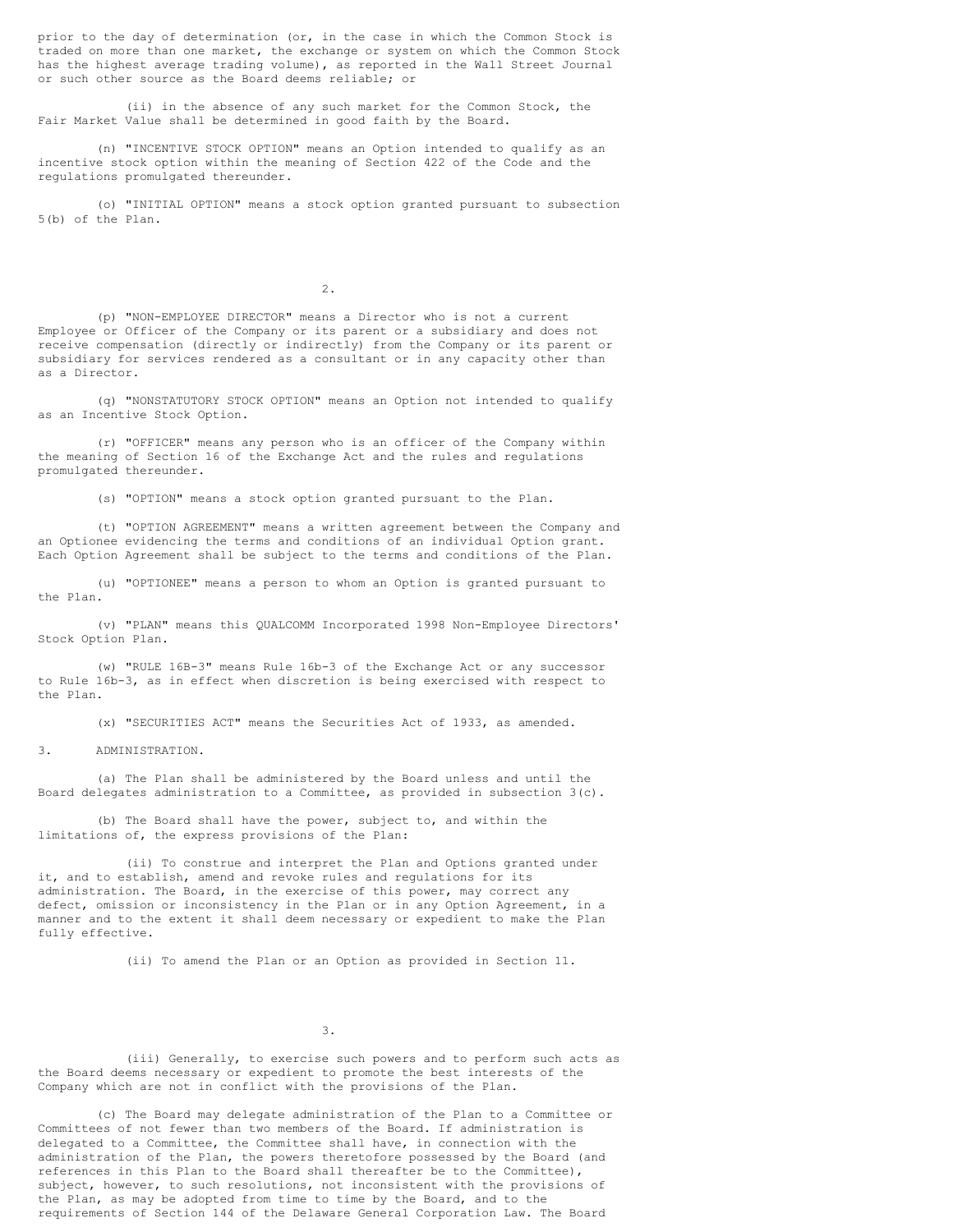prior to the day of determination (or, in the case in which the Common Stock is traded on more than one market, the exchange or system on which the Common Stock has the highest average trading volume), as reported in the Wall Street Journal or such other source as the Board deems reliable; or

(ii) in the absence of any such market for the Common Stock, the Fair Market Value shall be determined in good faith by the Board.

(n) "INCENTIVE STOCK OPTION" means an Option intended to qualify as an incentive stock option within the meaning of Section 422 of the Code and the regulations promulgated thereunder.

(o) "INITIAL OPTION" means a stock option granted pursuant to subsection 5(b) of the Plan.

2.

(p) "NON-EMPLOYEE DIRECTOR" means a Director who is not a current Employee or Officer of the Company or its parent or a subsidiary and does not receive compensation (directly or indirectly) from the Company or its parent or subsidiary for services rendered as a consultant or in any capacity other than as a Director.

(q) "NONSTATUTORY STOCK OPTION" means an Option not intended to qualify as an Incentive Stock Option.

(r) "OFFICER" means any person who is an officer of the Company within the meaning of Section 16 of the Exchange Act and the rules and regulations promulgated thereunder.

(s) "OPTION" means a stock option granted pursuant to the Plan.

(t) "OPTION AGREEMENT" means a written agreement between the Company and an Optionee evidencing the terms and conditions of an individual Option grant. Each Option Agreement shall be subject to the terms and conditions of the Plan.

(u) "OPTIONEE" means a person to whom an Option is granted pursuant to the Plan.

(v) "PLAN" means this QUALCOMM Incorporated 1998 Non-Employee Directors' Stock Option Plan.

(w) "RULE 16B-3" means Rule 16b-3 of the Exchange Act or any successor to Rule 16b-3, as in effect when discretion is being exercised with respect to the Plan.

(x) "SECURITIES ACT" means the Securities Act of 1933, as amended.

3. ADMINISTRATION.

(a) The Plan shall be administered by the Board unless and until the Board delegates administration to a Committee, as provided in subsection 3(c).

(b) The Board shall have the power, subject to, and within the limitations of, the express provisions of the Plan:

(ii) To construe and interpret the Plan and Options granted under it, and to establish, amend and revoke rules and regulations for its administration. The Board, in the exercise of this power, may correct any defect, omission or inconsistency in the Plan or in any Option Agreement, in a manner and to the extent it shall deem necessary or expedient to make the Plan fully effective.

(ii) To amend the Plan or an Option as provided in Section 11.

3.

(iii) Generally, to exercise such powers and to perform such acts as the Board deems necessary or expedient to promote the best interests of the Company which are not in conflict with the provisions of the Plan.

(c) The Board may delegate administration of the Plan to a Committee or Committees of not fewer than two members of the Board. If administration is delegated to a Committee, the Committee shall have, in connection with the administration of the Plan, the powers theretofore possessed by the Board (and references in this Plan to the Board shall thereafter be to the Committee), subject, however, to such resolutions, not inconsistent with the provisions of the Plan, as may be adopted from time to time by the Board, and to the requirements of Section 144 of the Delaware General Corporation Law. The Board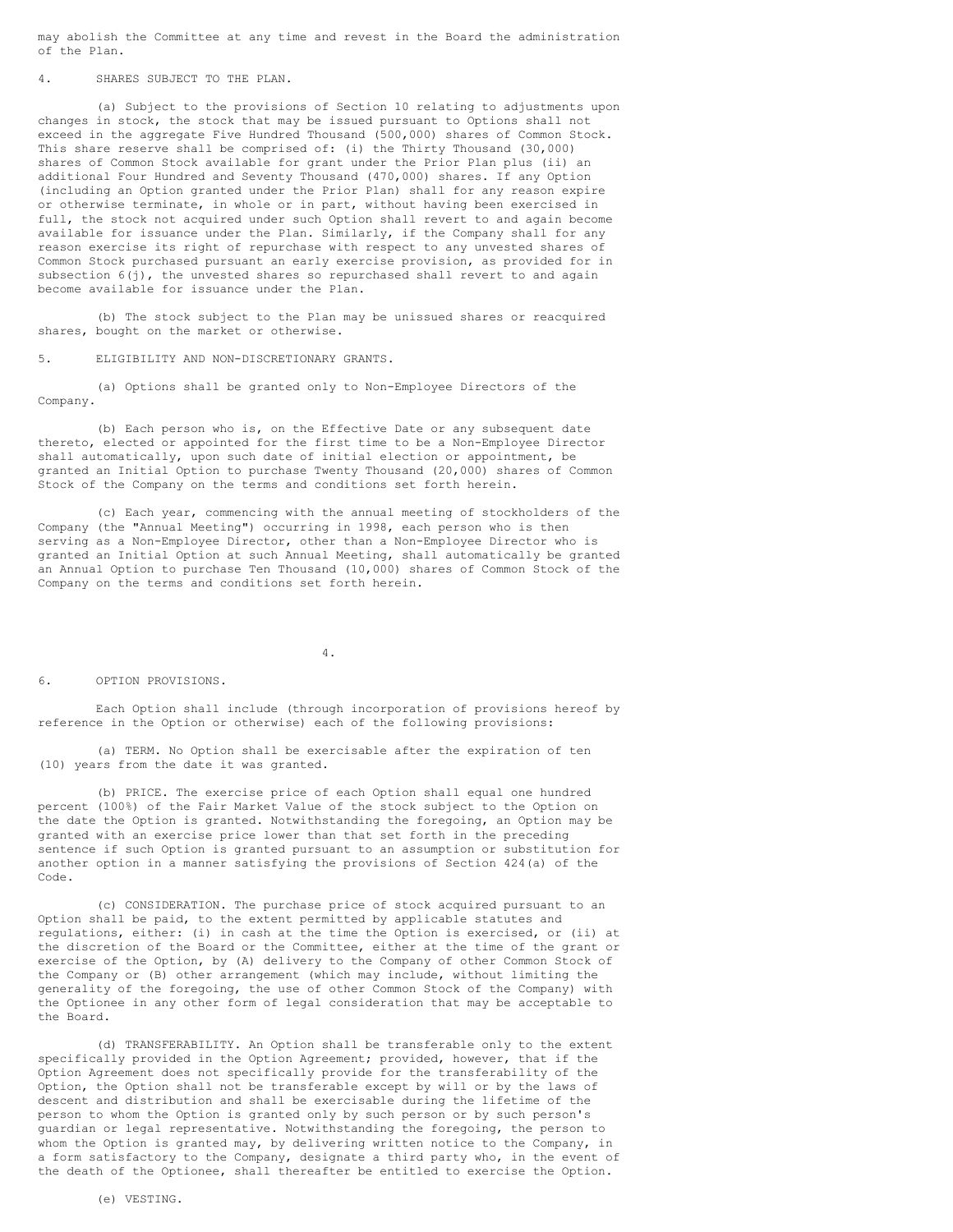may abolish the Committee at any time and revest in the Board the administration of the Plan.

### 4. SHARES SUBJECT TO THE PLAN.

(a) Subject to the provisions of Section 10 relating to adjustments upon changes in stock, the stock that may be issued pursuant to Options shall not exceed in the aggregate Five Hundred Thousand (500,000) shares of Common Stock. This share reserve shall be comprised of: (i) the Thirty Thousand (30,000) shares of Common Stock available for grant under the Prior Plan plus (ii) an additional Four Hundred and Seventy Thousand (470,000) shares. If any Option (including an Option granted under the Prior Plan) shall for any reason expire or otherwise terminate, in whole or in part, without having been exercised in full, the stock not acquired under such Option shall revert to and again become available for issuance under the Plan. Similarly, if the Company shall for any reason exercise its right of repurchase with respect to any unvested shares of Common Stock purchased pursuant an early exercise provision, as provided for in subsection  $6(j)$ , the unvested shares so repurchased shall revert to and again become available for issuance under the Plan.

(b) The stock subject to the Plan may be unissued shares or reacquired shares, bought on the market or otherwise.

5. ELIGIBILITY AND NON-DISCRETIONARY GRANTS.

(a) Options shall be granted only to Non-Employee Directors of the Company.

(b) Each person who is, on the Effective Date or any subsequent date thereto, elected or appointed for the first time to be a Non-Employee Director shall automatically, upon such date of initial election or appointment, be granted an Initial Option to purchase Twenty Thousand (20,000) shares of Common Stock of the Company on the terms and conditions set forth herein.

(c) Each year, commencing with the annual meeting of stockholders of the Company (the "Annual Meeting") occurring in 1998, each person who is then serving as a Non-Employee Director, other than a Non-Employee Director who is granted an Initial Option at such Annual Meeting, shall automatically be granted an Annual Option to purchase Ten Thousand (10,000) shares of Common Stock of the Company on the terms and conditions set forth herein.

4.

6. OPTION PROVISIONS.

Each Option shall include (through incorporation of provisions hereof by reference in the Option or otherwise) each of the following provisions:

(a) TERM. No Option shall be exercisable after the expiration of ten (10) years from the date it was granted.

(b) PRICE. The exercise price of each Option shall equal one hundred percent (100%) of the Fair Market Value of the stock subject to the Option on the date the Option is granted. Notwithstanding the foregoing, an Option may be granted with an exercise price lower than that set forth in the preceding sentence if such Option is granted pursuant to an assumption or substitution for another option in a manner satisfying the provisions of Section 424(a) of the Code.

(c) CONSIDERATION. The purchase price of stock acquired pursuant to an Option shall be paid, to the extent permitted by applicable statutes and regulations, either: (i) in cash at the time the Option is exercised, or (ii) at the discretion of the Board or the Committee, either at the time of the grant or exercise of the Option, by (A) delivery to the Company of other Common Stock of the Company or (B) other arrangement (which may include, without limiting the generality of the foregoing, the use of other Common Stock of the Company) with the Optionee in any other form of legal consideration that may be acceptable to the Board.

(d) TRANSFERABILITY. An Option shall be transferable only to the extent specifically provided in the Option Agreement; provided, however, that if the Option Agreement does not specifically provide for the transferability of the Option, the Option shall not be transferable except by will or by the laws of descent and distribution and shall be exercisable during the lifetime of the person to whom the Option is granted only by such person or by such person's guardian or legal representative. Notwithstanding the foregoing, the person to whom the Option is granted may, by delivering written notice to the Company, in a form satisfactory to the Company, designate a third party who, in the event of the death of the Optionee, shall thereafter be entitled to exercise the Option.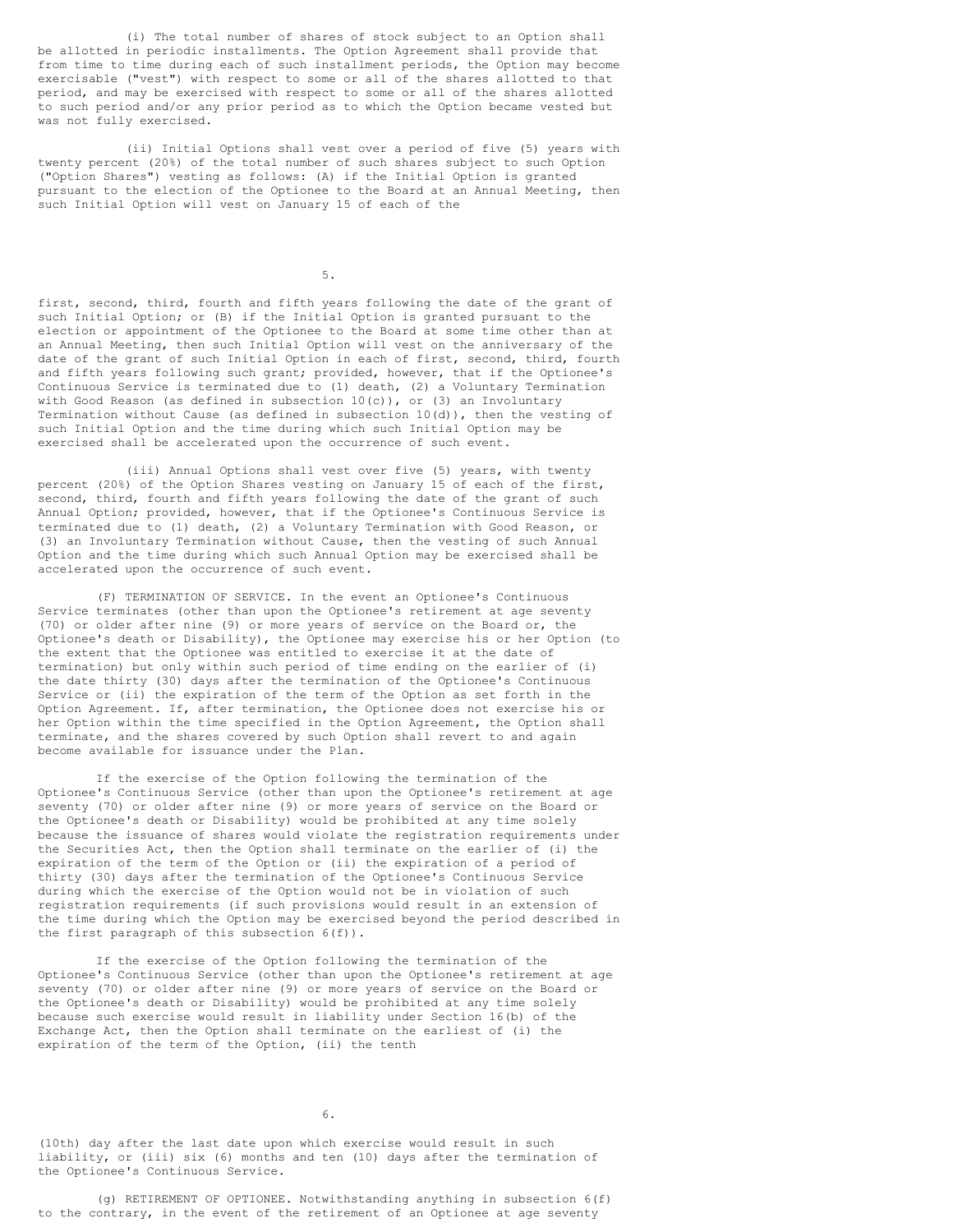(i) The total number of shares of stock subject to an Option shall be allotted in periodic installments. The Option Agreement shall provide that from time to time during each of such installment periods, the Option may become exercisable ("vest") with respect to some or all of the shares allotted to that period, and may be exercised with respect to some or all of the shares allotted to such period and/or any prior period as to which the Option became vested but was not fully exercised.

(ii) Initial Options shall vest over a period of five (5) years with twenty percent (20%) of the total number of such shares subject to such Option ("Option Shares") vesting as follows: (A) if the Initial Option is granted pursuant to the election of the Optionee to the Board at an Annual Meeting, then such Initial Option will vest on January 15 of each of the

5.

first, second, third, fourth and fifth years following the date of the grant of such Initial Option; or (B) if the Initial Option is granted pursuant to the election or appointment of the Optionee to the Board at some time other than at an Annual Meeting, then such Initial Option will vest on the anniversary of the date of the grant of such Initial Option in each of first, second, third, fourth and fifth years following such grant; provided, however, that if the Optionee's Continuous Service is terminated due to (1) death, (2) a Voluntary Termination with Good Reason (as defined in subsection  $10(c)$ ), or (3) an Involuntary Termination without Cause (as defined in subsection 10(d)), then the vesting of such Initial Option and the time during which such Initial Option may be exercised shall be accelerated upon the occurrence of such event.

(iii) Annual Options shall vest over five (5) years, with twenty percent (20%) of the Option Shares vesting on January 15 of each of the first, second, third, fourth and fifth years following the date of the grant of such Annual Option; provided, however, that if the Optionee's Continuous Service is terminated due to (1) death, (2) a Voluntary Termination with Good Reason, or (3) an Involuntary Termination without Cause, then the vesting of such Annual Option and the time during which such Annual Option may be exercised shall be accelerated upon the occurrence of such event.

(F) TERMINATION OF SERVICE. In the event an Optionee's Continuous Service terminates (other than upon the Optionee's retirement at age seventy (70) or older after nine (9) or more years of service on the Board or, the Optionee's death or Disability), the Optionee may exercise his or her Option (to the extent that the Optionee was entitled to exercise it at the date of termination) but only within such period of time ending on the earlier of (i) the date thirty (30) days after the termination of the Optionee's Continuous Service or (ii) the expiration of the term of the Option as set forth in the Option Agreement. If, after termination, the Optionee does not exercise his or her Option within the time specified in the Option Agreement, the Option shall terminate, and the shares covered by such Option shall revert to and again become available for issuance under the Plan.

If the exercise of the Option following the termination of the Optionee's Continuous Service (other than upon the Optionee's retirement at age seventy (70) or older after nine (9) or more years of service on the Board or the Optionee's death or Disability) would be prohibited at any time solely because the issuance of shares would violate the registration requirements under the Securities Act, then the Option shall terminate on the earlier of (i) the expiration of the term of the Option or (ii) the expiration of a period of thirty (30) days after the termination of the Optionee's Continuous Service during which the exercise of the Option would not be in violation of such registration requirements (if such provisions would result in an extension of the time during which the Option may be exercised beyond the period described in the first paragraph of this subsection 6(f)).

If the exercise of the Option following the termination of the Optionee's Continuous Service (other than upon the Optionee's retirement at age seventy (70) or older after nine (9) or more years of service on the Board or the Optionee's death or Disability) would be prohibited at any time solely because such exercise would result in liability under Section 16(b) of the Exchange Act, then the Option shall terminate on the earliest of (i) the expiration of the term of the Option, (ii) the tenth

6.

(10th) day after the last date upon which exercise would result in such liability, or (iii) six (6) months and ten (10) days after the termination of the Optionee's Continuous Service.

(g) RETIREMENT OF OPTIONEE. Notwithstanding anything in subsection 6(f) to the contrary, in the event of the retirement of an Optionee at age seventy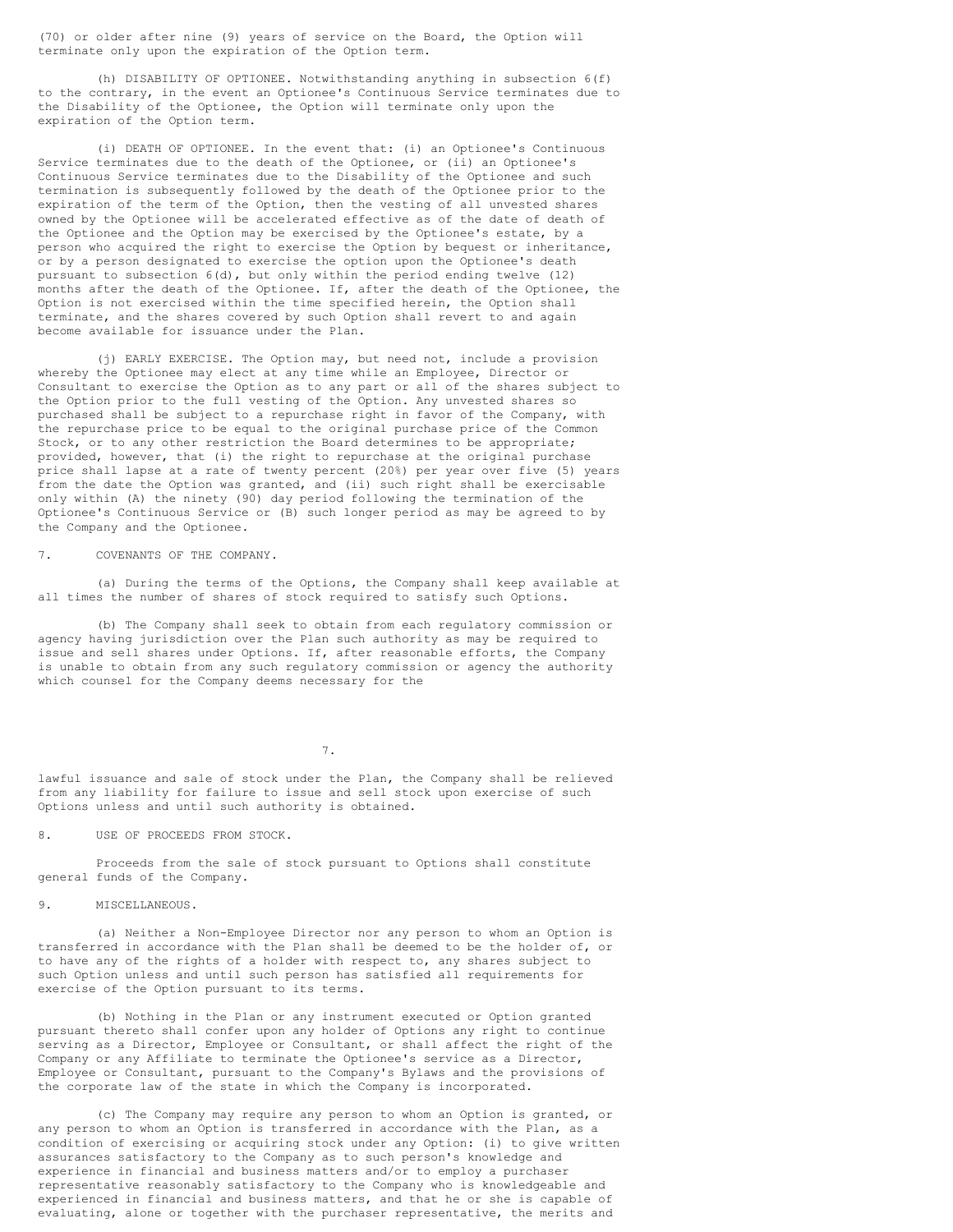(70) or older after nine (9) years of service on the Board, the Option will terminate only upon the expiration of the Option term.

(h) DISABILITY OF OPTIONEE. Notwithstanding anything in subsection 6(f) to the contrary, in the event an Optionee's Continuous Service terminates due to the Disability of the Optionee, the Option will terminate only upon the expiration of the Option term.

(i) DEATH OF OPTIONEE. In the event that: (i) an Optionee's Continuous Service terminates due to the death of the Optionee, or (ii) an Optionee's Continuous Service terminates due to the Disability of the Optionee and such termination is subsequently followed by the death of the Optionee prior to the expiration of the term of the Option, then the vesting of all unvested shares owned by the Optionee will be accelerated effective as of the date of death of the Optionee and the Option may be exercised by the Optionee's estate, by a person who acquired the right to exercise the Option by bequest or inheritance, or by a person designated to exercise the option upon the Optionee's death pursuant to subsection 6(d), but only within the period ending twelve (12) months after the death of the Optionee. If, after the death of the Optionee, the Option is not exercised within the time specified herein, the Option shall terminate, and the shares covered by such Option shall revert to and again become available for issuance under the Plan.

(j) EARLY EXERCISE. The Option may, but need not, include a provision whereby the Optionee may elect at any time while an Employee, Director or Consultant to exercise the Option as to any part or all of the shares subject to the Option prior to the full vesting of the Option. Any unvested shares so purchased shall be subject to a repurchase right in favor of the Company, with the repurchase price to be equal to the original purchase price of the Common Stock, or to any other restriction the Board determines to be appropriate; provided, however, that (i) the right to repurchase at the original purchase price shall lapse at a rate of twenty percent (20%) per year over five (5) years from the date the Option was granted, and (ii) such right shall be exercisable only within (A) the ninety (90) day period following the termination of the Optionee's Continuous Service or (B) such longer period as may be agreed to by the Company and the Optionee.

7. COVENANTS OF THE COMPANY.

(a) During the terms of the Options, the Company shall keep available at all times the number of shares of stock required to satisfy such Options.

(b) The Company shall seek to obtain from each regulatory commission or agency having jurisdiction over the Plan such authority as may be required to issue and sell shares under Options. If, after reasonable efforts, the Company is unable to obtain from any such regulatory commission or agency the authority which counsel for the Company deems necessary for the

7.

lawful issuance and sale of stock under the Plan, the Company shall be relieved from any liability for failure to issue and sell stock upon exercise of such Options unless and until such authority is obtained.

8. USE OF PROCEEDS FROM STOCK.

Proceeds from the sale of stock pursuant to Options shall constitute general funds of the Company.

9. MISCELLANEOUS.

(a) Neither a Non-Employee Director nor any person to whom an Option is transferred in accordance with the Plan shall be deemed to be the holder of, or to have any of the rights of a holder with respect to, any shares subject to such Option unless and until such person has satisfied all requirements for exercise of the Option pursuant to its terms.

(b) Nothing in the Plan or any instrument executed or Option granted pursuant thereto shall confer upon any holder of Options any right to continue serving as a Director, Employee or Consultant, or shall affect the right of the Company or any Affiliate to terminate the Optionee's service as a Director, Employee or Consultant, pursuant to the Company's Bylaws and the provisions of the corporate law of the state in which the Company is incorporated.

(c) The Company may require any person to whom an Option is granted, or any person to whom an Option is transferred in accordance with the Plan, as a condition of exercising or acquiring stock under any Option: (i) to give written assurances satisfactory to the Company as to such person's knowledge and experience in financial and business matters and/or to employ a purchaser representative reasonably satisfactory to the Company who is knowledgeable and experienced in financial and business matters, and that he or she is capable of evaluating, alone or together with the purchaser representative, the merits and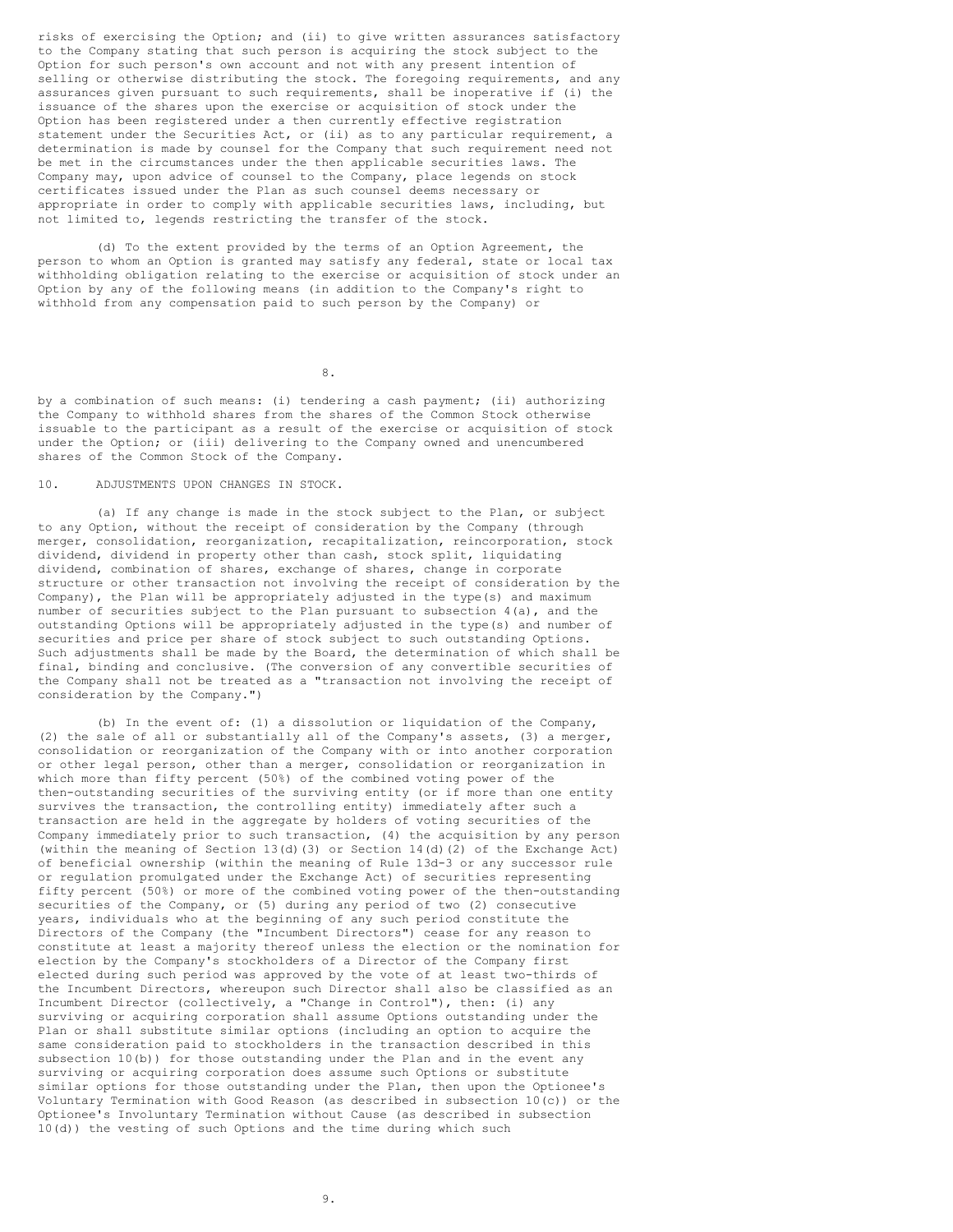risks of exercising the Option; and (ii) to give written assurances satisfactory to the Company stating that such person is acquiring the stock subject to the Option for such person's own account and not with any present intention of selling or otherwise distributing the stock. The foregoing requirements, and any assurances given pursuant to such requirements, shall be inoperative if (i) the issuance of the shares upon the exercise or acquisition of stock under the Option has been registered under a then currently effective registration statement under the Securities Act, or (ii) as to any particular requirement, a determination is made by counsel for the Company that such requirement need not be met in the circumstances under the then applicable securities laws. The Company may, upon advice of counsel to the Company, place legends on stock certificates issued under the Plan as such counsel deems necessary or appropriate in order to comply with applicable securities laws, including, but not limited to, legends restricting the transfer of the stock.

(d) To the extent provided by the terms of an Option Agreement, the person to whom an Option is granted may satisfy any federal, state or local tax withholding obligation relating to the exercise or acquisition of stock under an Option by any of the following means (in addition to the Company's right to withhold from any compensation paid to such person by the Company) or

8.

by a combination of such means: (i) tendering a cash payment; (ii) authorizing the Company to withhold shares from the shares of the Common Stock otherwise issuable to the participant as a result of the exercise or acquisition of stock under the Option; or (iii) delivering to the Company owned and unencumbered shares of the Common Stock of the Company.

# 10. ADJUSTMENTS UPON CHANGES IN STOCK.

(a) If any change is made in the stock subject to the Plan, or subject to any Option, without the receipt of consideration by the Company (through merger, consolidation, reorganization, recapitalization, reincorporation, stock dividend, dividend in property other than cash, stock split, liquidating dividend, combination of shares, exchange of shares, change in corporate structure or other transaction not involving the receipt of consideration by the Company), the Plan will be appropriately adjusted in the type(s) and maximum number of securities subject to the Plan pursuant to subsection  $4(a)$ , and the outstanding Options will be appropriately adjusted in the type(s) and number of securities and price per share of stock subject to such outstanding Options. Such adjustments shall be made by the Board, the determination of which shall be final, binding and conclusive. (The conversion of any convertible securities of the Company shall not be treated as a "transaction not involving the receipt of consideration by the Company.")

(b) In the event of: (1) a dissolution or liquidation of the Company, (2) the sale of all or substantially all of the Company's assets, (3) a merger, consolidation or reorganization of the Company with or into another corporation or other legal person, other than a merger, consolidation or reorganization in which more than fifty percent (50%) of the combined voting power of the then-outstanding securities of the surviving entity (or if more than one entity survives the transaction, the controlling entity) immediately after such a transaction are held in the aggregate by holders of voting securities of the Company immediately prior to such transaction, (4) the acquisition by any person (within the meaning of Section 13(d)(3) or Section 14(d)(2) of the Exchange Act) of beneficial ownership (within the meaning of Rule 13d-3 or any successor rule or regulation promulgated under the Exchange Act) of securities representing fifty percent (50%) or more of the combined voting power of the then-outstanding securities of the Company, or (5) during any period of two (2) consecutive years, individuals who at the beginning of any such period constitute the Directors of the Company (the "Incumbent Directors") cease for any reason to constitute at least a majority thereof unless the election or the nomination for election by the Company's stockholders of a Director of the Company first elected during such period was approved by the vote of at least two-thirds of the Incumbent Directors, whereupon such Director shall also be classified as an Incumbent Director (collectively, a "Change in Control"), then: (i) any surviving or acquiring corporation shall assume Options outstanding under the Plan or shall substitute similar options (including an option to acquire the same consideration paid to stockholders in the transaction described in this subsection  $10(b)$ ) for those outstanding under the Plan and in the event any surviving or acquiring corporation does assume such Options or substitute similar options for those outstanding under the Plan, then upon the Optionee's Voluntary Termination with Good Reason (as described in subsection 10(c)) or the Optionee's Involuntary Termination without Cause (as described in subsection 10(d)) the vesting of such Options and the time during which such

9.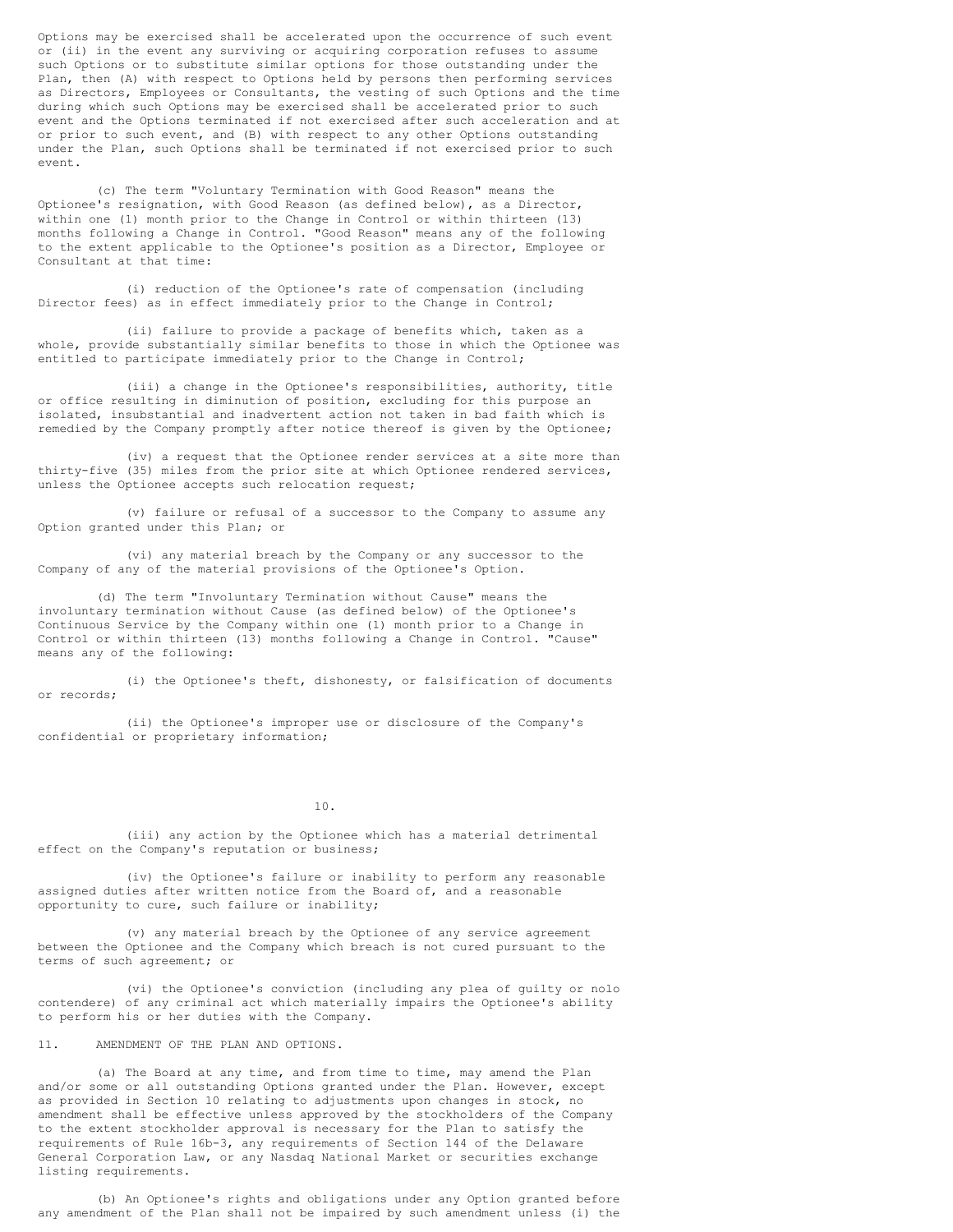Options may be exercised shall be accelerated upon the occurrence of such event or (ii) in the event any surviving or acquiring corporation refuses to assume such Options or to substitute similar options for those outstanding under the Plan, then (A) with respect to Options held by persons then performing services as Directors, Employees or Consultants, the vesting of such Options and the time during which such Options may be exercised shall be accelerated prior to such event and the Options terminated if not exercised after such acceleration and at or prior to such event, and (B) with respect to any other Options outstanding under the Plan, such Options shall be terminated if not exercised prior to such event.

(c) The term "Voluntary Termination with Good Reason" means the Optionee's resignation, with Good Reason (as defined below), as a Director, within one (1) month prior to the Change in Control or within thirteen (13) months following a Change in Control. "Good Reason" means any of the following to the extent applicable to the Optionee's position as a Director, Employee or Consultant at that time:

(i) reduction of the Optionee's rate of compensation (including Director fees) as in effect immediately prior to the Change in Control;

(ii) failure to provide a package of benefits which, taken as a whole, provide substantially similar benefits to those in which the Optionee was entitled to participate immediately prior to the Change in Control;

(iii) a change in the Optionee's responsibilities, authority, title or office resulting in diminution of position, excluding for this purpose an isolated, insubstantial and inadvertent action not taken in bad faith which is remedied by the Company promptly after notice thereof is given by the Optionee;

(iv) a request that the Optionee render services at a site more than thirty-five (35) miles from the prior site at which Optionee rendered services, unless the Optionee accepts such relocation request;

(v) failure or refusal of a successor to the Company to assume any Option granted under this Plan; or

(vi) any material breach by the Company or any successor to the Company of any of the material provisions of the Optionee's Option.

(d) The term "Involuntary Termination without Cause" means the involuntary termination without Cause (as defined below) of the Optionee's Continuous Service by the Company within one (1) month prior to a Change in Control or within thirteen (13) months following a Change in Control. "Cause" means any of the following:

(i) the Optionee's theft, dishonesty, or falsification of documents or records;

(ii) the Optionee's improper use or disclosure of the Company's confidential or proprietary information;

10.

(iii) any action by the Optionee which has a material detrimental effect on the Company's reputation or business;

(iv) the Optionee's failure or inability to perform any reasonable assigned duties after written notice from the Board of, and a reasonable opportunity to cure, such failure or inability;

(v) any material breach by the Optionee of any service agreement between the Optionee and the Company which breach is not cured pursuant to the terms of such agreement; or

(vi) the Optionee's conviction (including any plea of guilty or nolo contendere) of any criminal act which materially impairs the Optionee's ability to perform his or her duties with the Company.

11. AMENDMENT OF THE PLAN AND OPTIONS.

(a) The Board at any time, and from time to time, may amend the Plan and/or some or all outstanding Options granted under the Plan. However, except as provided in Section 10 relating to adjustments upon changes in stock, no amendment shall be effective unless approved by the stockholders of the Company to the extent stockholder approval is necessary for the Plan to satisfy the requirements of Rule 16b-3, any requirements of Section 144 of the Delaware General Corporation Law, or any Nasdaq National Market or securities exchange listing requirements.

(b) An Optionee's rights and obligations under any Option granted before any amendment of the Plan shall not be impaired by such amendment unless (i) the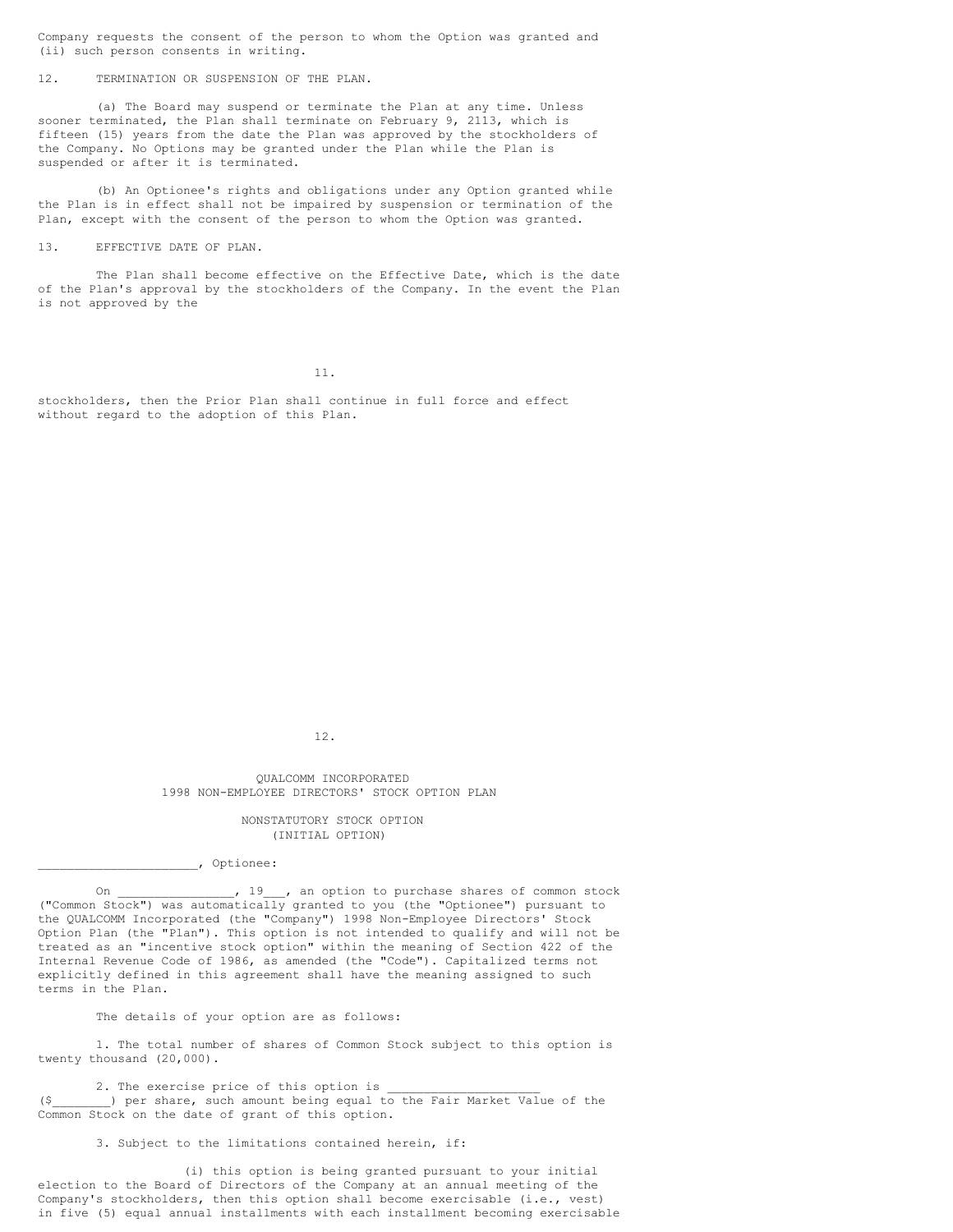Company requests the consent of the person to whom the Option was granted and (ii) such person consents in writing.

12. TERMINATION OR SUSPENSION OF THE PLAN.

(a) The Board may suspend or terminate the Plan at any time. Unless sooner terminated, the Plan shall terminate on February 9, 2113, which is fifteen (15) years from the date the Plan was approved by the stockholders of the Company. No Options may be granted under the Plan while the Plan is suspended or after it is terminated.

(b) An Optionee's rights and obligations under any Option granted while the Plan is in effect shall not be impaired by suspension or termination of the Plan, except with the consent of the person to whom the Option was granted.

13. EFFECTIVE DATE OF PLAN.

The Plan shall become effective on the Effective Date, which is the date of the Plan's approval by the stockholders of the Company. In the event the Plan is not approved by the

11.

stockholders, then the Prior Plan shall continue in full force and effect without regard to the adoption of this Plan.

12.

QUALCOMM INCORPORATED 1998 NON-EMPLOYEE DIRECTORS' STOCK OPTION PLAN

> NONSTATUTORY STOCK OPTION (INITIAL OPTION)

\_\_\_\_\_\_\_\_\_\_\_\_\_\_\_\_\_\_\_\_\_\_, Optionee:

On \_\_\_\_\_\_\_\_\_\_\_\_\_\_, 19 , an option to purchase shares of common stock ("Common Stock") was automatically granted to you (the "Optionee") pursuant to the QUALCOMM Incorporated (the "Company") 1998 Non-Employee Directors' Stock Option Plan (the "Plan"). This option is not intended to qualify and will not be treated as an "incentive stock option" within the meaning of Section 422 of the Internal Revenue Code of 1986, as amended (the "Code"). Capitalized terms not explicitly defined in this agreement shall have the meaning assigned to such terms in the Plan.

The details of your option are as follows:

1. The total number of shares of Common Stock subject to this option is twenty thousand (20,000).

2. The exercise price of this option is (\$\_\_\_\_\_\_\_\_) per share, such amount being equal to the Fair Market Value of the Common Stock on the date of grant of this option.

3. Subject to the limitations contained herein, if:

(i) this option is being granted pursuant to your initial election to the Board of Directors of the Company at an annual meeting of the Company's stockholders, then this option shall become exercisable (i.e., vest) in five (5) equal annual installments with each installment becoming exercisable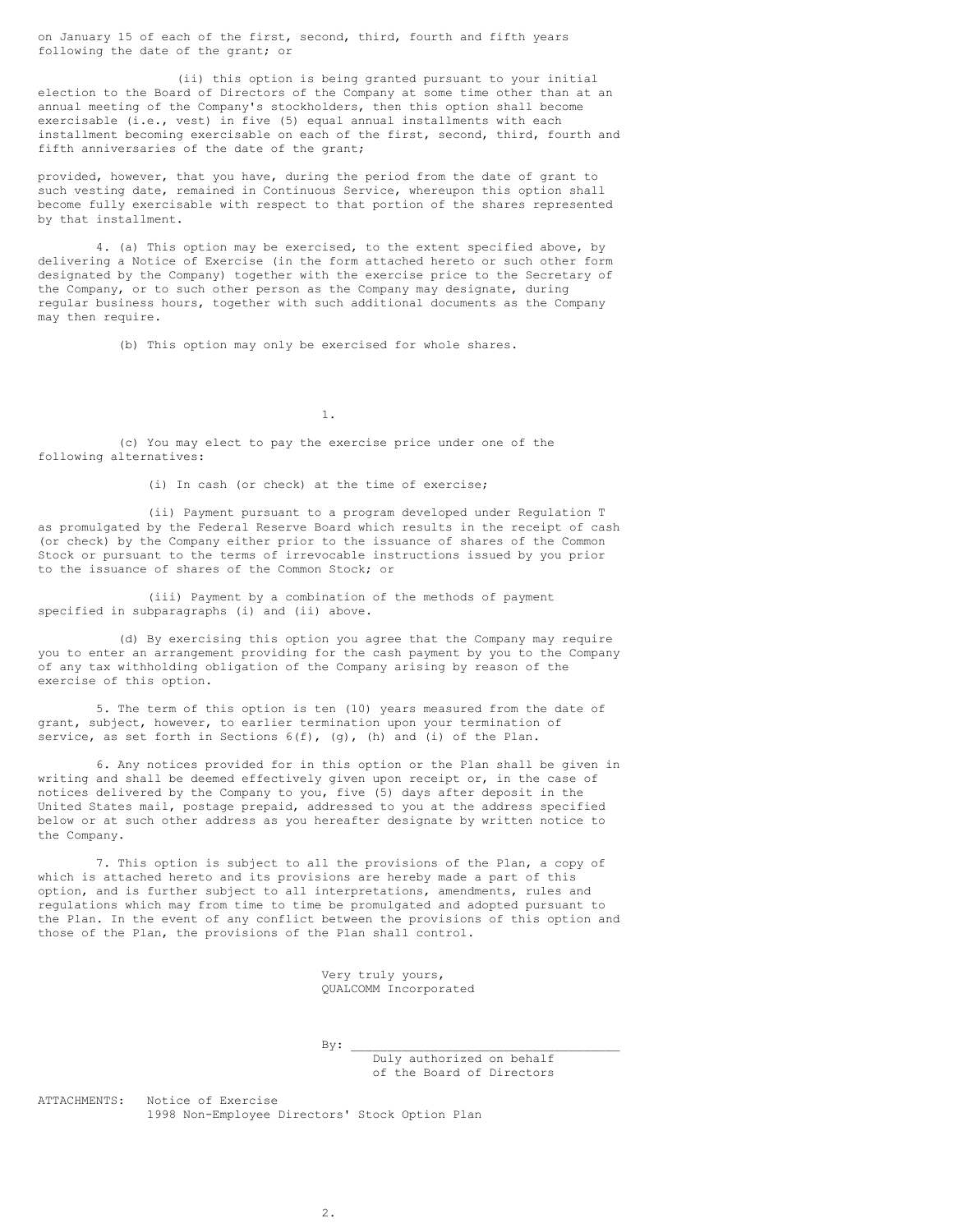on January 15 of each of the first, second, third, fourth and fifth years following the date of the grant; or

(ii) this option is being granted pursuant to your initial election to the Board of Directors of the Company at some time other than at an annual meeting of the Company's stockholders, then this option shall become exercisable (i.e., vest) in five (5) equal annual installments with each installment becoming exercisable on each of the first, second, third, fourth and fifth anniversaries of the date of the grant;

provided, however, that you have, during the period from the date of grant to such vesting date, remained in Continuous Service, whereupon this option shall become fully exercisable with respect to that portion of the shares represented by that installment.

4. (a) This option may be exercised, to the extent specified above, by delivering a Notice of Exercise (in the form attached hereto or such other form designated by the Company) together with the exercise price to the Secretary of the Company, or to such other person as the Company may designate, during regular business hours, together with such additional documents as the Company may then require.

(b) This option may only be exercised for whole shares.

1.

(c) You may elect to pay the exercise price under one of the following alternatives:

(i) In cash (or check) at the time of exercise;

(ii) Payment pursuant to a program developed under Regulation T as promulgated by the Federal Reserve Board which results in the receipt of cash (or check) by the Company either prior to the issuance of shares of the Common Stock or pursuant to the terms of irrevocable instructions issued by you prior to the issuance of shares of the Common Stock; or

(iii) Payment by a combination of the methods of payment specified in subparagraphs (i) and (ii) above.

(d) By exercising this option you agree that the Company may require you to enter an arrangement providing for the cash payment by you to the Company of any tax withholding obligation of the Company arising by reason of the exercise of this option.

5. The term of this option is ten (10) years measured from the date of grant, subject, however, to earlier termination upon your termination of service, as set forth in Sections  $6(f)$ ,  $(g)$ ,  $(h)$  and  $(i)$  of the Plan.

6. Any notices provided for in this option or the Plan shall be given in writing and shall be deemed effectively given upon receipt or, in the case of notices delivered by the Company to you, five (5) days after deposit in the United States mail, postage prepaid, addressed to you at the address specified below or at such other address as you hereafter designate by written notice to the Company.

7. This option is subject to all the provisions of the Plan, a copy of which is attached hereto and its provisions are hereby made a part of this option, and is further subject to all interpretations, amendments, rules and regulations which may from time to time be promulgated and adopted pursuant to the Plan. In the event of any conflict between the provisions of this option and those of the Plan, the provisions of the Plan shall control.

> Very truly yours, QUALCOMM Incorporated

 $By:$ Duly authorized on behalf of the Board of Directors

ATTACHMENTS: Notice of Exercise 1998 Non-Employee Directors' Stock Option Plan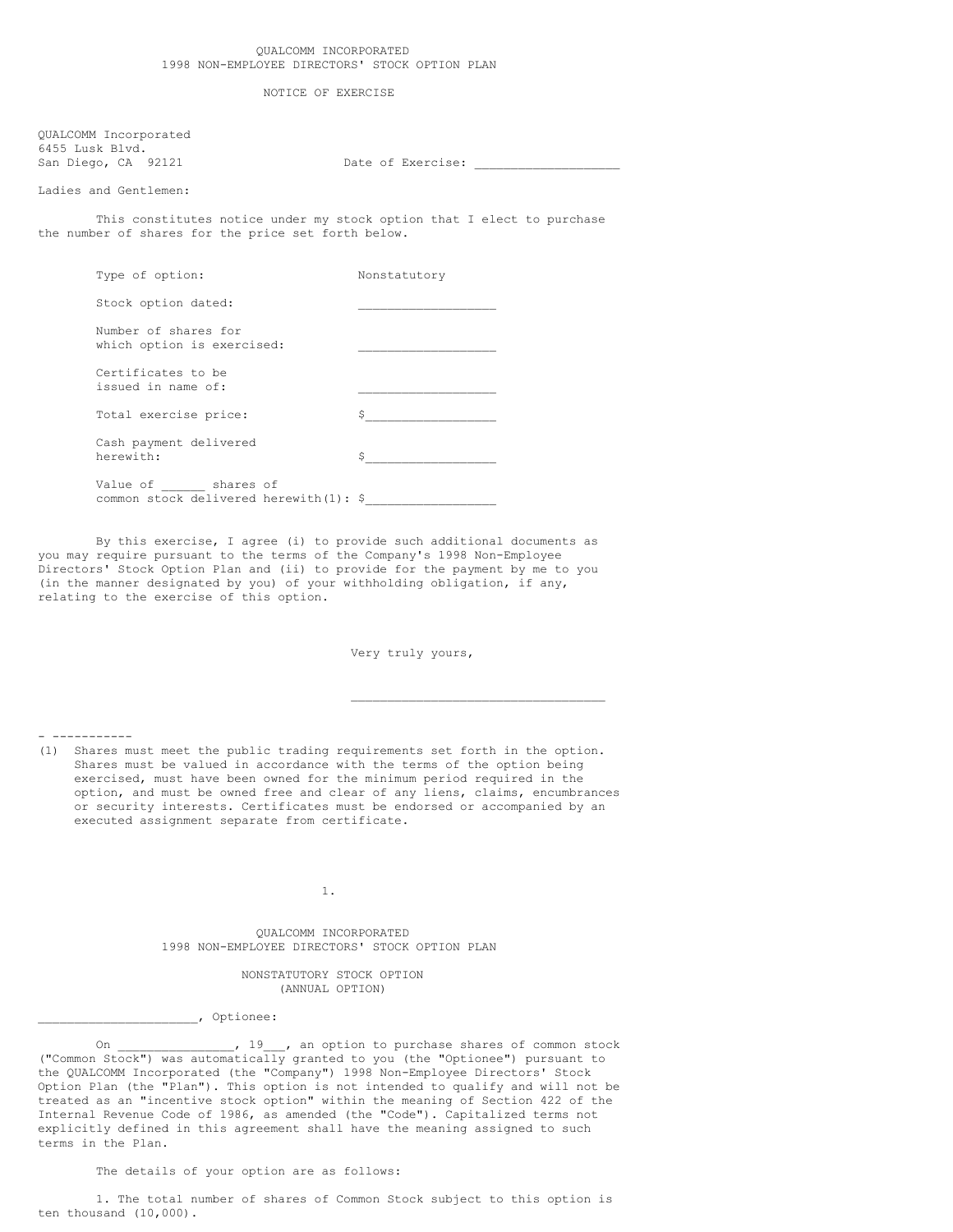NOTICE OF EXERCISE

QUALCOMM Incorporated 6455 Lusk Blvd. San Diego, CA 92121 Date of Exercise:

Ladies and Gentlemen:

This constitutes notice under my stock option that I elect to purchase the number of shares for the price set forth below.

| Type of option:                                              | Nonstatutory |
|--------------------------------------------------------------|--------------|
| Stock option dated:                                          |              |
| Number of shares for<br>which option is exercised:           |              |
| Certificates to be<br>issued in name of:                     |              |
| Total exercise price:                                        | \$.          |
| Cash payment delivered<br>herewith:                          | \$           |
| Value of shares of<br>common stock delivered herewith(1): \$ |              |

By this exercise, I agree (i) to provide such additional documents as you may require pursuant to the terms of the Company's 1998 Non-Employee Directors' Stock Option Plan and (ii) to provide for the payment by me to you (in the manner designated by you) of your withholding obligation, if any, relating to the exercise of this option.

Very truly yours,

\_\_\_\_\_\_\_\_\_\_\_\_\_\_\_\_\_\_\_\_\_\_\_\_\_\_\_\_\_\_\_\_\_\_\_

- -----------

(1) Shares must meet the public trading requirements set forth in the option. Shares must be valued in accordance with the terms of the option being exercised, must have been owned for the minimum period required in the option, and must be owned free and clear of any liens, claims, encumbrances or security interests. Certificates must be endorsed or accompanied by an executed assignment separate from certificate.

1.

QUALCOMM INCORPORATED 1998 NON-EMPLOYEE DIRECTORS' STOCK OPTION PLAN

> NONSTATUTORY STOCK OPTION (ANNUAL OPTION)

\_\_\_\_\_\_\_\_\_\_\_\_\_\_\_\_\_\_\_\_\_\_, Optionee:

On \_\_\_\_\_\_\_\_\_\_\_\_\_\_\_, 19\_\_\_, an option to purchase shares of common stock ("Common Stock") was automatically granted to you (the "Optionee") pursuant to the QUALCOMM Incorporated (the "Company") 1998 Non-Employee Directors' Stock Option Plan (the "Plan"). This option is not intended to qualify and will not be treated as an "incentive stock option" within the meaning of Section 422 of the Internal Revenue Code of 1986, as amended (the "Code"). Capitalized terms not explicitly defined in this agreement shall have the meaning assigned to such terms in the Plan.

The details of your option are as follows:

1. The total number of shares of Common Stock subject to this option is ten thousand (10,000).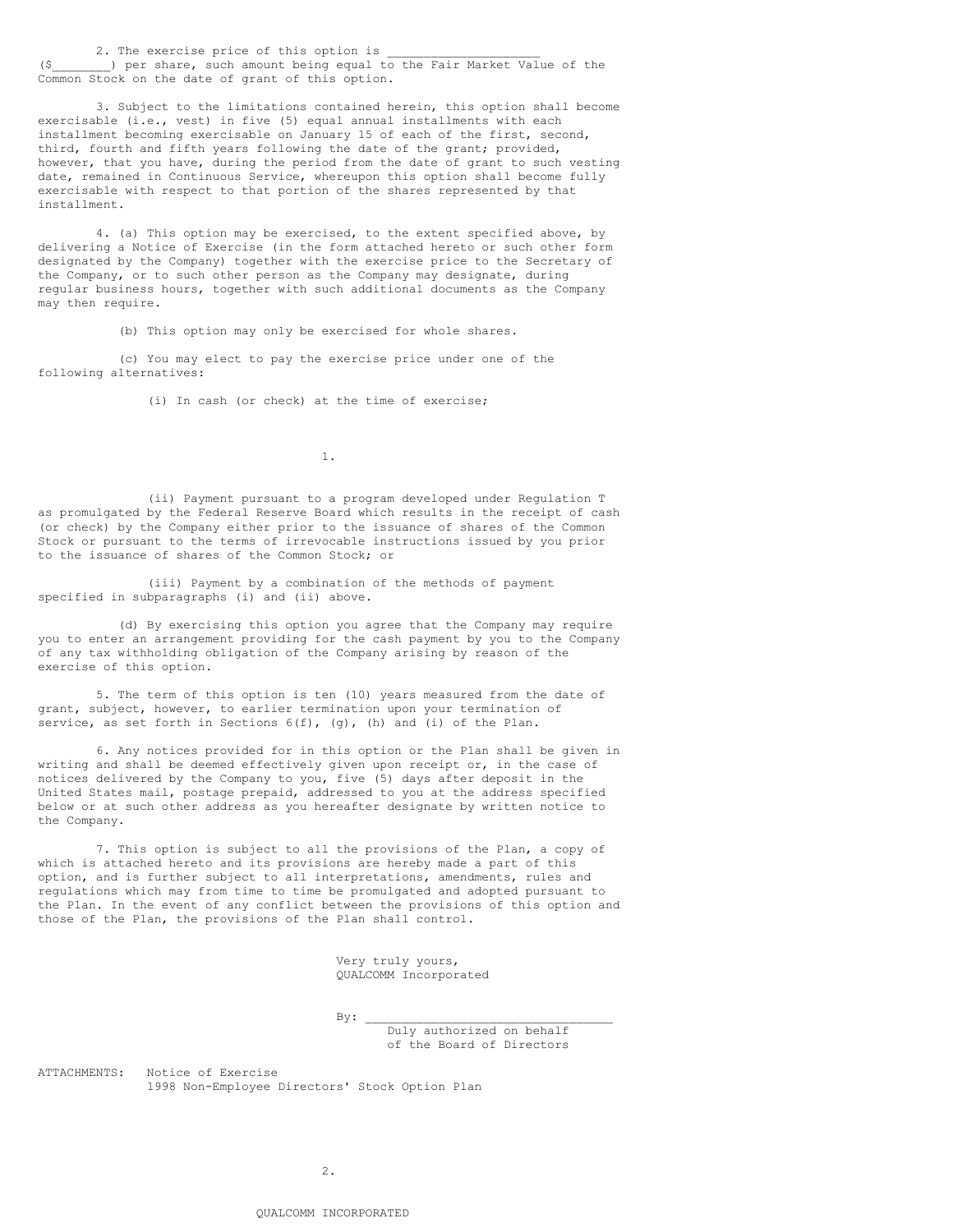2. The exercise price of this option is

(\$\_\_\_\_\_\_\_\_) per share, such amount being equal to the Fair Market Value of the Common Stock on the date of grant of this option.

3. Subject to the limitations contained herein, this option shall become exercisable (i.e., vest) in five (5) equal annual installments with each installment becoming exercisable on January 15 of each of the first, second, third, fourth and fifth years following the date of the grant; provided, however, that you have, during the period from the date of grant to such vesting date, remained in Continuous Service, whereupon this option shall become fully exercisable with respect to that portion of the shares represented by that installment.

4. (a) This option may be exercised, to the extent specified above, by delivering a Notice of Exercise (in the form attached hereto or such other form designated by the Company) together with the exercise price to the Secretary of the Company, or to such other person as the Company may designate, during regular business hours, together with such additional documents as the Company may then require.

(b) This option may only be exercised for whole shares.

(c) You may elect to pay the exercise price under one of the following alternatives:

(i) In cash (or check) at the time of exercise;

1.

(ii) Payment pursuant to a program developed under Regulation T as promulgated by the Federal Reserve Board which results in the receipt of cash (or check) by the Company either prior to the issuance of shares of the Common Stock or pursuant to the terms of irrevocable instructions issued by you prior to the issuance of shares of the Common Stock; or

(iii) Payment by a combination of the methods of payment specified in subparagraphs (i) and (ii) above.

(d) By exercising this option you agree that the Company may require you to enter an arrangement providing for the cash payment by you to the Company of any tax withholding obligation of the Company arising by reason of the exercise of this option.

5. The term of this option is ten (10) years measured from the date of grant, subject, however, to earlier termination upon your termination of service, as set forth in Sections  $6(f)$ , (q), (h) and (i) of the Plan.

6. Any notices provided for in this option or the Plan shall be given in writing and shall be deemed effectively given upon receipt or, in the case of notices delivered by the Company to you, five (5) days after deposit in the United States mail, postage prepaid, addressed to you at the address specified below or at such other address as you hereafter designate by written notice to the Company.

7. This option is subject to all the provisions of the Plan, a copy of which is attached hereto and its provisions are hereby made a part of this option, and is further subject to all interpretations, amendments, rules and regulations which may from time to time be promulgated and adopted pursuant to the Plan. In the event of any conflict between the provisions of this option and those of the Plan, the provisions of the Plan shall control.

> Very truly yours, QUALCOMM Incorporated

 $By:$ 

Duly authorized on behalf of the Board of Directors

ATTACHMENTS: Notice of Exercise 1998 Non-Employee Directors' Stock Option Plan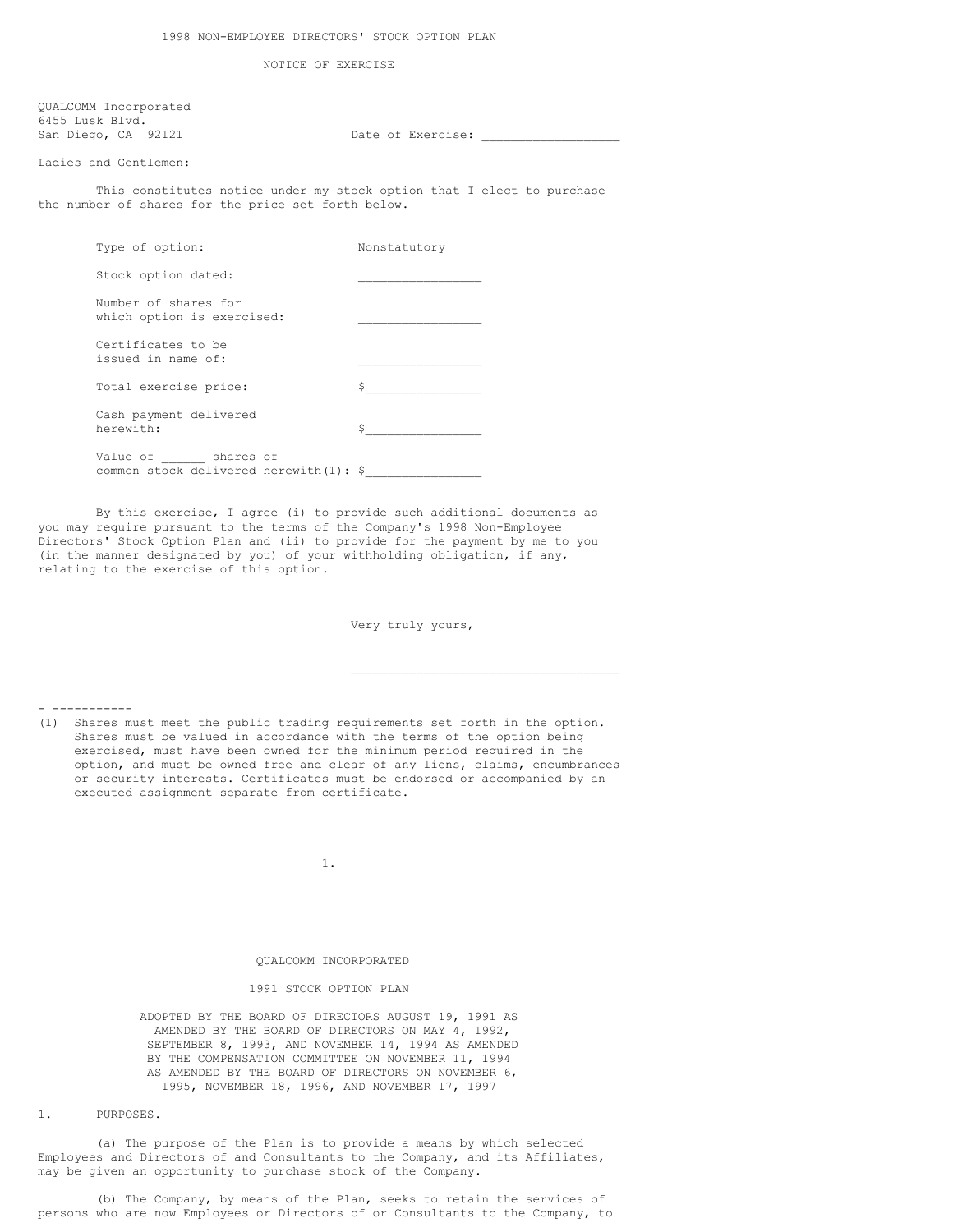NOTICE OF EXERCISE

QUALCOMM Incorporated 6455 Lusk Blvd. San Diego, CA 92121 Date of Exercise:

Ladies and Gentlemen:

This constitutes notice under my stock option that I elect to purchase the number of shares for the price set forth below.

| Type of option:                                              | Nonstatutory |
|--------------------------------------------------------------|--------------|
| Stock option dated:                                          |              |
| Number of shares for<br>which option is exercised:           |              |
| Certificates to be<br>issued in name of:                     |              |
| Total exercise price:                                        | \$           |
| Cash payment delivered<br>herewith:                          | Ŝ            |
| Value of shares of<br>common stock delivered herewith(1): \$ |              |

By this exercise, I agree (i) to provide such additional documents as you may require pursuant to the terms of the Company's 1998 Non-Employee Directors' Stock Option Plan and (ii) to provide for the payment by me to you (in the manner designated by you) of your withholding obligation, if any, relating to the exercise of this option.

Very truly yours,

\_\_\_\_\_\_\_\_\_\_\_\_\_\_\_\_\_\_\_\_\_\_\_\_\_\_\_\_\_\_\_\_\_\_\_\_\_

- -----------

(1) Shares must meet the public trading requirements set forth in the option. Shares must be valued in accordance with the terms of the option being exercised, must have been owned for the minimum period required in the option, and must be owned free and clear of any liens, claims, encumbrances or security interests. Certificates must be endorsed or accompanied by an executed assignment separate from certificate.

1.

# QUALCOMM INCORPORATED

#### 1991 STOCK OPTION PLAN

ADOPTED BY THE BOARD OF DIRECTORS AUGUST 19, 1991 AS AMENDED BY THE BOARD OF DIRECTORS ON MAY 4, 1992, SEPTEMBER 8, 1993, AND NOVEMBER 14, 1994 AS AMENDED BY THE COMPENSATION COMMITTEE ON NOVEMBER 11, 1994 AS AMENDED BY THE BOARD OF DIRECTORS ON NOVEMBER 6, 1995, NOVEMBER 18, 1996, AND NOVEMBER 17, 1997

1. PURPOSES.

(a) The purpose of the Plan is to provide a means by which selected Employees and Directors of and Consultants to the Company, and its Affiliates, may be given an opportunity to purchase stock of the Company.

(b) The Company, by means of the Plan, seeks to retain the services of persons who are now Employees or Directors of or Consultants to the Company, to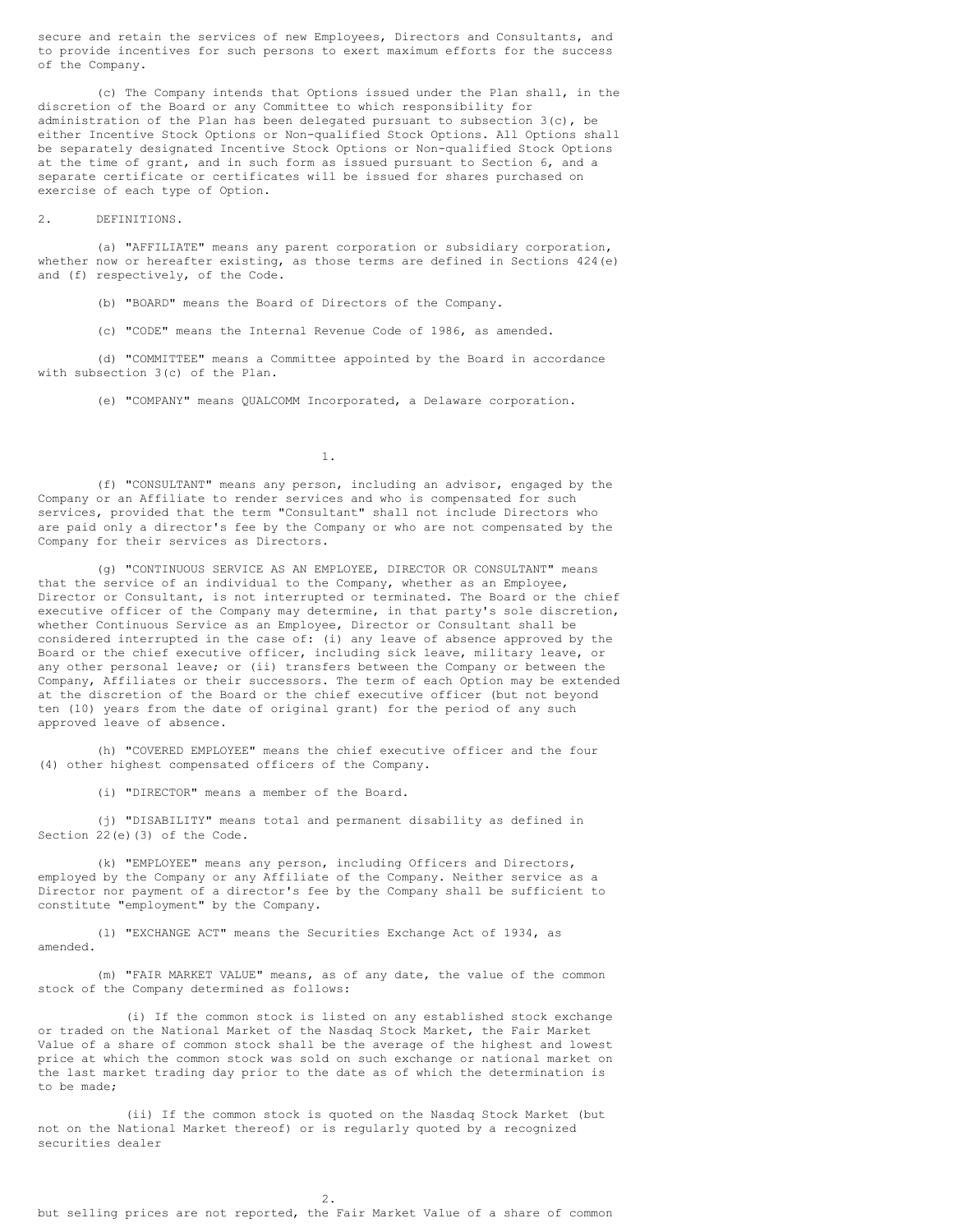secure and retain the services of new Employees, Directors and Consultants, and to provide incentives for such persons to exert maximum efforts for the success of the Company.

(c) The Company intends that Options issued under the Plan shall, in the discretion of the Board or any Committee to which responsibility for administration of the Plan has been delegated pursuant to subsection  $3(c)$ , be either Incentive Stock Options or Non-qualified Stock Options. All Options shall be separately designated Incentive Stock Options or Non-qualified Stock Options at the time of grant, and in such form as issued pursuant to Section 6, and a separate certificate or certificates will be issued for shares purchased on exercise of each type of Option.

### 2. DEFINITIONS.

(a) "AFFILIATE" means any parent corporation or subsidiary corporation, whether now or hereafter existing, as those terms are defined in Sections 424(e) and (f) respectively, of the Code.

(b) "BOARD" means the Board of Directors of the Company.

(c) "CODE" means the Internal Revenue Code of 1986, as amended.

(d) "COMMITTEE" means a Committee appointed by the Board in accordance with subsection 3(c) of the Plan.

(e) "COMPANY" means QUALCOMM Incorporated, a Delaware corporation.

1.

(f) "CONSULTANT" means any person, including an advisor, engaged by the Company or an Affiliate to render services and who is compensated for such services, provided that the term "Consultant" shall not include Directors who are paid only a director's fee by the Company or who are not compensated by the Company for their services as Directors.

(g) "CONTINUOUS SERVICE AS AN EMPLOYEE, DIRECTOR OR CONSULTANT" means that the service of an individual to the Company, whether as an Employee, Director or Consultant, is not interrupted or terminated. The Board or the chief executive officer of the Company may determine, in that party's sole discretion, whether Continuous Service as an Employee, Director or Consultant shall be considered interrupted in the case of: (i) any leave of absence approved by the Board or the chief executive officer, including sick leave, military leave, or any other personal leave; or (ii) transfers between the Company or between the Company, Affiliates or their successors. The term of each Option may be extended at the discretion of the Board or the chief executive officer (but not beyond ten (10) years from the date of original grant) for the period of any such approved leave of absence.

(h) "COVERED EMPLOYEE" means the chief executive officer and the four (4) other highest compensated officers of the Company.

(i) "DIRECTOR" means a member of the Board.

(j) "DISABILITY" means total and permanent disability as defined in Section 22(e)(3) of the Code.

(k) "EMPLOYEE" means any person, including Officers and Directors, employed by the Company or any Affiliate of the Company. Neither service as a Director nor payment of a director's fee by the Company shall be sufficient to constitute "employment" by the Company.

(l) "EXCHANGE ACT" means the Securities Exchange Act of 1934, as amended.

(m) "FAIR MARKET VALUE" means, as of any date, the value of the common stock of the Company determined as follows:

(i) If the common stock is listed on any established stock exchange or traded on the National Market of the Nasdaq Stock Market, the Fair Market Value of a share of common stock shall be the average of the highest and lowest price at which the common stock was sold on such exchange or national market on the last market trading day prior to the date as of which the determination is to be made;

(ii) If the common stock is quoted on the Nasdaq Stock Market (but not on the National Market thereof) or is regularly quoted by a recognized securities dealer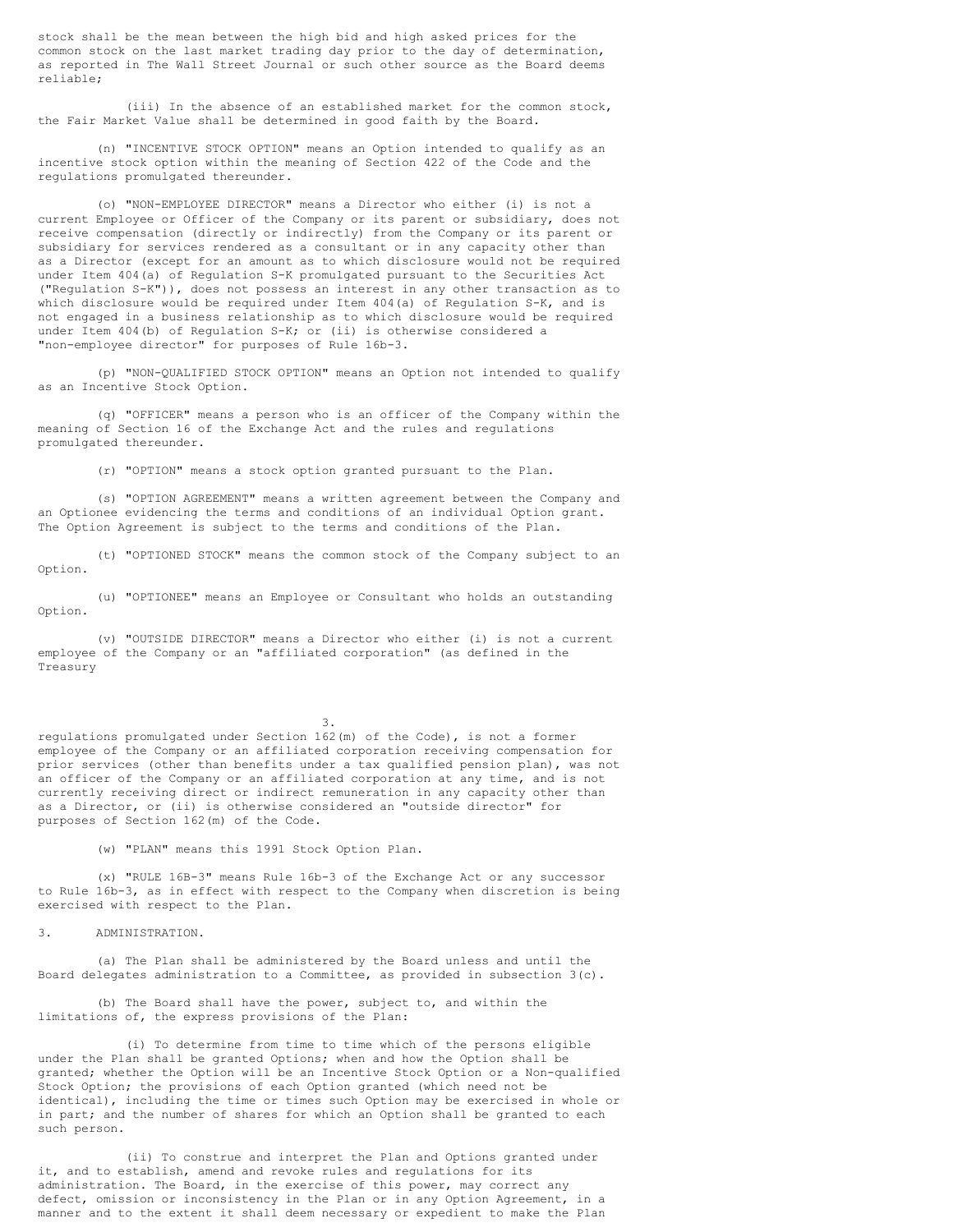stock shall be the mean between the high bid and high asked prices for the common stock on the last market trading day prior to the day of determination, as reported in The Wall Street Journal or such other source as the Board deems reliable;

(iii) In the absence of an established market for the common stock, the Fair Market Value shall be determined in good faith by the Board.

(n) "INCENTIVE STOCK OPTION" means an Option intended to qualify as an incentive stock option within the meaning of Section 422 of the Code and the regulations promulgated thereunder.

(o) "NON-EMPLOYEE DIRECTOR" means a Director who either (i) is not a current Employee or Officer of the Company or its parent or subsidiary, does not receive compensation (directly or indirectly) from the Company or its parent or subsidiary for services rendered as a consultant or in any capacity other than as a Director (except for an amount as to which disclosure would not be required under Item 404(a) of Regulation S-K promulgated pursuant to the Securities Act ("Regulation S-K")), does not possess an interest in any other transaction as to which disclosure would be required under Item 404(a) of Regulation S-K, and is not engaged in a business relationship as to which disclosure would be required under Item 404(b) of Regulation S-K; or (ii) is otherwise considered a "non-employee director" for purposes of Rule 16b-3.

(p) "NON-QUALIFIED STOCK OPTION" means an Option not intended to qualify as an Incentive Stock Option.

(q) "OFFICER" means a person who is an officer of the Company within the meaning of Section 16 of the Exchange Act and the rules and regulations promulgated thereunder.

(r) "OPTION" means a stock option granted pursuant to the Plan.

(s) "OPTION AGREEMENT" means a written agreement between the Company and an Optionee evidencing the terms and conditions of an individual Option grant. The Option Agreement is subject to the terms and conditions of the Plan.

(t) "OPTIONED STOCK" means the common stock of the Company subject to an Option.

(u) "OPTIONEE" means an Employee or Consultant who holds an outstanding Option.

(v) "OUTSIDE DIRECTOR" means a Director who either (i) is not a current employee of the Company or an "affiliated corporation" (as defined in the Treasury

3.

regulations promulgated under Section 162(m) of the Code), is not a former employee of the Company or an affiliated corporation receiving compensation for prior services (other than benefits under a tax qualified pension plan), was not an officer of the Company or an affiliated corporation at any time, and is not currently receiving direct or indirect remuneration in any capacity other than as a Director, or (ii) is otherwise considered an "outside director" for purposes of Section 162(m) of the Code.

(w) "PLAN" means this 1991 Stock Option Plan.

(x) "RULE 16B-3" means Rule 16b-3 of the Exchange Act or any successor to Rule 16b-3, as in effect with respect to the Company when discretion is being exercised with respect to the Plan.

# 3. ADMINISTRATION.

(a) The Plan shall be administered by the Board unless and until the Board delegates administration to a Committee, as provided in subsection 3(c).

(b) The Board shall have the power, subject to, and within the limitations of, the express provisions of the Plan:

(i) To determine from time to time which of the persons eligible under the Plan shall be granted Options; when and how the Option shall be granted; whether the Option will be an Incentive Stock Option or a Non-qualified Stock Option; the provisions of each Option granted (which need not be identical), including the time or times such Option may be exercised in whole or in part; and the number of shares for which an Option shall be granted to each such person.

(ii) To construe and interpret the Plan and Options granted under it, and to establish, amend and revoke rules and regulations for its administration. The Board, in the exercise of this power, may correct any defect, omission or inconsistency in the Plan or in any Option Agreement, in a manner and to the extent it shall deem necessary or expedient to make the Plan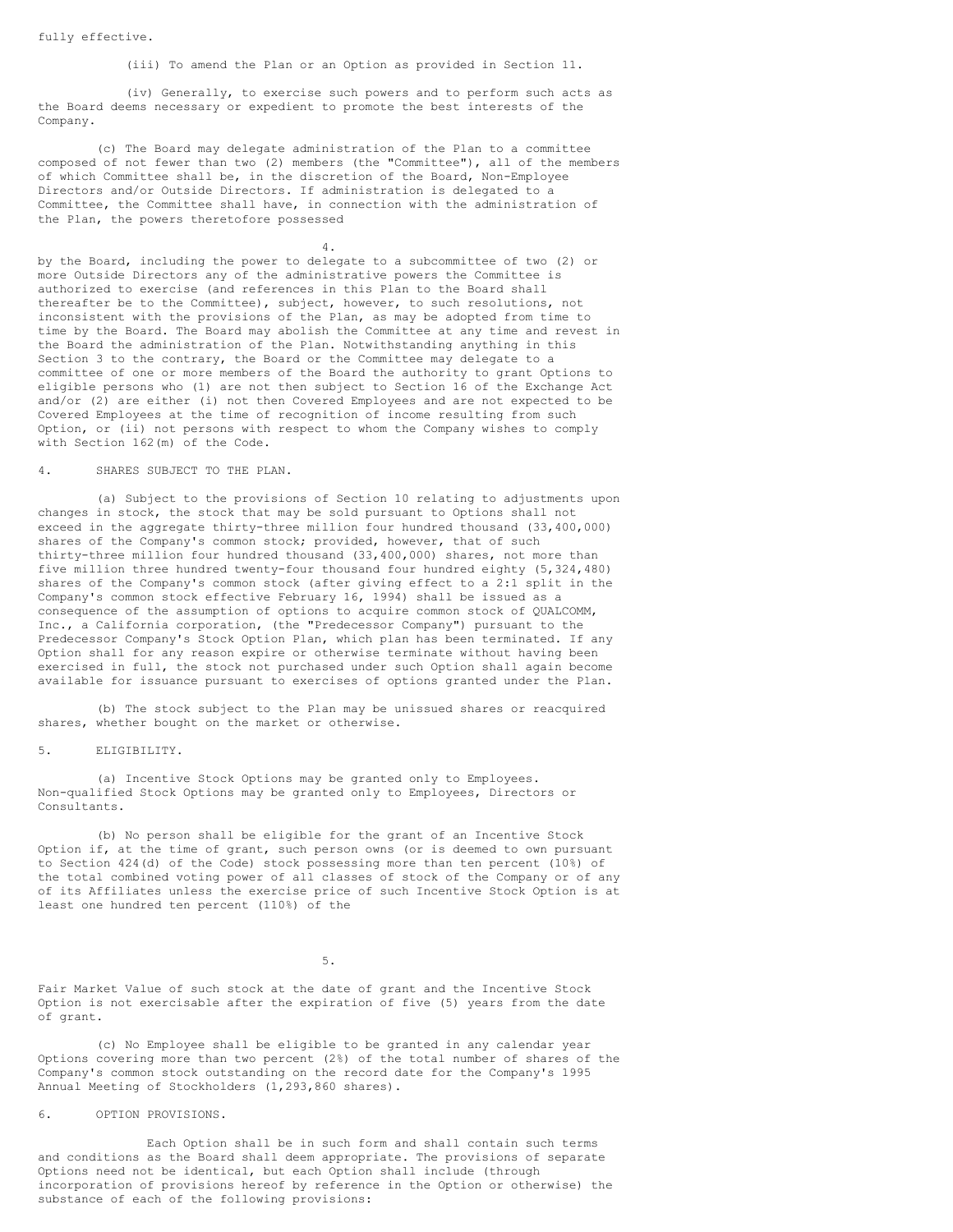(iii) To amend the Plan or an Option as provided in Section 11.

(iv) Generally, to exercise such powers and to perform such acts as the Board deems necessary or expedient to promote the best interests of the Company.

(c) The Board may delegate administration of the Plan to a committee composed of not fewer than two (2) members (the "Committee"), all of the members of which Committee shall be, in the discretion of the Board, Non-Employee Directors and/or Outside Directors. If administration is delegated to a Committee, the Committee shall have, in connection with the administration of the Plan, the powers theretofore possessed

4.

by the Board, including the power to delegate to a subcommittee of two (2) or more Outside Directors any of the administrative powers the Committee is authorized to exercise (and references in this Plan to the Board shall thereafter be to the Committee), subject, however, to such resolutions, not inconsistent with the provisions of the Plan, as may be adopted from time to time by the Board. The Board may abolish the Committee at any time and revest in the Board the administration of the Plan. Notwithstanding anything in this Section 3 to the contrary, the Board or the Committee may delegate to a committee of one or more members of the Board the authority to grant Options to eligible persons who (1) are not then subject to Section 16 of the Exchange Act and/or (2) are either (i) not then Covered Employees and are not expected to be Covered Employees at the time of recognition of income resulting from such Option, or (ii) not persons with respect to whom the Company wishes to comply with Section 162(m) of the Code.

## 4. SHARES SUBJECT TO THE PLAN.

(a) Subject to the provisions of Section 10 relating to adjustments upon changes in stock, the stock that may be sold pursuant to Options shall not exceed in the aggregate thirty-three million four hundred thousand (33,400,000) shares of the Company's common stock; provided, however, that of such thirty-three million four hundred thousand (33,400,000) shares, not more than five million three hundred twenty-four thousand four hundred eighty (5,324,480) shares of the Company's common stock (after giving effect to a 2:1 split in the Company's common stock effective February 16, 1994) shall be issued as a consequence of the assumption of options to acquire common stock of QUALCOMM, Inc., a California corporation, (the "Predecessor Company") pursuant to the Predecessor Company's Stock Option Plan, which plan has been terminated. If any Option shall for any reason expire or otherwise terminate without having been exercised in full, the stock not purchased under such Option shall again become available for issuance pursuant to exercises of options granted under the Plan.

(b) The stock subject to the Plan may be unissued shares or reacquired shares, whether bought on the market or otherwise.

## 5. ELIGIBILITY.

(a) Incentive Stock Options may be granted only to Employees. Non-qualified Stock Options may be granted only to Employees, Directors or Consultants.

(b) No person shall be eligible for the grant of an Incentive Stock Option if, at the time of grant, such person owns (or is deemed to own pursuant to Section 424(d) of the Code) stock possessing more than ten percent (10%) of the total combined voting power of all classes of stock of the Company or of any of its Affiliates unless the exercise price of such Incentive Stock Option is at least one hundred ten percent (110%) of the

5.

Fair Market Value of such stock at the date of grant and the Incentive Stock Option is not exercisable after the expiration of five (5) years from the date of grant.

(c) No Employee shall be eligible to be granted in any calendar year Options covering more than two percent (2%) of the total number of shares of the Company's common stock outstanding on the record date for the Company's 1995 Annual Meeting of Stockholders (1,293,860 shares).

## 6. OPTION PROVISIONS.

Each Option shall be in such form and shall contain such terms and conditions as the Board shall deem appropriate. The provisions of separate Options need not be identical, but each Option shall include (through incorporation of provisions hereof by reference in the Option or otherwise) the substance of each of the following provisions: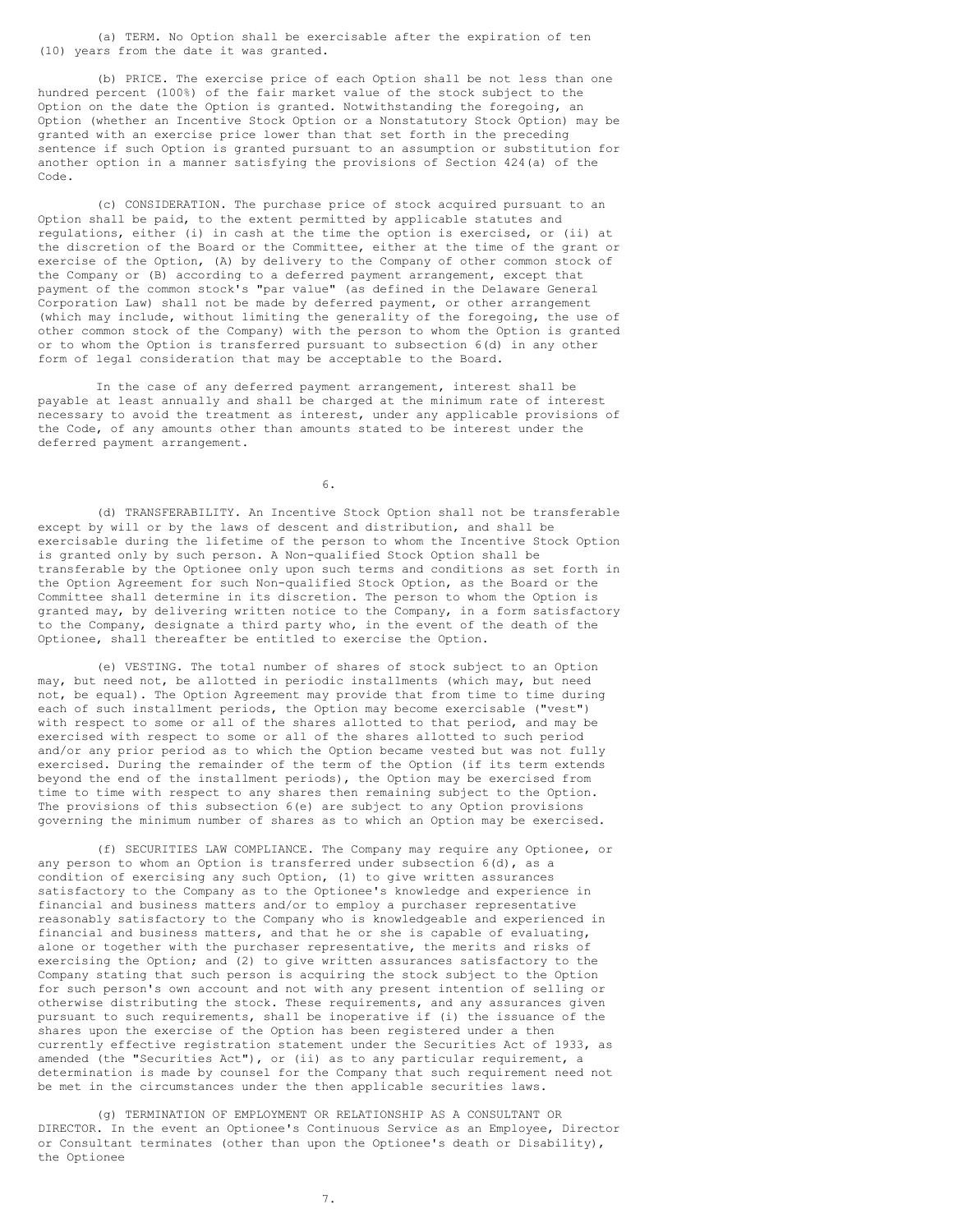(a) TERM. No Option shall be exercisable after the expiration of ten (10) years from the date it was granted.

(b) PRICE. The exercise price of each Option shall be not less than one hundred percent (100%) of the fair market value of the stock subject to the Option on the date the Option is granted. Notwithstanding the foregoing, an Option (whether an Incentive Stock Option or a Nonstatutory Stock Option) may be granted with an exercise price lower than that set forth in the preceding sentence if such Option is granted pursuant to an assumption or substitution for another option in a manner satisfying the provisions of Section 424(a) of the Code.

(c) CONSIDERATION. The purchase price of stock acquired pursuant to an Option shall be paid, to the extent permitted by applicable statutes and regulations, either (i) in cash at the time the option is exercised, or (ii) at the discretion of the Board or the Committee, either at the time of the grant or exercise of the Option, (A) by delivery to the Company of other common stock of the Company or (B) according to a deferred payment arrangement, except that payment of the common stock's "par value" (as defined in the Delaware General Corporation Law) shall not be made by deferred payment, or other arrangement (which may include, without limiting the generality of the foregoing, the use of other common stock of the Company) with the person to whom the Option is granted or to whom the Option is transferred pursuant to subsection 6(d) in any other form of legal consideration that may be acceptable to the Board.

In the case of any deferred payment arrangement, interest shall be payable at least annually and shall be charged at the minimum rate of interest necessary to avoid the treatment as interest, under any applicable provisions of the Code, of any amounts other than amounts stated to be interest under the deferred payment arrangement.

6.

(d) TRANSFERABILITY. An Incentive Stock Option shall not be transferable except by will or by the laws of descent and distribution, and shall be exercisable during the lifetime of the person to whom the Incentive Stock Option is granted only by such person. A Non-qualified Stock Option shall be transferable by the Optionee only upon such terms and conditions as set forth in the Option Agreement for such Non-qualified Stock Option, as the Board or the Committee shall determine in its discretion. The person to whom the Option is granted may, by delivering written notice to the Company, in a form satisfactory to the Company, designate a third party who, in the event of the death of the Optionee, shall thereafter be entitled to exercise the Option.

(e) VESTING. The total number of shares of stock subject to an Option may, but need not, be allotted in periodic installments (which may, but need not, be equal). The Option Agreement may provide that from time to time during each of such installment periods, the Option may become exercisable ("vest") with respect to some or all of the shares allotted to that period, and may be exercised with respect to some or all of the shares allotted to such period and/or any prior period as to which the Option became vested but was not fully exercised. During the remainder of the term of the Option (if its term extends beyond the end of the installment periods), the Option may be exercised from time to time with respect to any shares then remaining subject to the Option. The provisions of this subsection 6(e) are subject to any Option provisions governing the minimum number of shares as to which an Option may be exercised.

(f) SECURITIES LAW COMPLIANCE. The Company may require any Optionee, or any person to whom an Option is transferred under subsection  $6(d)$ , as a condition of exercising any such Option, (1) to give written assurances satisfactory to the Company as to the Optionee's knowledge and experience in financial and business matters and/or to employ a purchaser representative reasonably satisfactory to the Company who is knowledgeable and experienced in financial and business matters, and that he or she is capable of evaluating, alone or together with the purchaser representative, the merits and risks of exercising the Option; and (2) to give written assurances satisfactory to the Company stating that such person is acquiring the stock subject to the Option for such person's own account and not with any present intention of selling or otherwise distributing the stock. These requirements, and any assurances given pursuant to such requirements, shall be inoperative if (i) the issuance of the shares upon the exercise of the Option has been registered under a then currently effective registration statement under the Securities Act of 1933, as amended (the "Securities Act"), or (ii) as to any particular requirement, a determination is made by counsel for the Company that such requirement need not be met in the circumstances under the then applicable securities laws.

(g) TERMINATION OF EMPLOYMENT OR RELATIONSHIP AS A CONSULTANT OR DIRECTOR. In the event an Optionee's Continuous Service as an Employee, Director or Consultant terminates (other than upon the Optionee's death or Disability), the Optionee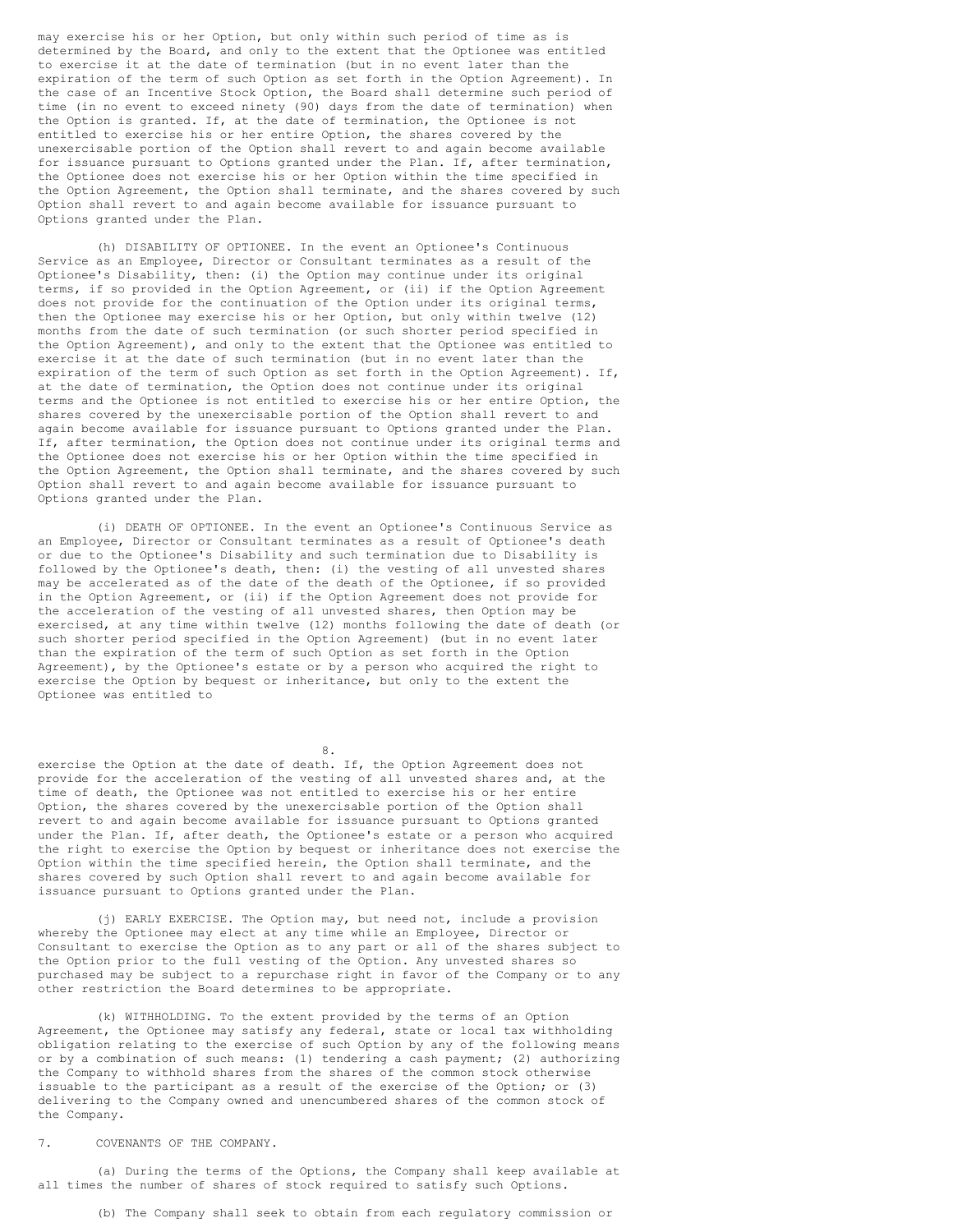may exercise his or her Option, but only within such period of time as is determined by the Board, and only to the extent that the Optionee was entitled to exercise it at the date of termination (but in no event later than the expiration of the term of such Option as set forth in the Option Agreement). In the case of an Incentive Stock Option, the Board shall determine such period of time (in no event to exceed ninety (90) days from the date of termination) when the Option is granted. If, at the date of termination, the Optionee is not entitled to exercise his or her entire Option, the shares covered by the unexercisable portion of the Option shall revert to and again become available for issuance pursuant to Options granted under the Plan. If, after termination, the Optionee does not exercise his or her Option within the time specified in the Option Agreement, the Option shall terminate, and the shares covered by such Option shall revert to and again become available for issuance pursuant to Options granted under the Plan.

(h) DISABILITY OF OPTIONEE. In the event an Optionee's Continuous Service as an Employee, Director or Consultant terminates as a result of the Optionee's Disability, then: (i) the Option may continue under its original terms, if so provided in the Option Agreement, or (ii) if the Option Agreement does not provide for the continuation of the Option under its original terms, then the Optionee may exercise his or her Option, but only within twelve (12) months from the date of such termination (or such shorter period specified in the Option Agreement), and only to the extent that the Optionee was entitled to exercise it at the date of such termination (but in no event later than the expiration of the term of such Option as set forth in the Option Agreement). If, at the date of termination, the Option does not continue under its original terms and the Optionee is not entitled to exercise his or her entire Option, the shares covered by the unexercisable portion of the Option shall revert to and again become available for issuance pursuant to Options granted under the Plan. If, after termination, the Option does not continue under its original terms and the Optionee does not exercise his or her Option within the time specified in the Option Agreement, the Option shall terminate, and the shares covered by such Option shall revert to and again become available for issuance pursuant to Options granted under the Plan.

(i) DEATH OF OPTIONEE. In the event an Optionee's Continuous Service as an Employee, Director or Consultant terminates as a result of Optionee's death or due to the Optionee's Disability and such termination due to Disability is followed by the Optionee's death, then: (i) the vesting of all unvested shares may be accelerated as of the date of the death of the Optionee, if so provided in the Option Agreement, or (ii) if the Option Agreement does not provide for the acceleration of the vesting of all unvested shares, then Option may be exercised, at any time within twelve (12) months following the date of death (or such shorter period specified in the Option Agreement) (but in no event later than the expiration of the term of such Option as set forth in the Option Agreement), by the Optionee's estate or by a person who acquired the right to exercise the Option by bequest or inheritance, but only to the extent the Optionee was entitled to

8.

exercise the Option at the date of death. If, the Option Agreement does not provide for the acceleration of the vesting of all unvested shares and, at the time of death, the Optionee was not entitled to exercise his or her entire Option, the shares covered by the unexercisable portion of the Option shall revert to and again become available for issuance pursuant to Options granted under the Plan. If, after death, the Optionee's estate or a person who acquired the right to exercise the Option by bequest or inheritance does not exercise the Option within the time specified herein, the Option shall terminate, and the shares covered by such Option shall revert to and again become available for issuance pursuant to Options granted under the Plan.

(j) EARLY EXERCISE. The Option may, but need not, include a provision whereby the Optionee may elect at any time while an Employee, Director or Consultant to exercise the Option as to any part or all of the shares subject to the Option prior to the full vesting of the Option. Any unvested shares so purchased may be subject to a repurchase right in favor of the Company or to any other restriction the Board determines to be appropriate.

(k) WITHHOLDING. To the extent provided by the terms of an Option Agreement, the Optionee may satisfy any federal, state or local tax withholding obligation relating to the exercise of such Option by any of the following means or by a combination of such means: (1) tendering a cash payment; (2) authorizing the Company to withhold shares from the shares of the common stock otherwise issuable to the participant as a result of the exercise of the Option; or (3) delivering to the Company owned and unencumbered shares of the common stock of the Company.

7. COVENANTS OF THE COMPANY.

(a) During the terms of the Options, the Company shall keep available at all times the number of shares of stock required to satisfy such Options.

(b) The Company shall seek to obtain from each regulatory commission or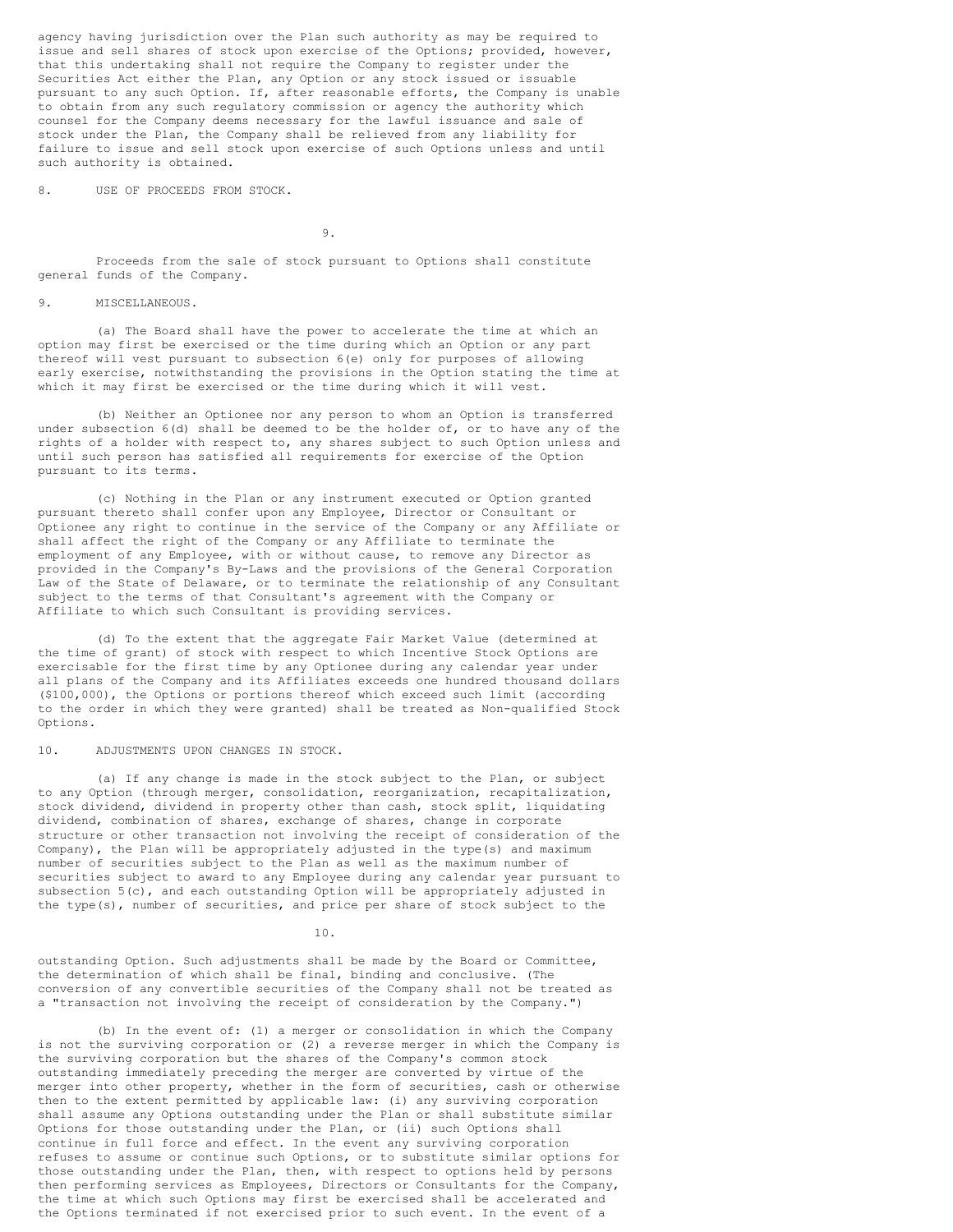agency having jurisdiction over the Plan such authority as may be required to issue and sell shares of stock upon exercise of the Options; provided, however, that this undertaking shall not require the Company to register under the Securities Act either the Plan, any Option or any stock issued or issuable pursuant to any such Option. If, after reasonable efforts, the Company is unable to obtain from any such regulatory commission or agency the authority which counsel for the Company deems necessary for the lawful issuance and sale of stock under the Plan, the Company shall be relieved from any liability for failure to issue and sell stock upon exercise of such Options unless and until such authority is obtained.

8. USE OF PROCEEDS FROM STOCK.

9.

Proceeds from the sale of stock pursuant to Options shall constitute general funds of the Company.

9. MISCELLANEOUS.

(a) The Board shall have the power to accelerate the time at which an option may first be exercised or the time during which an Option or any part thereof will vest pursuant to subsection 6(e) only for purposes of allowing early exercise, notwithstanding the provisions in the Option stating the time at which it may first be exercised or the time during which it will vest.

(b) Neither an Optionee nor any person to whom an Option is transferred under subsection 6(d) shall be deemed to be the holder of, or to have any of the rights of a holder with respect to, any shares subject to such Option unless and until such person has satisfied all requirements for exercise of the Option pursuant to its terms.

(c) Nothing in the Plan or any instrument executed or Option granted pursuant thereto shall confer upon any Employee, Director or Consultant or Optionee any right to continue in the service of the Company or any Affiliate or shall affect the right of the Company or any Affiliate to terminate the employment of any Employee, with or without cause, to remove any Director as provided in the Company's By-Laws and the provisions of the General Corporation Law of the State of Delaware, or to terminate the relationship of any Consultant subject to the terms of that Consultant's agreement with the Company or Affiliate to which such Consultant is providing services.

(d) To the extent that the aggregate Fair Market Value (determined at the time of grant) of stock with respect to which Incentive Stock Options are exercisable for the first time by any Optionee during any calendar year under all plans of the Company and its Affiliates exceeds one hundred thousand dollars (\$100,000), the Options or portions thereof which exceed such limit (according to the order in which they were granted) shall be treated as Non-qualified Stock Options.

10. ADJUSTMENTS UPON CHANGES IN STOCK.

(a) If any change is made in the stock subject to the Plan, or subject to any Option (through merger, consolidation, reorganization, recapitalization, stock dividend, dividend in property other than cash, stock split, liquidating dividend, combination of shares, exchange of shares, change in corporate structure or other transaction not involving the receipt of consideration of the Company), the Plan will be appropriately adjusted in the type(s) and maximum number of securities subject to the Plan as well as the maximum number of securities subject to award to any Employee during any calendar year pursuant to subsection 5(c), and each outstanding Option will be appropriately adjusted in the type(s), number of securities, and price per share of stock subject to the

10.

outstanding Option. Such adjustments shall be made by the Board or Committee, the determination of which shall be final, binding and conclusive. (The conversion of any convertible securities of the Company shall not be treated as a "transaction not involving the receipt of consideration by the Company.")

(b) In the event of: (1) a merger or consolidation in which the Company is not the surviving corporation or (2) a reverse merger in which the Company is the surviving corporation but the shares of the Company's common stock outstanding immediately preceding the merger are converted by virtue of the merger into other property, whether in the form of securities, cash or otherwise then to the extent permitted by applicable law: (i) any surviving corporation shall assume any Options outstanding under the Plan or shall substitute similar Options for those outstanding under the Plan, or (ii) such Options shall continue in full force and effect. In the event any surviving corporation refuses to assume or continue such Options, or to substitute similar options for those outstanding under the Plan, then, with respect to options held by persons then performing services as Employees, Directors or Consultants for the Company, the time at which such Options may first be exercised shall be accelerated and the Options terminated if not exercised prior to such event. In the event of a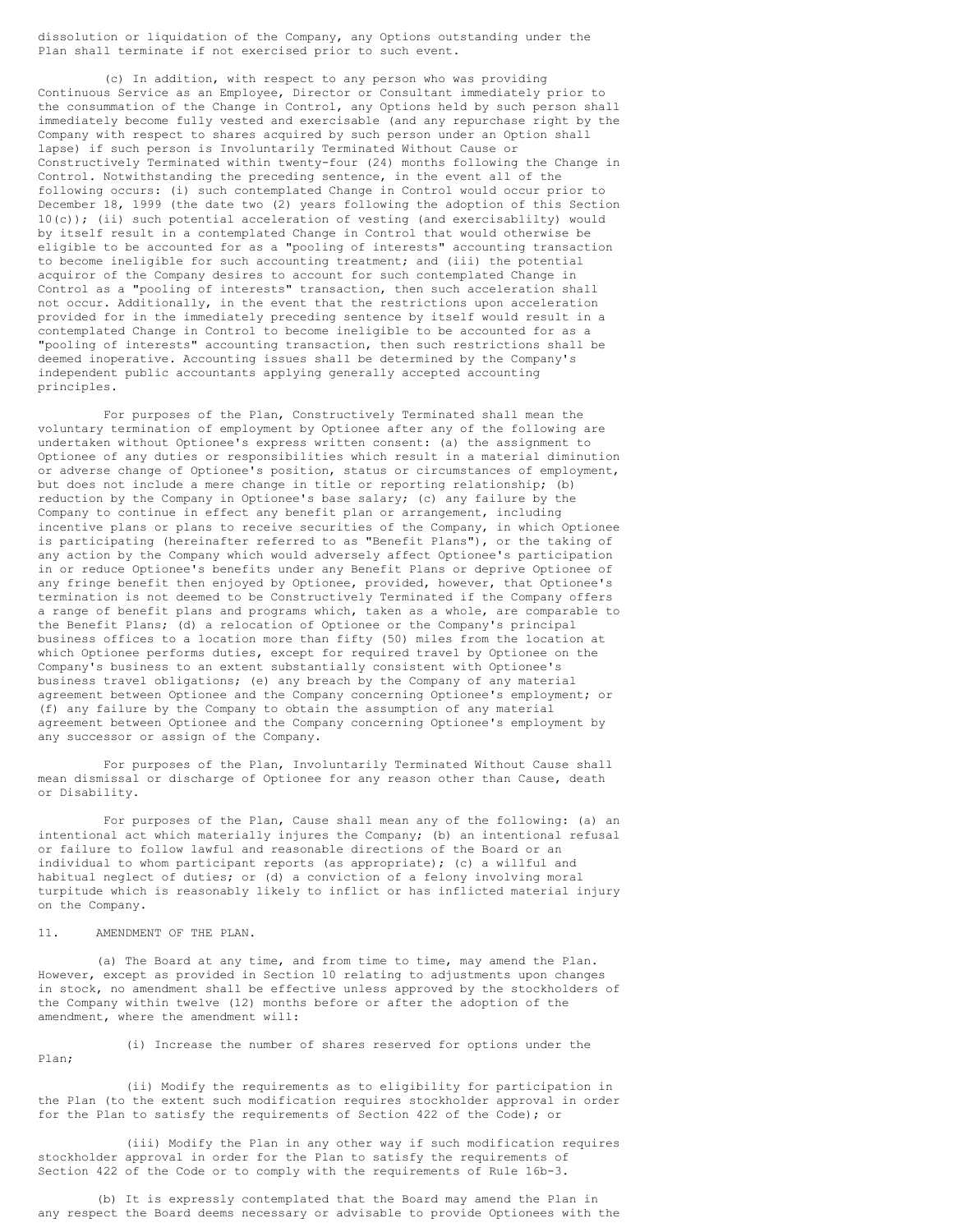dissolution or liquidation of the Company, any Options outstanding under the Plan shall terminate if not exercised prior to such event.

(c) In addition, with respect to any person who was providing Continuous Service as an Employee, Director or Consultant immediately prior to the consummation of the Change in Control, any Options held by such person shall immediately become fully vested and exercisable (and any repurchase right by the Company with respect to shares acquired by such person under an Option shall lapse) if such person is Involuntarily Terminated Without Cause or Constructively Terminated within twenty-four (24) months following the Change in Control. Notwithstanding the preceding sentence, in the event all of the following occurs: (i) such contemplated Change in Control would occur prior to December 18, 1999 (the date two (2) years following the adoption of this Section 10(c)); (ii) such potential acceleration of vesting (and exercisablilty) would by itself result in a contemplated Change in Control that would otherwise be eligible to be accounted for as a "pooling of interests" accounting transaction to become ineligible for such accounting treatment; and (iii) the potential acquiror of the Company desires to account for such contemplated Change in Control as a "pooling of interests" transaction, then such acceleration shall not occur. Additionally, in the event that the restrictions upon acceleration provided for in the immediately preceding sentence by itself would result in a contemplated Change in Control to become ineligible to be accounted for as a "pooling of interests" accounting transaction, then such restrictions shall be deemed inoperative. Accounting issues shall be determined by the Company's independent public accountants applying generally accepted accounting principles.

For purposes of the Plan, Constructively Terminated shall mean the voluntary termination of employment by Optionee after any of the following are undertaken without Optionee's express written consent: (a) the assignment to Optionee of any duties or responsibilities which result in a material diminution or adverse change of Optionee's position, status or circumstances of employment, but does not include a mere change in title or reporting relationship; (b) reduction by the Company in Optionee's base salary; (c) any failure by the Company to continue in effect any benefit plan or arrangement, including incentive plans or plans to receive securities of the Company, in which Optionee is participating (hereinafter referred to as "Benefit Plans"), or the taking of any action by the Company which would adversely affect Optionee's participation in or reduce Optionee's benefits under any Benefit Plans or deprive Optionee of any fringe benefit then enjoyed by Optionee, provided, however, that Optionee's termination is not deemed to be Constructively Terminated if the Company offers a range of benefit plans and programs which, taken as a whole, are comparable to the Benefit Plans; (d) a relocation of Optionee or the Company's principal business offices to a location more than fifty (50) miles from the location at which Optionee performs duties, except for required travel by Optionee on the Company's business to an extent substantially consistent with Optionee's business travel obligations; (e) any breach by the Company of any material agreement between Optionee and the Company concerning Optionee's employment; or (f) any failure by the Company to obtain the assumption of any material agreement between Optionee and the Company concerning Optionee's employment by any successor or assign of the Company.

For purposes of the Plan, Involuntarily Terminated Without Cause shall mean dismissal or discharge of Optionee for any reason other than Cause, death or Disability.

For purposes of the Plan, Cause shall mean any of the following: (a) an intentional act which materially injures the Company; (b) an intentional refusal or failure to follow lawful and reasonable directions of the Board or an individual to whom participant reports (as appropriate); (c) a willful and habitual neglect of duties; or (d) a conviction of a felony involving moral turpitude which is reasonably likely to inflict or has inflicted material injury on the Company.

11. AMENDMENT OF THE PLAN.

(a) The Board at any time, and from time to time, may amend the Plan. However, except as provided in Section 10 relating to adjustments upon changes in stock, no amendment shall be effective unless approved by the stockholders of the Company within twelve (12) months before or after the adoption of the amendment, where the amendment will:

(i) Increase the number of shares reserved for options under the Plan;

(ii) Modify the requirements as to eligibility for participation in the Plan (to the extent such modification requires stockholder approval in order for the Plan to satisfy the requirements of Section 422 of the Code); or

(iii) Modify the Plan in any other way if such modification requires stockholder approval in order for the Plan to satisfy the requirements of Section 422 of the Code or to comply with the requirements of Rule 16b-3.

(b) It is expressly contemplated that the Board may amend the Plan in any respect the Board deems necessary or advisable to provide Optionees with the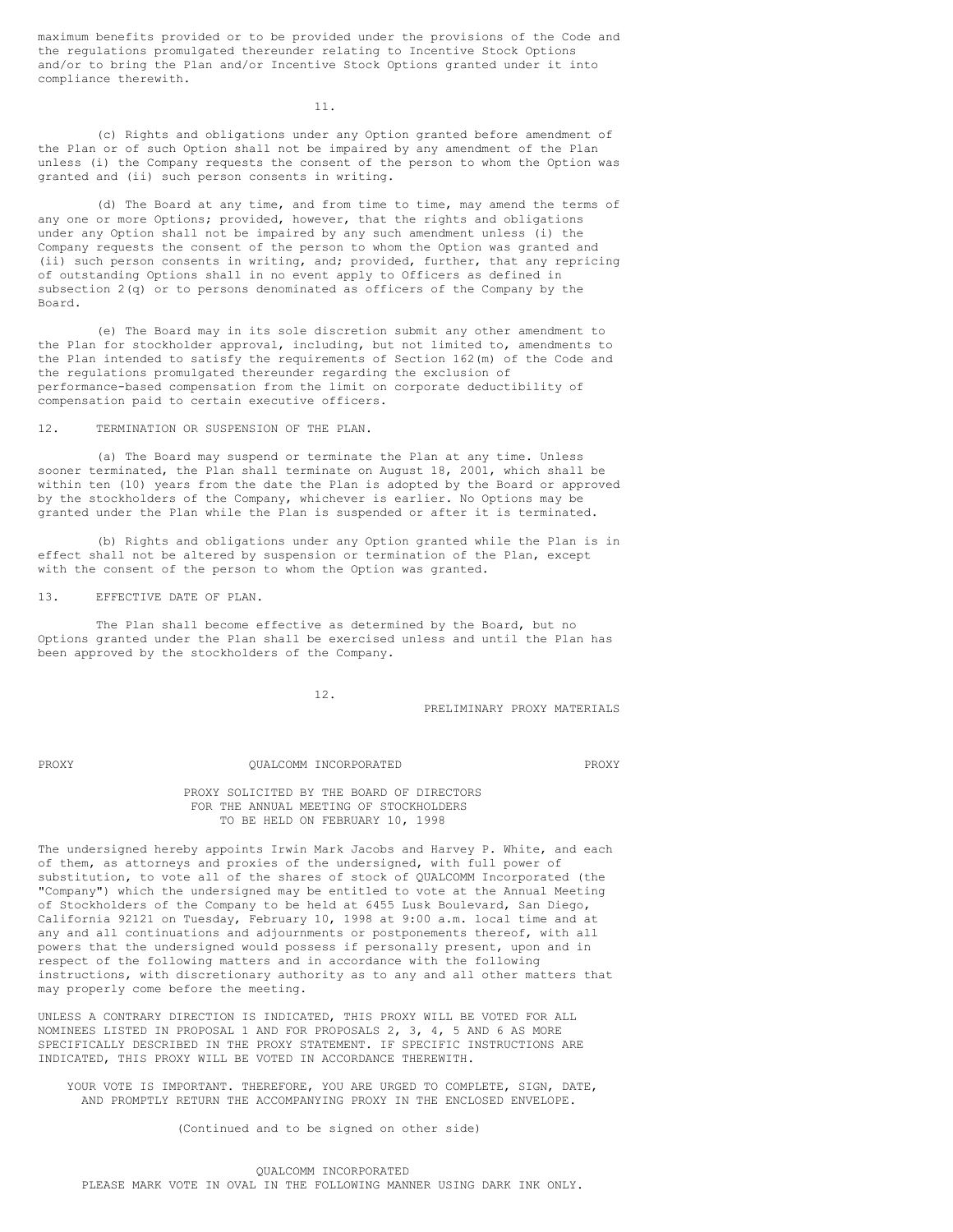maximum benefits provided or to be provided under the provisions of the Code and the regulations promulgated thereunder relating to Incentive Stock Options and/or to bring the Plan and/or Incentive Stock Options granted under it into compliance therewith.

11.

(c) Rights and obligations under any Option granted before amendment of the Plan or of such Option shall not be impaired by any amendment of the Plan unless (i) the Company requests the consent of the person to whom the Option was granted and (ii) such person consents in writing.

(d) The Board at any time, and from time to time, may amend the terms of any one or more Options; provided, however, that the rights and obligations under any Option shall not be impaired by any such amendment unless (i) the Company requests the consent of the person to whom the Option was granted and (ii) such person consents in writing, and; provided, further, that any repricing of outstanding Options shall in no event apply to Officers as defined in subsection 2(q) or to persons denominated as officers of the Company by the Board.

(e) The Board may in its sole discretion submit any other amendment to the Plan for stockholder approval, including, but not limited to, amendments to the Plan intended to satisfy the requirements of Section 162(m) of the Code and the regulations promulgated thereunder regarding the exclusion of performance-based compensation from the limit on corporate deductibility of compensation paid to certain executive officers.

12. TERMINATION OR SUSPENSION OF THE PLAN.

(a) The Board may suspend or terminate the Plan at any time. Unless sooner terminated, the Plan shall terminate on August 18, 2001, which shall be within ten (10) years from the date the Plan is adopted by the Board or approved by the stockholders of the Company, whichever is earlier. No Options may be granted under the Plan while the Plan is suspended or after it is terminated.

(b) Rights and obligations under any Option granted while the Plan is in effect shall not be altered by suspension or termination of the Plan, except with the consent of the person to whom the Option was granted.

13. EFFECTIVE DATE OF PLAN.

The Plan shall become effective as determined by the Board, but no Options granted under the Plan shall be exercised unless and until the Plan has been approved by the stockholders of the Company.

12.

PRELIMINARY PROXY MATERIALS

# PROXY QUALCOMM INCORPORATED PROXY

PROXY SOLICITED BY THE BOARD OF DIRECTORS FOR THE ANNUAL MEETING OF STOCKHOLDERS TO BE HELD ON FEBRUARY 10, 1998

The undersigned hereby appoints Irwin Mark Jacobs and Harvey P. White, and each of them, as attorneys and proxies of the undersigned, with full power of substitution, to vote all of the shares of stock of QUALCOMM Incorporated (the "Company") which the undersigned may be entitled to vote at the Annual Meeting of Stockholders of the Company to be held at 6455 Lusk Boulevard, San Diego, California 92121 on Tuesday, February 10, 1998 at 9:00 a.m. local time and at any and all continuations and adjournments or postponements thereof, with all powers that the undersigned would possess if personally present, upon and in respect of the following matters and in accordance with the following instructions, with discretionary authority as to any and all other matters that may properly come before the meeting.

UNLESS A CONTRARY DIRECTION IS INDICATED, THIS PROXY WILL BE VOTED FOR ALL NOMINEES LISTED IN PROPOSAL 1 AND FOR PROPOSALS 2, 3, 4, 5 AND 6 AS MORE SPECIFICALLY DESCRIBED IN THE PROXY STATEMENT. IF SPECIFIC INSTRUCTIONS ARE INDICATED, THIS PROXY WILL BE VOTED IN ACCORDANCE THEREWITH.

YOUR VOTE IS IMPORTANT. THEREFORE, YOU ARE URGED TO COMPLETE, SIGN, DATE, AND PROMPTLY RETURN THE ACCOMPANYING PROXY IN THE ENCLOSED ENVELOPE.

(Continued and to be signed on other side)